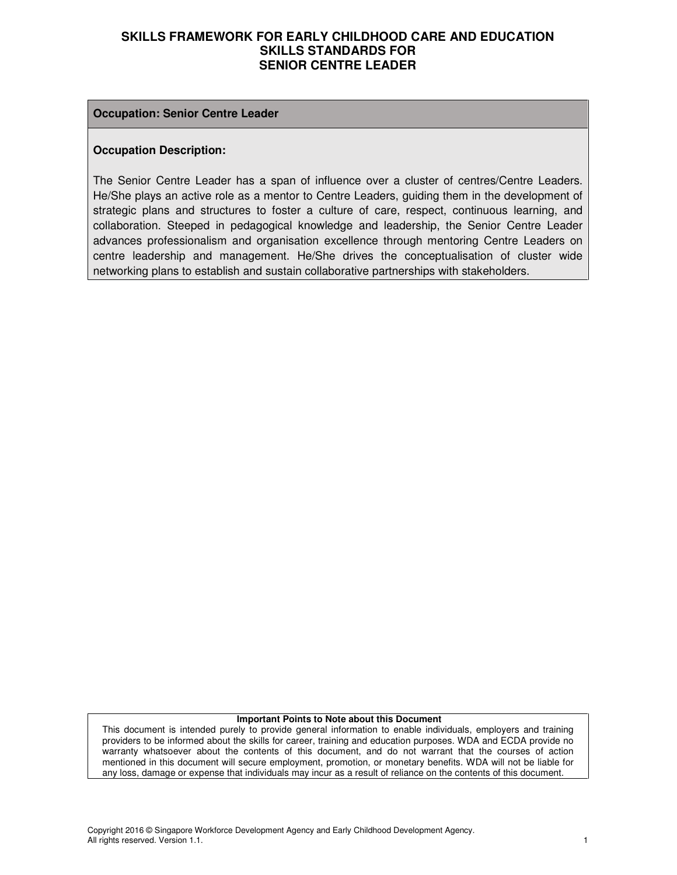#### **Occupation: Senior Centre Leader**

#### **Occupation Description:**

The Senior Centre Leader has a span of influence over a cluster of centres/Centre Leaders. He/She plays an active role as a mentor to Centre Leaders, guiding them in the development of strategic plans and structures to foster a culture of care, respect, continuous learning, and collaboration. Steeped in pedagogical knowledge and leadership, the Senior Centre Leader advances professionalism and organisation excellence through mentoring Centre Leaders on centre leadership and management. He/She drives the conceptualisation of cluster wide networking plans to establish and sustain collaborative partnerships with stakeholders.

#### **Important Points to Note about this Document**

This document is intended purely to provide general information to enable individuals, employers and training providers to be informed about the skills for career, training and education purposes. WDA and ECDA provide no warranty whatsoever about the contents of this document, and do not warrant that the courses of action mentioned in this document will secure employment, promotion, or monetary benefits. WDA will not be liable for any loss, damage or expense that individuals may incur as a result of reliance on the contents of this document.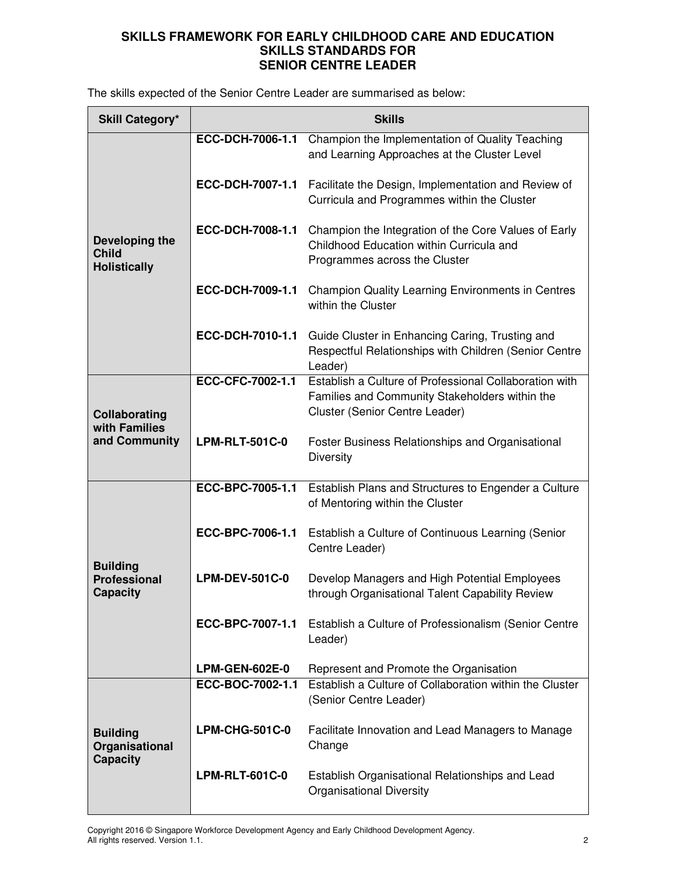The skills expected of the Senior Centre Leader are summarised as below:

| <b>Skill Category*</b>                                    | <b>Skills</b>         |                                                                                                                                            |  |
|-----------------------------------------------------------|-----------------------|--------------------------------------------------------------------------------------------------------------------------------------------|--|
| Developing the<br><b>Child</b><br><b>Holistically</b>     | ECC-DCH-7006-1.1      | Champion the Implementation of Quality Teaching<br>and Learning Approaches at the Cluster Level                                            |  |
|                                                           | ECC-DCH-7007-1.1      | Facilitate the Design, Implementation and Review of<br>Curricula and Programmes within the Cluster                                         |  |
|                                                           | ECC-DCH-7008-1.1      | Champion the Integration of the Core Values of Early<br>Childhood Education within Curricula and<br>Programmes across the Cluster          |  |
|                                                           | ECC-DCH-7009-1.1      | <b>Champion Quality Learning Environments in Centres</b><br>within the Cluster                                                             |  |
|                                                           | ECC-DCH-7010-1.1      | Guide Cluster in Enhancing Caring, Trusting and<br>Respectful Relationships with Children (Senior Centre<br>Leader)                        |  |
| Collaborating<br>with Families<br>and Community           | ECC-CFC-7002-1.1      | Establish a Culture of Professional Collaboration with<br>Families and Community Stakeholders within the<br>Cluster (Senior Centre Leader) |  |
|                                                           | <b>LPM-RLT-501C-0</b> | Foster Business Relationships and Organisational<br><b>Diversity</b>                                                                       |  |
|                                                           | ECC-BPC-7005-1.1      | Establish Plans and Structures to Engender a Culture<br>of Mentoring within the Cluster                                                    |  |
|                                                           | ECC-BPC-7006-1.1      | Establish a Culture of Continuous Learning (Senior<br>Centre Leader)                                                                       |  |
| <b>Building</b><br><b>Professional</b><br><b>Capacity</b> | <b>LPM-DEV-501C-0</b> | Develop Managers and High Potential Employees<br>through Organisational Talent Capability Review                                           |  |
|                                                           |                       | ECC-BPC-7007-1.1 Establish a Culture of Professionalism (Senior Centre<br>Leader)                                                          |  |
|                                                           | <b>LPM-GEN-602E-0</b> | Represent and Promote the Organisation                                                                                                     |  |
| <b>Building</b><br>Organisational<br><b>Capacity</b>      | ECC-BOC-7002-1.1      | Establish a Culture of Collaboration within the Cluster<br>(Senior Centre Leader)                                                          |  |
|                                                           | <b>LPM-CHG-501C-0</b> | Facilitate Innovation and Lead Managers to Manage<br>Change                                                                                |  |
|                                                           | <b>LPM-RLT-601C-0</b> | Establish Organisational Relationships and Lead<br><b>Organisational Diversity</b>                                                         |  |

Copyright 2016 © Singapore Workforce Development Agency and Early Childhood Development Agency. All rights reserved. Version 1.1. 2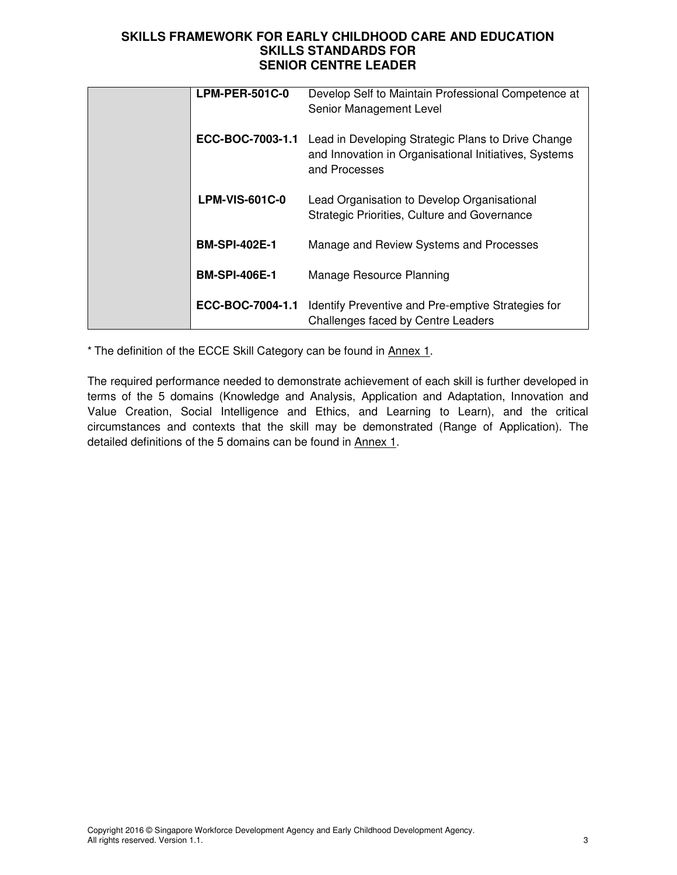| $LPM-PER-501C-0$      | Develop Self to Maintain Professional Competence at<br>Senior Management Level                                               |
|-----------------------|------------------------------------------------------------------------------------------------------------------------------|
| ECC-BOC-7003-1.1      | Lead in Developing Strategic Plans to Drive Change<br>and Innovation in Organisational Initiatives, Systems<br>and Processes |
| <b>LPM-VIS-601C-0</b> | Lead Organisation to Develop Organisational<br>Strategic Priorities, Culture and Governance                                  |
| <b>BM-SPI-402E-1</b>  | Manage and Review Systems and Processes                                                                                      |
| <b>BM-SPI-406E-1</b>  | Manage Resource Planning                                                                                                     |
| ECC-BOC-7004-1.1      | Identify Preventive and Pre-emptive Strategies for<br>Challenges faced by Centre Leaders                                     |

\* The definition of the ECCE Skill Category can be found in Annex 1.

The required performance needed to demonstrate achievement of each skill is further developed in terms of the 5 domains (Knowledge and Analysis, Application and Adaptation, Innovation and Value Creation, Social Intelligence and Ethics, and Learning to Learn), and the critical circumstances and contexts that the skill may be demonstrated (Range of Application). The detailed definitions of the 5 domains can be found in Annex 1.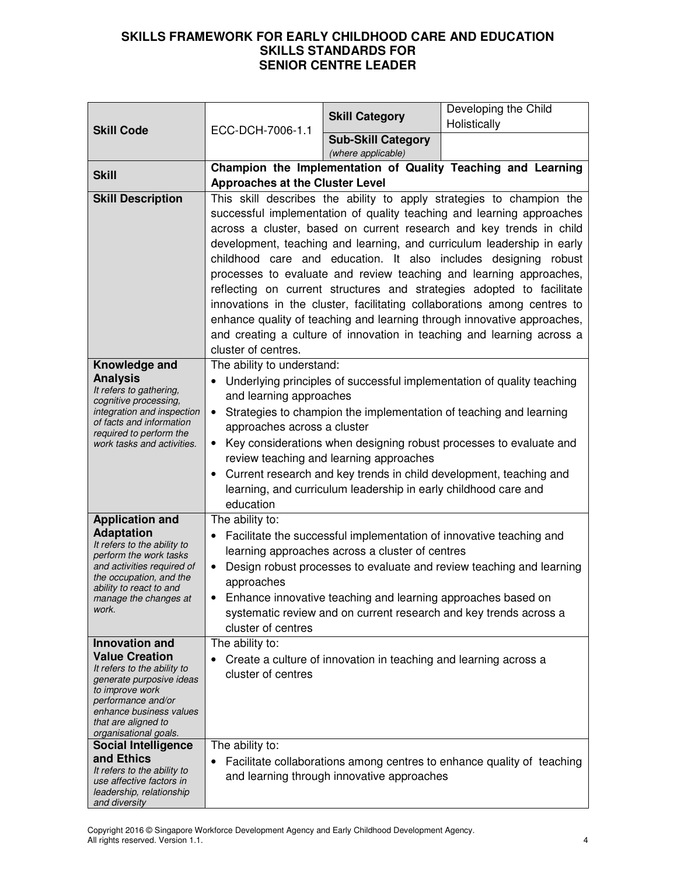|                                                                                                                                                                                                                                                  |                                                                                  | <b>Skill Category</b>                                                                                           | Developing the Child                                                                                                                                                                                                                                                                                                                                                                                                                                                                                                                                                                                                                                                                                                                              |
|--------------------------------------------------------------------------------------------------------------------------------------------------------------------------------------------------------------------------------------------------|----------------------------------------------------------------------------------|-----------------------------------------------------------------------------------------------------------------|---------------------------------------------------------------------------------------------------------------------------------------------------------------------------------------------------------------------------------------------------------------------------------------------------------------------------------------------------------------------------------------------------------------------------------------------------------------------------------------------------------------------------------------------------------------------------------------------------------------------------------------------------------------------------------------------------------------------------------------------------|
| <b>Skill Code</b>                                                                                                                                                                                                                                | ECC-DCH-7006-1.1                                                                 |                                                                                                                 | Holistically                                                                                                                                                                                                                                                                                                                                                                                                                                                                                                                                                                                                                                                                                                                                      |
|                                                                                                                                                                                                                                                  |                                                                                  | <b>Sub-Skill Category</b><br>(where applicable)                                                                 |                                                                                                                                                                                                                                                                                                                                                                                                                                                                                                                                                                                                                                                                                                                                                   |
| <b>Skill</b>                                                                                                                                                                                                                                     | Champion the Implementation of Quality Teaching and Learning                     |                                                                                                                 |                                                                                                                                                                                                                                                                                                                                                                                                                                                                                                                                                                                                                                                                                                                                                   |
|                                                                                                                                                                                                                                                  | <b>Approaches at the Cluster Level</b>                                           |                                                                                                                 |                                                                                                                                                                                                                                                                                                                                                                                                                                                                                                                                                                                                                                                                                                                                                   |
| <b>Skill Description</b>                                                                                                                                                                                                                         | cluster of centres.                                                              |                                                                                                                 | This skill describes the ability to apply strategies to champion the<br>successful implementation of quality teaching and learning approaches<br>across a cluster, based on current research and key trends in child<br>development, teaching and learning, and curriculum leadership in early<br>childhood care and education. It also includes designing robust<br>processes to evaluate and review teaching and learning approaches,<br>reflecting on current structures and strategies adopted to facilitate<br>innovations in the cluster, facilitating collaborations among centres to<br>enhance quality of teaching and learning through innovative approaches,<br>and creating a culture of innovation in teaching and learning across a |
| Knowledge and                                                                                                                                                                                                                                    | The ability to understand:                                                       |                                                                                                                 |                                                                                                                                                                                                                                                                                                                                                                                                                                                                                                                                                                                                                                                                                                                                                   |
| <b>Analysis</b><br>It refers to gathering,<br>cognitive processing,<br>integration and inspection<br>of facts and information<br>required to perform the<br>work tasks and activities.                                                           | and learning approaches<br>approaches across a cluster<br>$\bullet$<br>education | review teaching and learning approaches<br>learning, and curriculum leadership in early childhood care and      | Underlying principles of successful implementation of quality teaching<br>Strategies to champion the implementation of teaching and learning<br>Key considerations when designing robust processes to evaluate and<br>Current research and key trends in child development, teaching and                                                                                                                                                                                                                                                                                                                                                                                                                                                          |
| <b>Application and</b>                                                                                                                                                                                                                           | The ability to:                                                                  |                                                                                                                 |                                                                                                                                                                                                                                                                                                                                                                                                                                                                                                                                                                                                                                                                                                                                                   |
| <b>Adaptation</b><br>It refers to the ability to<br>perform the work tasks<br>and activities required of<br>the occupation, and the<br>ability to react to and<br>manage the changes at<br>work.                                                 | approaches<br>cluster of centres                                                 | learning approaches across a cluster of centres<br>Enhance innovative teaching and learning approaches based on | Facilitate the successful implementation of innovative teaching and<br>Design robust processes to evaluate and review teaching and learning<br>systematic review and on current research and key trends across a                                                                                                                                                                                                                                                                                                                                                                                                                                                                                                                                  |
| <b>Innovation and</b>                                                                                                                                                                                                                            | The ability to:                                                                  |                                                                                                                 |                                                                                                                                                                                                                                                                                                                                                                                                                                                                                                                                                                                                                                                                                                                                                   |
| <b>Value Creation</b><br>It refers to the ability to<br>generate purposive ideas<br>to improve work<br>performance and/or<br>enhance business values<br>that are aligned to<br>organisational goals.<br><b>Social Intelligence</b><br>and Ethics | cluster of centres<br>The ability to:                                            | Create a culture of innovation in teaching and learning across a                                                |                                                                                                                                                                                                                                                                                                                                                                                                                                                                                                                                                                                                                                                                                                                                                   |
| It refers to the ability to<br>use affective factors in<br>leadership, relationship<br>and diversity                                                                                                                                             |                                                                                  | and learning through innovative approaches                                                                      | Facilitate collaborations among centres to enhance quality of teaching                                                                                                                                                                                                                                                                                                                                                                                                                                                                                                                                                                                                                                                                            |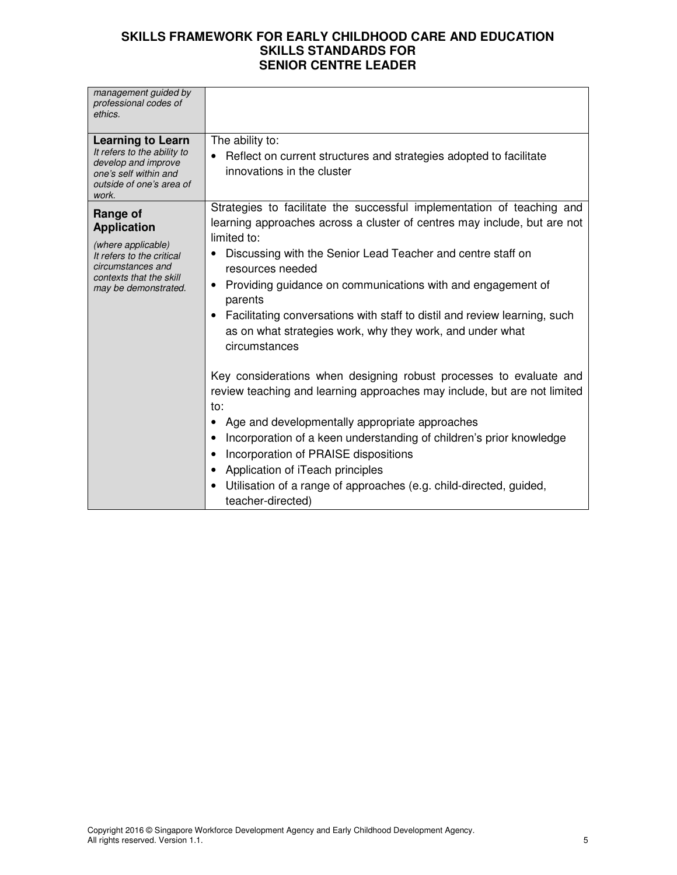| management guided by<br>professional codes of<br>ethics.                                                                                                  |                                                                                                                                                                                                                                                                                                                                                                                                                                                                                                                                                                                                                                                                                                                                                                                                                                                                                                                                                                                                          |
|-----------------------------------------------------------------------------------------------------------------------------------------------------------|----------------------------------------------------------------------------------------------------------------------------------------------------------------------------------------------------------------------------------------------------------------------------------------------------------------------------------------------------------------------------------------------------------------------------------------------------------------------------------------------------------------------------------------------------------------------------------------------------------------------------------------------------------------------------------------------------------------------------------------------------------------------------------------------------------------------------------------------------------------------------------------------------------------------------------------------------------------------------------------------------------|
| <b>Learning to Learn</b><br>It refers to the ability to<br>develop and improve<br>one's self within and<br>outside of one's area of<br>work.              | The ability to:<br>Reflect on current structures and strategies adopted to facilitate<br>innovations in the cluster                                                                                                                                                                                                                                                                                                                                                                                                                                                                                                                                                                                                                                                                                                                                                                                                                                                                                      |
| Range of<br><b>Application</b><br>(where applicable)<br>It refers to the critical<br>circumstances and<br>contexts that the skill<br>may be demonstrated. | Strategies to facilitate the successful implementation of teaching and<br>learning approaches across a cluster of centres may include, but are not<br>limited to:<br>Discussing with the Senior Lead Teacher and centre staff on<br>٠<br>resources needed<br>Providing guidance on communications with and engagement of<br>٠<br>parents<br>Facilitating conversations with staff to distil and review learning, such<br>$\bullet$<br>as on what strategies work, why they work, and under what<br>circumstances<br>Key considerations when designing robust processes to evaluate and<br>review teaching and learning approaches may include, but are not limited<br>to:<br>Age and developmentally appropriate approaches<br>Incorporation of a keen understanding of children's prior knowledge<br>$\bullet$<br>Incorporation of PRAISE dispositions<br>Application of iTeach principles<br>٠<br>Utilisation of a range of approaches (e.g. child-directed, guided,<br>$\bullet$<br>teacher-directed) |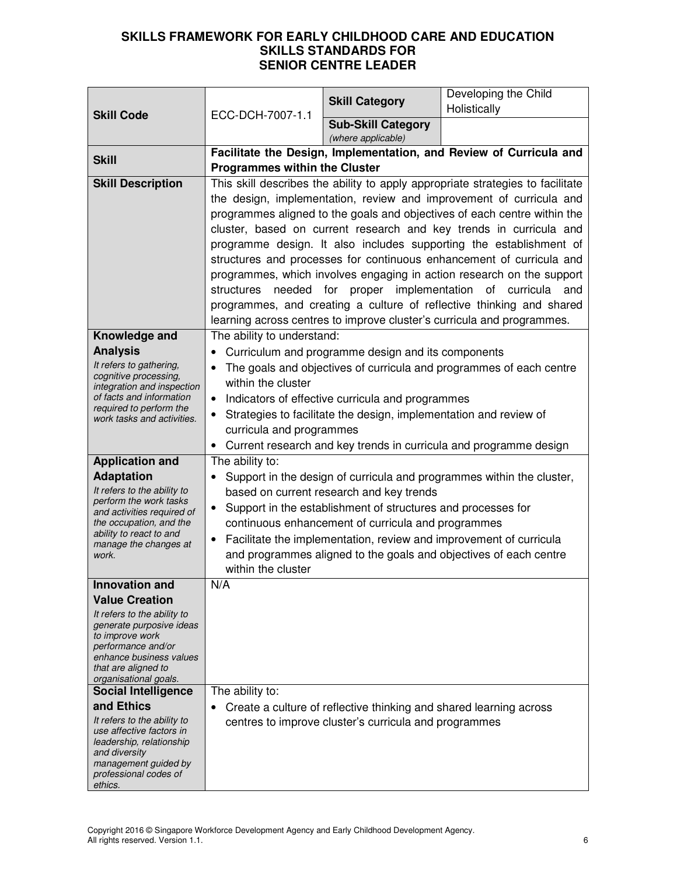|                                                       |                                                                                |                                                                    | Developing the Child                                                     |
|-------------------------------------------------------|--------------------------------------------------------------------------------|--------------------------------------------------------------------|--------------------------------------------------------------------------|
| <b>Skill Code</b>                                     | ECC-DCH-7007-1.1                                                               | <b>Skill Category</b>                                              | Holistically                                                             |
|                                                       |                                                                                | <b>Sub-Skill Category</b>                                          |                                                                          |
|                                                       |                                                                                | (where applicable)                                                 |                                                                          |
| <b>Skill</b>                                          | Facilitate the Design, Implementation, and Review of Curricula and             |                                                                    |                                                                          |
|                                                       | <b>Programmes within the Cluster</b>                                           |                                                                    |                                                                          |
| <b>Skill Description</b>                              | This skill describes the ability to apply appropriate strategies to facilitate |                                                                    |                                                                          |
|                                                       |                                                                                |                                                                    | the design, implementation, review and improvement of curricula and      |
|                                                       |                                                                                |                                                                    | programmes aligned to the goals and objectives of each centre within the |
|                                                       |                                                                                |                                                                    | cluster, based on current research and key trends in curricula and       |
|                                                       |                                                                                |                                                                    | programme design. It also includes supporting the establishment of       |
|                                                       |                                                                                |                                                                    | structures and processes for continuous enhancement of curricula and     |
|                                                       |                                                                                |                                                                    | programmes, which involves engaging in action research on the support    |
|                                                       | structures                                                                     |                                                                    | needed for proper implementation of curricula and                        |
|                                                       |                                                                                |                                                                    | programmes, and creating a culture of reflective thinking and shared     |
|                                                       |                                                                                |                                                                    | learning across centres to improve cluster's curricula and programmes.   |
| Knowledge and                                         | The ability to understand:                                                     |                                                                    |                                                                          |
| <b>Analysis</b><br>It refers to gathering,            |                                                                                | Curriculum and programme design and its components                 |                                                                          |
| cognitive processing,                                 |                                                                                |                                                                    | The goals and objectives of curricula and programmes of each centre      |
| integration and inspection                            | within the cluster                                                             |                                                                    |                                                                          |
| of facts and information<br>required to perform the   | $\bullet$                                                                      | Indicators of effective curricula and programmes                   |                                                                          |
| work tasks and activities.                            | Strategies to facilitate the design, implementation and review of              |                                                                    |                                                                          |
|                                                       | curricula and programmes                                                       |                                                                    |                                                                          |
|                                                       |                                                                                |                                                                    | • Current research and key trends in curricula and programme design      |
| <b>Application and</b>                                | The ability to:                                                                |                                                                    |                                                                          |
| <b>Adaptation</b>                                     |                                                                                |                                                                    | Support in the design of curricula and programmes within the cluster,    |
| It refers to the ability to<br>perform the work tasks |                                                                                | based on current research and key trends                           |                                                                          |
| and activities required of                            | $\bullet$                                                                      | Support in the establishment of structures and processes for       |                                                                          |
| the occupation, and the<br>ability to react to and    |                                                                                | continuous enhancement of curricula and programmes                 |                                                                          |
| manage the changes at                                 |                                                                                |                                                                    | Facilitate the implementation, review and improvement of curricula       |
| work.                                                 | within the cluster                                                             |                                                                    | and programmes aligned to the goals and objectives of each centre        |
|                                                       | N/A                                                                            |                                                                    |                                                                          |
| Innovation and<br><b>Value Creation</b>               |                                                                                |                                                                    |                                                                          |
| It refers to the ability to                           |                                                                                |                                                                    |                                                                          |
| generate purposive ideas                              |                                                                                |                                                                    |                                                                          |
| to improve work<br>performance and/or                 |                                                                                |                                                                    |                                                                          |
| enhance business values                               |                                                                                |                                                                    |                                                                          |
| that are aligned to                                   |                                                                                |                                                                    |                                                                          |
| organisational goals.<br><b>Social Intelligence</b>   | The ability to:                                                                |                                                                    |                                                                          |
| and Ethics                                            |                                                                                | Create a culture of reflective thinking and shared learning across |                                                                          |
| It refers to the ability to                           |                                                                                | centres to improve cluster's curricula and programmes              |                                                                          |
| use affective factors in                              |                                                                                |                                                                    |                                                                          |
| leadership, relationship<br>and diversity             |                                                                                |                                                                    |                                                                          |
| management guided by                                  |                                                                                |                                                                    |                                                                          |
| professional codes of<br>ethics.                      |                                                                                |                                                                    |                                                                          |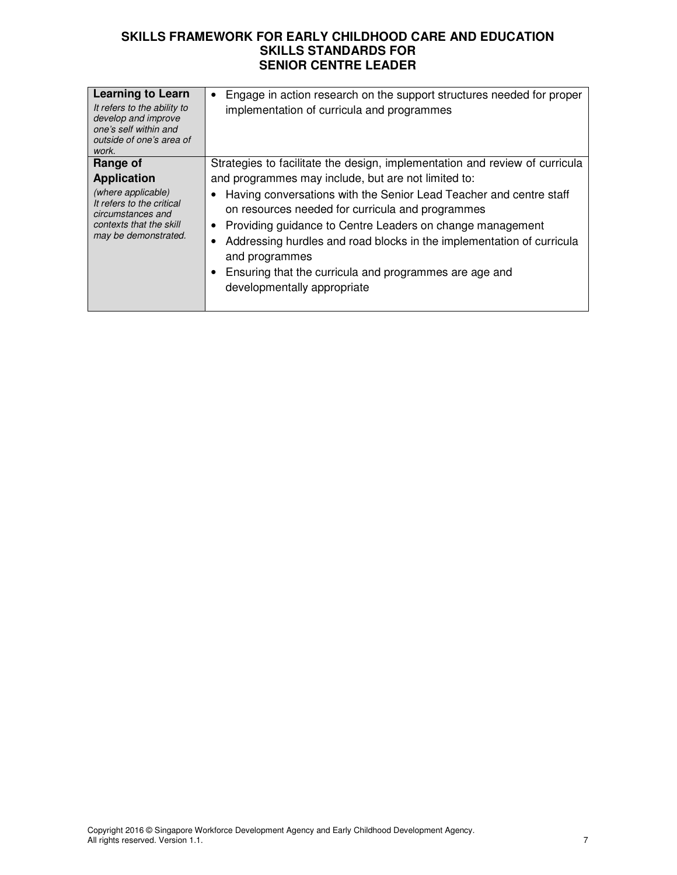| <b>Learning to Learn</b><br>It refers to the ability to<br>develop and improve<br>one's self within and<br>outside of one's area of<br>work.              | Engage in action research on the support structures needed for proper<br>implementation of curricula and programmes                                                                                                                                                                                                                                                                                                                                                                                           |
|-----------------------------------------------------------------------------------------------------------------------------------------------------------|---------------------------------------------------------------------------------------------------------------------------------------------------------------------------------------------------------------------------------------------------------------------------------------------------------------------------------------------------------------------------------------------------------------------------------------------------------------------------------------------------------------|
| Range of<br><b>Application</b><br>(where applicable)<br>It refers to the critical<br>circumstances and<br>contexts that the skill<br>may be demonstrated. | Strategies to facilitate the design, implementation and review of curricula<br>and programmes may include, but are not limited to:<br>Having conversations with the Senior Lead Teacher and centre staff<br>on resources needed for curricula and programmes<br>Providing guidance to Centre Leaders on change management<br>Addressing hurdles and road blocks in the implementation of curricula<br>and programmes<br>Ensuring that the curricula and programmes are age and<br>developmentally appropriate |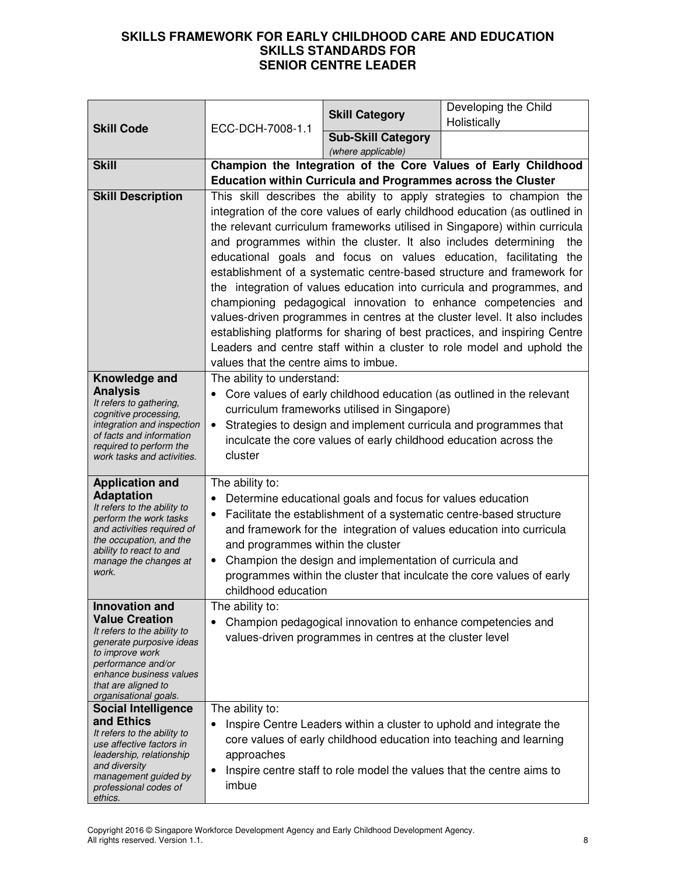|                                                       |                                                                | <b>Skill Category</b>                                             | Developing the Child<br>Holistically                                                                                                                      |
|-------------------------------------------------------|----------------------------------------------------------------|-------------------------------------------------------------------|-----------------------------------------------------------------------------------------------------------------------------------------------------------|
| <b>Skill Code</b>                                     | ECC-DCH-7008-1.1                                               | <b>Sub-Skill Category</b>                                         |                                                                                                                                                           |
|                                                       |                                                                | (where applicable)                                                |                                                                                                                                                           |
| <b>Skill</b>                                          | Champion the Integration of the Core Values of Early Childhood |                                                                   |                                                                                                                                                           |
|                                                       |                                                                |                                                                   | Education within Curricula and Programmes across the Cluster                                                                                              |
| <b>Skill Description</b>                              |                                                                |                                                                   | This skill describes the ability to apply strategies to champion the                                                                                      |
|                                                       |                                                                |                                                                   | integration of the core values of early childhood education (as outlined in<br>the relevant curriculum frameworks utilised in Singapore) within curricula |
|                                                       |                                                                |                                                                   | and programmes within the cluster. It also includes determining<br>the                                                                                    |
|                                                       |                                                                |                                                                   | educational goals and focus on values education, facilitating the                                                                                         |
|                                                       |                                                                |                                                                   | establishment of a systematic centre-based structure and framework for                                                                                    |
|                                                       |                                                                |                                                                   | the integration of values education into curricula and programmes, and                                                                                    |
|                                                       |                                                                |                                                                   | championing pedagogical innovation to enhance competencies and                                                                                            |
|                                                       |                                                                |                                                                   | values-driven programmes in centres at the cluster level. It also includes                                                                                |
|                                                       |                                                                |                                                                   | establishing platforms for sharing of best practices, and inspiring Centre                                                                                |
|                                                       | values that the centre aims to imbue.                          |                                                                   | Leaders and centre staff within a cluster to role model and uphold the                                                                                    |
| Knowledge and                                         | The ability to understand:                                     |                                                                   |                                                                                                                                                           |
| <b>Analysis</b>                                       |                                                                |                                                                   | Core values of early childhood education (as outlined in the relevant                                                                                     |
| It refers to gathering,<br>cognitive processing,      |                                                                | curriculum frameworks utilised in Singapore)                      |                                                                                                                                                           |
| integration and inspection                            |                                                                |                                                                   | Strategies to design and implement curricula and programmes that                                                                                          |
| of facts and information<br>required to perform the   |                                                                | inculcate the core values of early childhood education across the |                                                                                                                                                           |
| work tasks and activities.                            | cluster                                                        |                                                                   |                                                                                                                                                           |
| <b>Application and</b>                                | The ability to:                                                |                                                                   |                                                                                                                                                           |
| <b>Adaptation</b><br>It refers to the ability to      | ٠                                                              | Determine educational goals and focus for values education        |                                                                                                                                                           |
| perform the work tasks                                |                                                                |                                                                   | Facilitate the establishment of a systematic centre-based structure                                                                                       |
| and activities required of<br>the occupation, and the |                                                                |                                                                   | and framework for the integration of values education into curricula                                                                                      |
| ability to react to and                               | and programmes within the cluster<br>$\bullet$                 | Champion the design and implementation of curricula and           |                                                                                                                                                           |
| manage the changes at<br>work.                        |                                                                |                                                                   | programmes within the cluster that inculcate the core values of early                                                                                     |
|                                                       | childhood education                                            |                                                                   |                                                                                                                                                           |
| <b>Innovation and</b>                                 | The ability to:                                                |                                                                   |                                                                                                                                                           |
| <b>Value Creation</b><br>It refers to the ability to  |                                                                | Champion pedagogical innovation to enhance competencies and       |                                                                                                                                                           |
| generate purposive ideas                              |                                                                | values-driven programmes in centres at the cluster level          |                                                                                                                                                           |
| to improve work<br>performance and/or                 |                                                                |                                                                   |                                                                                                                                                           |
| enhance business values<br>that are aligned to        |                                                                |                                                                   |                                                                                                                                                           |
| organisational goals.                                 |                                                                |                                                                   |                                                                                                                                                           |
| <b>Social Intelligence</b>                            | The ability to:                                                |                                                                   |                                                                                                                                                           |
| and Ethics<br>It refers to the ability to             | $\bullet$                                                      |                                                                   | Inspire Centre Leaders within a cluster to uphold and integrate the                                                                                       |
| use affective factors in<br>leadership, relationship  | approaches                                                     |                                                                   | core values of early childhood education into teaching and learning                                                                                       |
| and diversity                                         | ٠                                                              |                                                                   | Inspire centre staff to role model the values that the centre aims to                                                                                     |
| management guided by<br>professional codes of         | imbue                                                          |                                                                   |                                                                                                                                                           |
| ethics.                                               |                                                                |                                                                   |                                                                                                                                                           |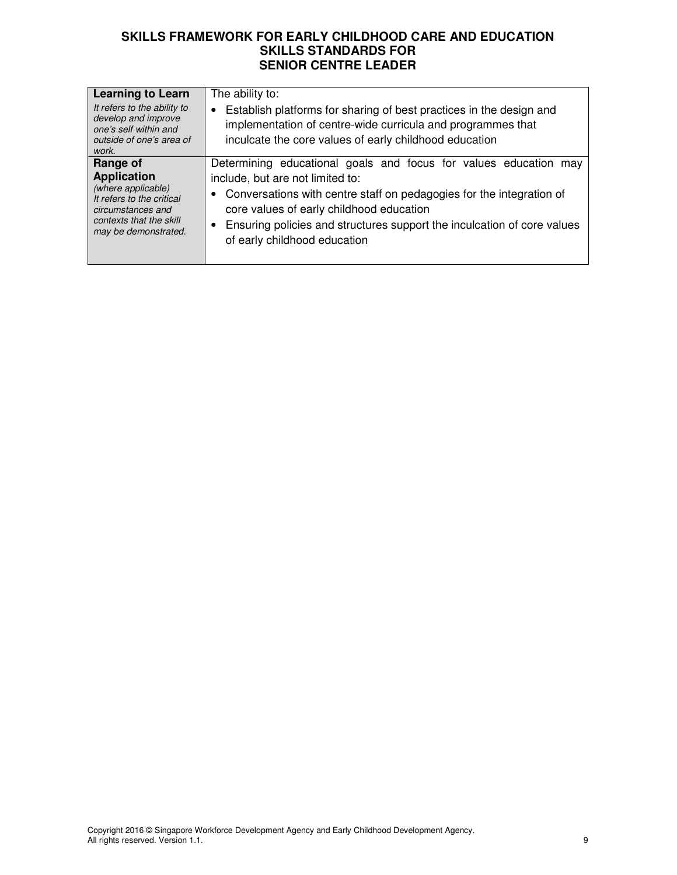| <b>Learning to Learn</b><br>It refers to the ability to<br>develop and improve<br>one's self within and<br>outside of one's area of<br>work.              | The ability to:<br>Establish platforms for sharing of best practices in the design and<br>implementation of centre-wide curricula and programmes that<br>inculcate the core values of early childhood education                                                                                                                                       |
|-----------------------------------------------------------------------------------------------------------------------------------------------------------|-------------------------------------------------------------------------------------------------------------------------------------------------------------------------------------------------------------------------------------------------------------------------------------------------------------------------------------------------------|
| Range of<br><b>Application</b><br>(where applicable)<br>It refers to the critical<br>circumstances and<br>contexts that the skill<br>may be demonstrated. | Determining educational goals and focus for values education<br>may<br>include, but are not limited to:<br>• Conversations with centre staff on pedagogies for the integration of<br>core values of early childhood education<br>Ensuring policies and structures support the inculcation of core values<br>$\bullet$<br>of early childhood education |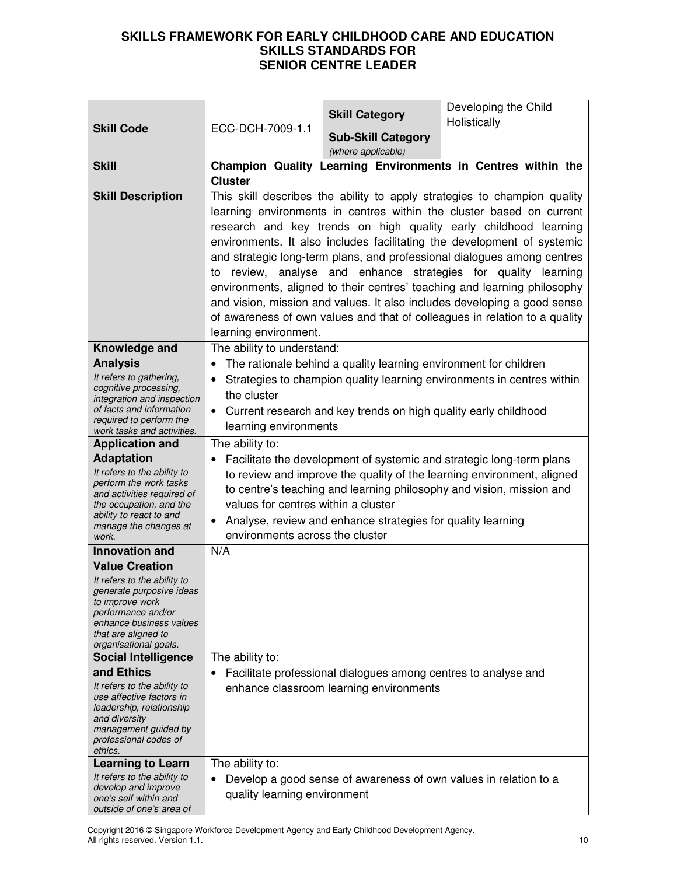| Holistically<br>ECC-DCH-7009-1.1<br><b>Skill Code</b><br><b>Sub-Skill Category</b><br>(where applicable)<br>Champion Quality Learning Environments in Centres within the<br><b>Skill</b> |  |
|------------------------------------------------------------------------------------------------------------------------------------------------------------------------------------------|--|
|                                                                                                                                                                                          |  |
|                                                                                                                                                                                          |  |
|                                                                                                                                                                                          |  |
| <b>Cluster</b>                                                                                                                                                                           |  |
| <b>Skill Description</b><br>This skill describes the ability to apply strategies to champion quality                                                                                     |  |
| learning environments in centres within the cluster based on current<br>research and key trends on high quality early childhood learning                                                 |  |
| environments. It also includes facilitating the development of systemic                                                                                                                  |  |
| and strategic long-term plans, and professional dialogues among centres                                                                                                                  |  |
| to review, analyse and enhance strategies for quality learning                                                                                                                           |  |
| environments, aligned to their centres' teaching and learning philosophy                                                                                                                 |  |
| and vision, mission and values. It also includes developing a good sense                                                                                                                 |  |
| of awareness of own values and that of colleagues in relation to a quality                                                                                                               |  |
| learning environment.                                                                                                                                                                    |  |
| Knowledge and<br>The ability to understand:                                                                                                                                              |  |
| <b>Analysis</b><br>The rationale behind a quality learning environment for children                                                                                                      |  |
| It refers to gathering,<br>Strategies to champion quality learning environments in centres within<br>cognitive processing,                                                               |  |
| the cluster<br>integration and inspection                                                                                                                                                |  |
| of facts and information<br>Current research and key trends on high quality early childhood                                                                                              |  |
| required to perform the<br>learning environments<br>work tasks and activities.                                                                                                           |  |
| <b>Application and</b><br>The ability to:                                                                                                                                                |  |
| <b>Adaptation</b><br>Facilitate the development of systemic and strategic long-term plans                                                                                                |  |
| It refers to the ability to<br>to review and improve the quality of the learning environment, aligned<br>perform the work tasks                                                          |  |
| to centre's teaching and learning philosophy and vision, mission and<br>and activities required of                                                                                       |  |
| values for centres within a cluster<br>the occupation, and the<br>ability to react to and                                                                                                |  |
| Analyse, review and enhance strategies for quality learning<br>$\bullet$<br>manage the changes at                                                                                        |  |
| environments across the cluster<br>work.<br>N/A<br><b>Innovation and</b>                                                                                                                 |  |
| <b>Value Creation</b>                                                                                                                                                                    |  |
| It refers to the ability to                                                                                                                                                              |  |
| generate purposive ideas                                                                                                                                                                 |  |
| to improve work<br>performance and/or                                                                                                                                                    |  |
| enhance business values                                                                                                                                                                  |  |
| that are aligned to<br>organisational goals.                                                                                                                                             |  |
| The ability to:<br><b>Social Intelligence</b>                                                                                                                                            |  |
| and Ethics<br>Facilitate professional dialogues among centres to analyse and                                                                                                             |  |
| It refers to the ability to<br>enhance classroom learning environments<br>use affective factors in                                                                                       |  |
| leadership, relationship                                                                                                                                                                 |  |
| and diversity<br>management guided by                                                                                                                                                    |  |
| professional codes of                                                                                                                                                                    |  |
| ethics.                                                                                                                                                                                  |  |
| The ability to:<br><b>Learning to Learn</b><br>It refers to the ability to<br>Develop a good sense of awareness of own values in relation to a<br>٠                                      |  |
| develop and improve<br>quality learning environment                                                                                                                                      |  |
| one's self within and<br>outside of one's area of                                                                                                                                        |  |

Copyright 2016 © Singapore Workforce Development Agency and Early Childhood Development Agency. All rights reserved. Version 1.1. 10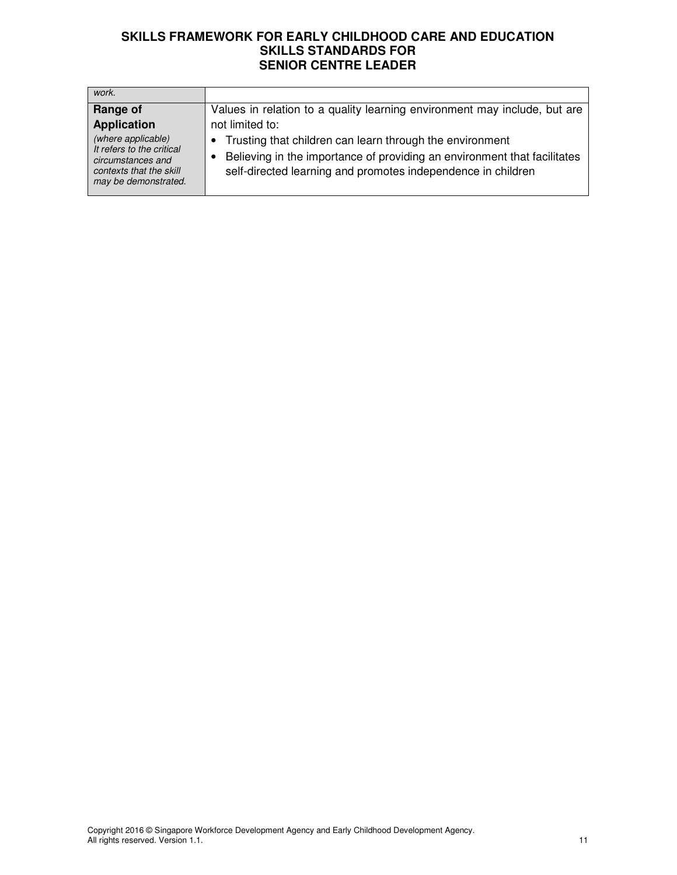| work.                                                                                                                   |                                                                                                                                                                                                        |
|-------------------------------------------------------------------------------------------------------------------------|--------------------------------------------------------------------------------------------------------------------------------------------------------------------------------------------------------|
| Range of                                                                                                                | Values in relation to a quality learning environment may include, but are                                                                                                                              |
| <b>Application</b>                                                                                                      | not limited to:                                                                                                                                                                                        |
| (where applicable)<br>It refers to the critical<br>circumstances and<br>contexts that the skill<br>may be demonstrated. | • Trusting that children can learn through the environment<br>Believing in the importance of providing an environment that facilitates<br>self-directed learning and promotes independence in children |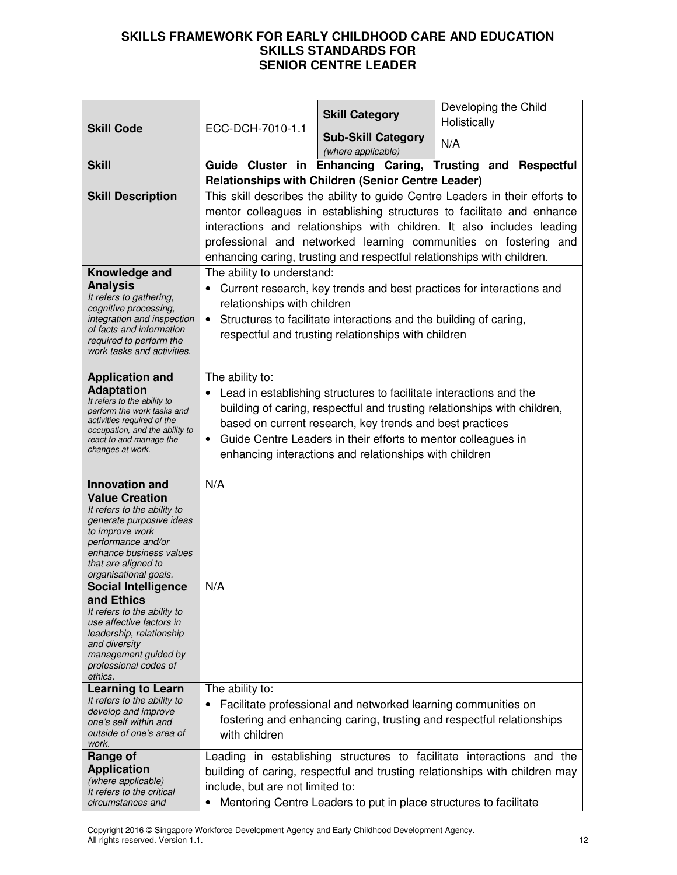|                                                              | ECC-DCH-7010-1.1                                                 | <b>Skill Category</b>                                                  | Developing the Child<br>Holistically                                         |
|--------------------------------------------------------------|------------------------------------------------------------------|------------------------------------------------------------------------|------------------------------------------------------------------------------|
| <b>Skill Code</b>                                            |                                                                  | <b>Sub-Skill Category</b><br>(where applicable)                        | N/A                                                                          |
| <b>Skill</b>                                                 |                                                                  |                                                                        | Guide Cluster in Enhancing Caring, Trusting and Respectful                   |
|                                                              |                                                                  | <b>Relationships with Children (Senior Centre Leader)</b>              |                                                                              |
| <b>Skill Description</b>                                     |                                                                  |                                                                        | This skill describes the ability to guide Centre Leaders in their efforts to |
|                                                              |                                                                  |                                                                        | mentor colleagues in establishing structures to facilitate and enhance       |
|                                                              |                                                                  |                                                                        | interactions and relationships with children. It also includes leading       |
|                                                              | professional and networked learning communities on fostering and |                                                                        |                                                                              |
|                                                              |                                                                  | enhancing caring, trusting and respectful relationships with children. |                                                                              |
| Knowledge and                                                | The ability to understand:                                       |                                                                        |                                                                              |
| <b>Analysis</b><br>It refers to gathering,                   |                                                                  |                                                                        | Current research, key trends and best practices for interactions and         |
| cognitive processing,                                        | relationships with children                                      |                                                                        |                                                                              |
| integration and inspection<br>of facts and information       | $\bullet$                                                        | Structures to facilitate interactions and the building of caring,      |                                                                              |
| required to perform the                                      |                                                                  | respectful and trusting relationships with children                    |                                                                              |
| work tasks and activities.                                   |                                                                  |                                                                        |                                                                              |
| <b>Application and</b>                                       | The ability to:                                                  |                                                                        |                                                                              |
| <b>Adaptation</b>                                            |                                                                  | Lead in establishing structures to facilitate interactions and the     |                                                                              |
| It refers to the ability to<br>perform the work tasks and    |                                                                  |                                                                        | building of caring, respectful and trusting relationships with children,     |
| activities required of the<br>occupation, and the ability to |                                                                  | based on current research, key trends and best practices               |                                                                              |
| react to and manage the                                      | $\bullet$                                                        | Guide Centre Leaders in their efforts to mentor colleagues in          |                                                                              |
| changes at work.                                             |                                                                  | enhancing interactions and relationships with children                 |                                                                              |
| <b>Innovation and</b>                                        | N/A                                                              |                                                                        |                                                                              |
| <b>Value Creation</b>                                        |                                                                  |                                                                        |                                                                              |
| It refers to the ability to                                  |                                                                  |                                                                        |                                                                              |
| generate purposive ideas<br>to improve work                  |                                                                  |                                                                        |                                                                              |
| performance and/or                                           |                                                                  |                                                                        |                                                                              |
| enhance business values<br>that are aligned to               |                                                                  |                                                                        |                                                                              |
| organisational goals.                                        |                                                                  |                                                                        |                                                                              |
| <b>Social Intelligence</b>                                   | N/A                                                              |                                                                        |                                                                              |
| and Ethics<br>It refers to the ability to                    |                                                                  |                                                                        |                                                                              |
| use affective factors in                                     |                                                                  |                                                                        |                                                                              |
| leadership, relationship<br>and diversity                    |                                                                  |                                                                        |                                                                              |
| management guided by<br>professional codes of                |                                                                  |                                                                        |                                                                              |
| ethics.                                                      |                                                                  |                                                                        |                                                                              |
| <b>Learning to Learn</b>                                     | The ability to:                                                  |                                                                        |                                                                              |
| It refers to the ability to<br>develop and improve           | ٠                                                                | Facilitate professional and networked learning communities on          |                                                                              |
| one's self within and                                        |                                                                  |                                                                        | fostering and enhancing caring, trusting and respectful relationships        |
| outside of one's area of<br>work.                            | with children                                                    |                                                                        |                                                                              |
| Range of                                                     |                                                                  |                                                                        | Leading in establishing structures to facilitate interactions and the        |
| <b>Application</b>                                           |                                                                  |                                                                        | building of caring, respectful and trusting relationships with children may  |
| (where applicable)<br>It refers to the critical              | include, but are not limited to:                                 |                                                                        |                                                                              |
| circumstances and                                            |                                                                  | Mentoring Centre Leaders to put in place structures to facilitate      |                                                                              |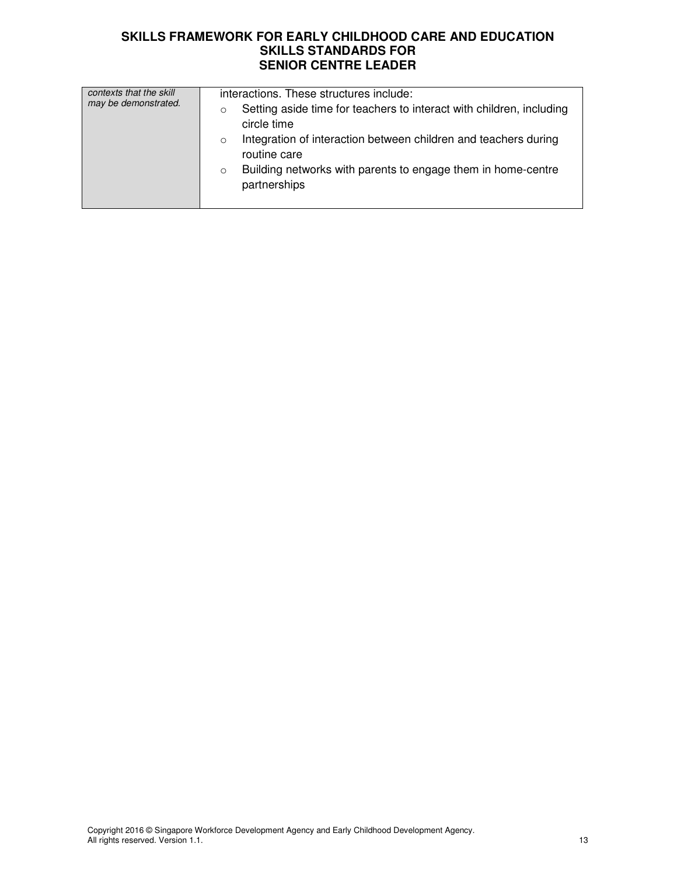| contexts that the skill<br>may be demonstrated. | interactions. These structures include:<br>Setting aside time for teachers to interact with children, including<br>circle time<br>Integration of interaction between children and teachers during<br>$\circ$<br>routine care<br>Building networks with parents to engage them in home-centre<br>$\circ$<br>partnerships |
|-------------------------------------------------|-------------------------------------------------------------------------------------------------------------------------------------------------------------------------------------------------------------------------------------------------------------------------------------------------------------------------|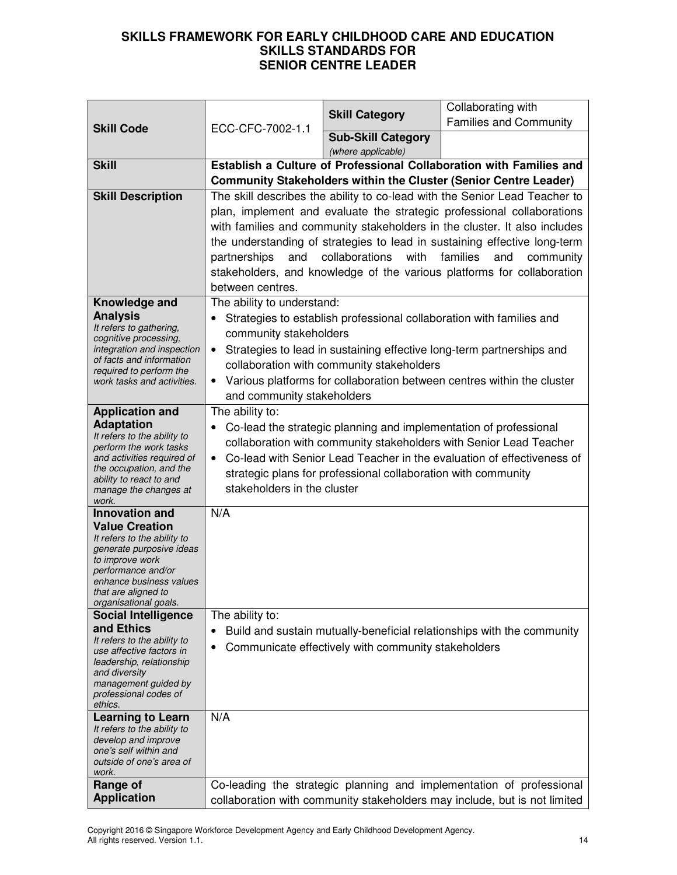| <b>Skill Code</b>                                       |                                                                                                                                                      | <b>Skill Category</b>                                                     | Collaborating with<br><b>Families and Community</b>                       |
|---------------------------------------------------------|------------------------------------------------------------------------------------------------------------------------------------------------------|---------------------------------------------------------------------------|---------------------------------------------------------------------------|
|                                                         | ECC-CFC-7002-1.1                                                                                                                                     | <b>Sub-Skill Category</b>                                                 |                                                                           |
|                                                         |                                                                                                                                                      | (where applicable)                                                        |                                                                           |
| <b>Skill</b>                                            | Establish a Culture of Professional Collaboration with Families and                                                                                  |                                                                           |                                                                           |
|                                                         | Community Stakeholders within the Cluster (Senior Centre Leader)                                                                                     |                                                                           |                                                                           |
| <b>Skill Description</b>                                | The skill describes the ability to co-lead with the Senior Lead Teacher to                                                                           |                                                                           |                                                                           |
|                                                         |                                                                                                                                                      |                                                                           | plan, implement and evaluate the strategic professional collaborations    |
|                                                         |                                                                                                                                                      | with families and community stakeholders in the cluster. It also includes |                                                                           |
|                                                         |                                                                                                                                                      |                                                                           | the understanding of strategies to lead in sustaining effective long-term |
|                                                         | partnerships<br>and                                                                                                                                  | collaborations<br>with                                                    | families<br>and<br>community                                              |
|                                                         | between centres.                                                                                                                                     |                                                                           | stakeholders, and knowledge of the various platforms for collaboration    |
| Knowledge and                                           | The ability to understand:                                                                                                                           |                                                                           |                                                                           |
| <b>Analysis</b>                                         | ٠                                                                                                                                                    |                                                                           | Strategies to establish professional collaboration with families and      |
| It refers to gathering,                                 | community stakeholders                                                                                                                               |                                                                           |                                                                           |
| cognitive processing,<br>integration and inspection     |                                                                                                                                                      |                                                                           | Strategies to lead in sustaining effective long-term partnerships and     |
| of facts and information                                |                                                                                                                                                      | collaboration with community stakeholders                                 |                                                                           |
| required to perform the<br>work tasks and activities.   | $\bullet$                                                                                                                                            |                                                                           | Various platforms for collaboration between centres within the cluster    |
|                                                         | and community stakeholders                                                                                                                           |                                                                           |                                                                           |
| <b>Application and</b>                                  | The ability to:                                                                                                                                      |                                                                           |                                                                           |
| <b>Adaptation</b><br>It refers to the ability to        |                                                                                                                                                      |                                                                           | Co-lead the strategic planning and implementation of professional         |
| perform the work tasks                                  | collaboration with community stakeholders with Senior Lead Teacher                                                                                   |                                                                           |                                                                           |
| and activities required of<br>the occupation, and the   | Co-lead with Senior Lead Teacher in the evaluation of effectiveness of<br>$\bullet$<br>strategic plans for professional collaboration with community |                                                                           |                                                                           |
| ability to react to and                                 |                                                                                                                                                      |                                                                           |                                                                           |
| manage the changes at<br>work.                          | stakeholders in the cluster                                                                                                                          |                                                                           |                                                                           |
| <b>Innovation and</b>                                   | N/A                                                                                                                                                  |                                                                           |                                                                           |
| <b>Value Creation</b>                                   |                                                                                                                                                      |                                                                           |                                                                           |
| It refers to the ability to<br>generate purposive ideas |                                                                                                                                                      |                                                                           |                                                                           |
| to improve work                                         |                                                                                                                                                      |                                                                           |                                                                           |
| performance and/or<br>enhance business values           |                                                                                                                                                      |                                                                           |                                                                           |
| that are aligned to                                     |                                                                                                                                                      |                                                                           |                                                                           |
| organisational goals.<br><b>Social Intelligence</b>     | The ability to:                                                                                                                                      |                                                                           |                                                                           |
| and Ethics                                              |                                                                                                                                                      |                                                                           | Build and sustain mutually-beneficial relationships with the community    |
| It refers to the ability to<br>use affective factors in | ٠                                                                                                                                                    | Communicate effectively with community stakeholders                       |                                                                           |
| leadership, relationship                                |                                                                                                                                                      |                                                                           |                                                                           |
| and diversity<br>management guided by                   |                                                                                                                                                      |                                                                           |                                                                           |
| professional codes of                                   |                                                                                                                                                      |                                                                           |                                                                           |
| ethics.<br><b>Learning to Learn</b>                     | N/A                                                                                                                                                  |                                                                           |                                                                           |
| It refers to the ability to                             |                                                                                                                                                      |                                                                           |                                                                           |
| develop and improve<br>one's self within and            |                                                                                                                                                      |                                                                           |                                                                           |
| outside of one's area of                                |                                                                                                                                                      |                                                                           |                                                                           |
| work.<br>Range of                                       |                                                                                                                                                      |                                                                           | Co-leading the strategic planning and implementation of professional      |
| <b>Application</b>                                      |                                                                                                                                                      |                                                                           | collaboration with community stakeholders may include, but is not limited |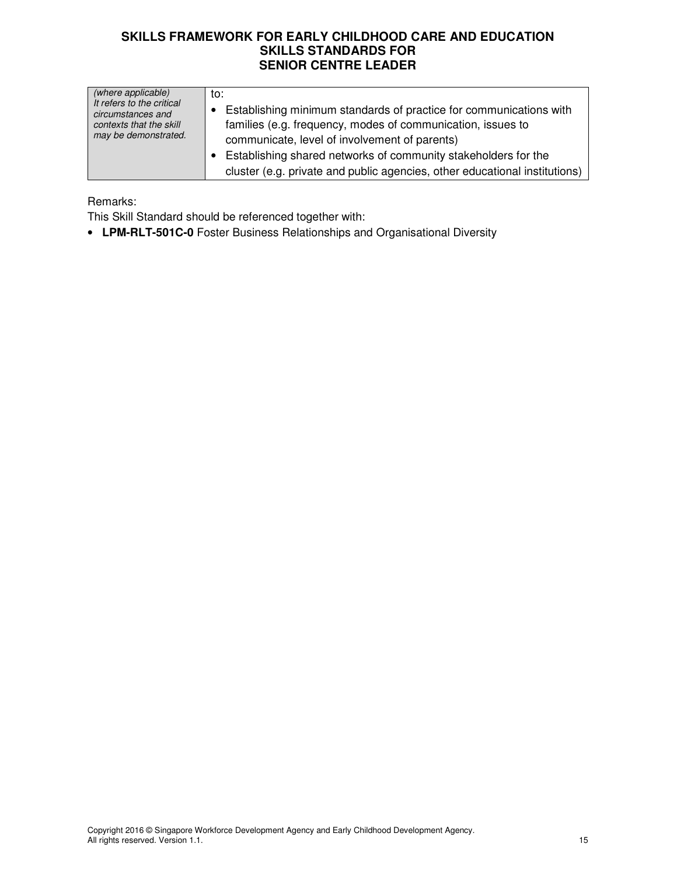| (where applicable)<br>It refers to the critical<br>circumstances and<br>contexts that the skill<br>may be demonstrated. | to:<br>Establishing minimum standards of practice for communications with<br>families (e.g. frequency, modes of communication, issues to<br>communicate, level of involvement of parents)<br>Establishing shared networks of community stakeholders for the<br>cluster (e.g. private and public agencies, other educational institutions) |
|-------------------------------------------------------------------------------------------------------------------------|-------------------------------------------------------------------------------------------------------------------------------------------------------------------------------------------------------------------------------------------------------------------------------------------------------------------------------------------|
|-------------------------------------------------------------------------------------------------------------------------|-------------------------------------------------------------------------------------------------------------------------------------------------------------------------------------------------------------------------------------------------------------------------------------------------------------------------------------------|

Remarks:

This Skill Standard should be referenced together with:

• **LPM-RLT-501C-0** Foster Business Relationships and Organisational Diversity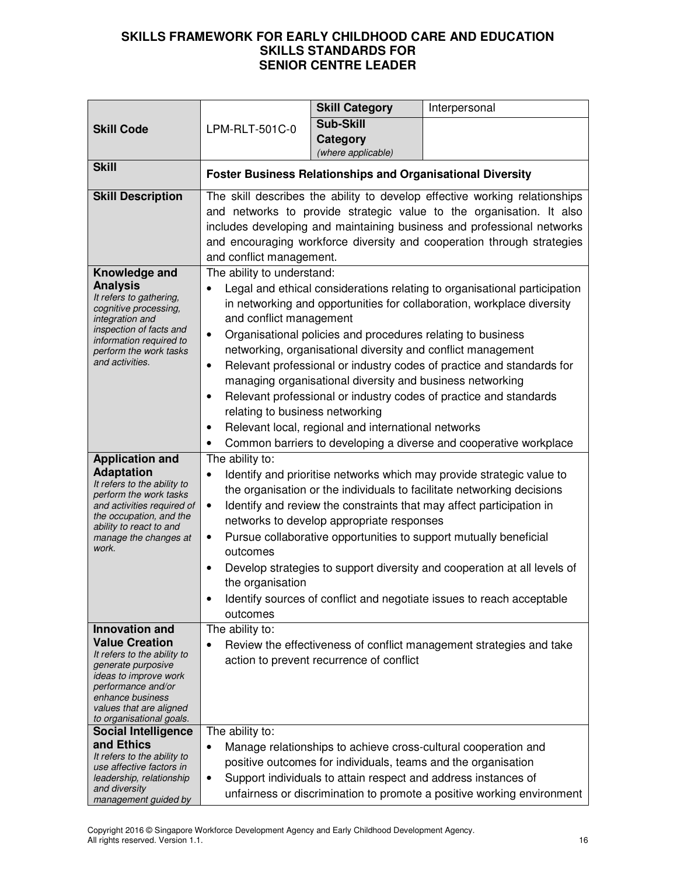| <b>Skill Code</b>                                      | LPM-RLT-501C-0                                                                                                                                                                                                  | <b>Skill Category</b>                                             | Interpersonal                                                                                                                   |
|--------------------------------------------------------|-----------------------------------------------------------------------------------------------------------------------------------------------------------------------------------------------------------------|-------------------------------------------------------------------|---------------------------------------------------------------------------------------------------------------------------------|
|                                                        |                                                                                                                                                                                                                 | <b>Sub-Skill</b>                                                  |                                                                                                                                 |
|                                                        |                                                                                                                                                                                                                 | <b>Category</b>                                                   |                                                                                                                                 |
|                                                        |                                                                                                                                                                                                                 | (where applicable)                                                |                                                                                                                                 |
| <b>Skill</b>                                           |                                                                                                                                                                                                                 | <b>Foster Business Relationships and Organisational Diversity</b> |                                                                                                                                 |
| <b>Skill Description</b>                               |                                                                                                                                                                                                                 |                                                                   | The skill describes the ability to develop effective working relationships                                                      |
|                                                        | and networks to provide strategic value to the organisation. It also                                                                                                                                            |                                                                   |                                                                                                                                 |
|                                                        | includes developing and maintaining business and professional networks                                                                                                                                          |                                                                   |                                                                                                                                 |
|                                                        | and encouraging workforce diversity and cooperation through strategies                                                                                                                                          |                                                                   |                                                                                                                                 |
|                                                        | and conflict management.                                                                                                                                                                                        |                                                                   |                                                                                                                                 |
| Knowledge and                                          | The ability to understand:                                                                                                                                                                                      |                                                                   |                                                                                                                                 |
| <b>Analysis</b><br>It refers to gathering,             | $\bullet$                                                                                                                                                                                                       |                                                                   | Legal and ethical considerations relating to organisational participation                                                       |
| cognitive processing,                                  |                                                                                                                                                                                                                 |                                                                   | in networking and opportunities for collaboration, workplace diversity                                                          |
| integration and<br>inspection of facts and             | and conflict management                                                                                                                                                                                         |                                                                   |                                                                                                                                 |
| information required to                                | $\bullet$                                                                                                                                                                                                       | Organisational policies and procedures relating to business       |                                                                                                                                 |
| perform the work tasks<br>and activities.              |                                                                                                                                                                                                                 |                                                                   | networking, organisational diversity and conflict management                                                                    |
|                                                        | $\bullet$                                                                                                                                                                                                       |                                                                   | Relevant professional or industry codes of practice and standards for                                                           |
|                                                        |                                                                                                                                                                                                                 | managing organisational diversity and business networking         |                                                                                                                                 |
|                                                        | $\bullet$                                                                                                                                                                                                       |                                                                   | Relevant professional or industry codes of practice and standards                                                               |
|                                                        | relating to business networking                                                                                                                                                                                 |                                                                   |                                                                                                                                 |
|                                                        | Relevant local, regional and international networks<br>$\bullet$                                                                                                                                                |                                                                   |                                                                                                                                 |
| <b>Application and</b>                                 | Common barriers to developing a diverse and cooperative workplace<br>The ability to:                                                                                                                            |                                                                   |                                                                                                                                 |
| <b>Adaptation</b>                                      | Identify and prioritise networks which may provide strategic value to<br>$\bullet$                                                                                                                              |                                                                   |                                                                                                                                 |
| It refers to the ability to                            | the organisation or the individuals to facilitate networking decisions                                                                                                                                          |                                                                   |                                                                                                                                 |
| perform the work tasks<br>and activities required of   | $\bullet$                                                                                                                                                                                                       |                                                                   |                                                                                                                                 |
| the occupation, and the                                | Identify and review the constraints that may affect participation in<br>networks to develop appropriate responses<br>Pursue collaborative opportunities to support mutually beneficial<br>$\bullet$<br>outcomes |                                                                   |                                                                                                                                 |
| ability to react to and<br>manage the changes at       |                                                                                                                                                                                                                 |                                                                   |                                                                                                                                 |
| work.                                                  |                                                                                                                                                                                                                 |                                                                   |                                                                                                                                 |
|                                                        |                                                                                                                                                                                                                 |                                                                   | Develop strategies to support diversity and cooperation at all levels of                                                        |
|                                                        | the organisation                                                                                                                                                                                                |                                                                   |                                                                                                                                 |
|                                                        | Identify sources of conflict and negotiate issues to reach acceptable                                                                                                                                           |                                                                   |                                                                                                                                 |
|                                                        | outcomes                                                                                                                                                                                                        |                                                                   |                                                                                                                                 |
| Innovation and                                         | The ability to:                                                                                                                                                                                                 |                                                                   |                                                                                                                                 |
| <b>Value Creation</b>                                  | $\bullet$                                                                                                                                                                                                       |                                                                   | Review the effectiveness of conflict management strategies and take                                                             |
| It refers to the ability to<br>generate purposive      | action to prevent recurrence of conflict                                                                                                                                                                        |                                                                   |                                                                                                                                 |
| ideas to improve work                                  |                                                                                                                                                                                                                 |                                                                   |                                                                                                                                 |
| performance and/or<br>enhance business                 |                                                                                                                                                                                                                 |                                                                   |                                                                                                                                 |
| values that are aligned                                |                                                                                                                                                                                                                 |                                                                   |                                                                                                                                 |
| to organisational goals.<br><b>Social Intelligence</b> | The ability to:                                                                                                                                                                                                 |                                                                   |                                                                                                                                 |
| and Ethics                                             |                                                                                                                                                                                                                 |                                                                   |                                                                                                                                 |
| It refers to the ability to                            | ٠                                                                                                                                                                                                               |                                                                   | Manage relationships to achieve cross-cultural cooperation and<br>positive outcomes for individuals, teams and the organisation |
| use affective factors in                               |                                                                                                                                                                                                                 |                                                                   |                                                                                                                                 |
| leadership, relationship<br>and diversity              | Support individuals to attain respect and address instances of<br>$\bullet$                                                                                                                                     |                                                                   |                                                                                                                                 |
| management guided by                                   | unfairness or discrimination to promote a positive working environment                                                                                                                                          |                                                                   |                                                                                                                                 |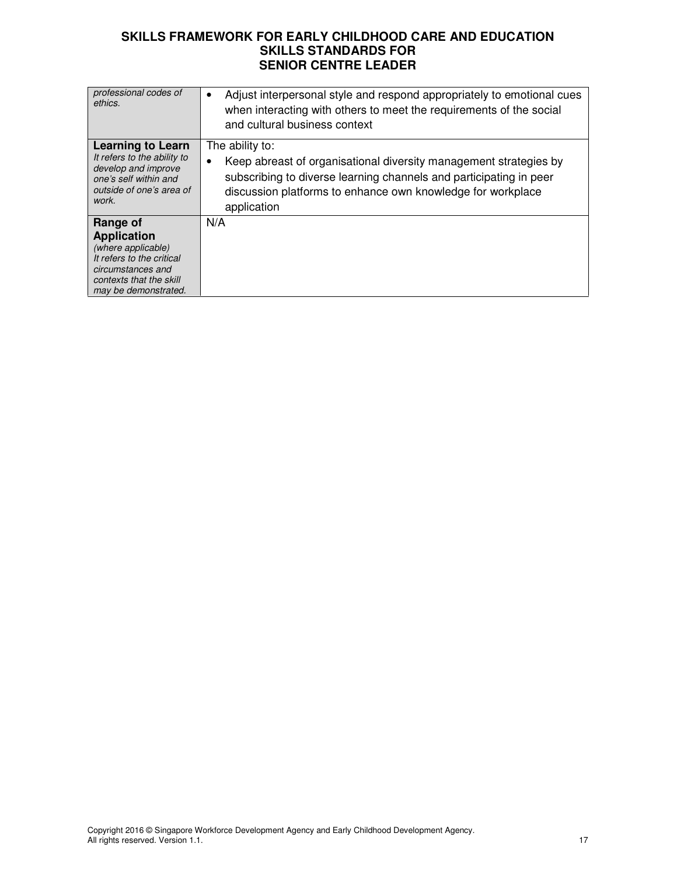| professional codes of<br>ethics.                                                                                                                          | Adjust interpersonal style and respond appropriately to emotional cues<br>when interacting with others to meet the requirements of the social<br>and cultural business context                                                                        |
|-----------------------------------------------------------------------------------------------------------------------------------------------------------|-------------------------------------------------------------------------------------------------------------------------------------------------------------------------------------------------------------------------------------------------------|
| <b>Learning to Learn</b><br>It refers to the ability to<br>develop and improve<br>one's self within and<br>outside of one's area of<br>work.              | The ability to:<br>Keep abreast of organisational diversity management strategies by<br>$\bullet$<br>subscribing to diverse learning channels and participating in peer<br>discussion platforms to enhance own knowledge for workplace<br>application |
| Range of<br><b>Application</b><br>(where applicable)<br>It refers to the critical<br>circumstances and<br>contexts that the skill<br>may be demonstrated. | N/A                                                                                                                                                                                                                                                   |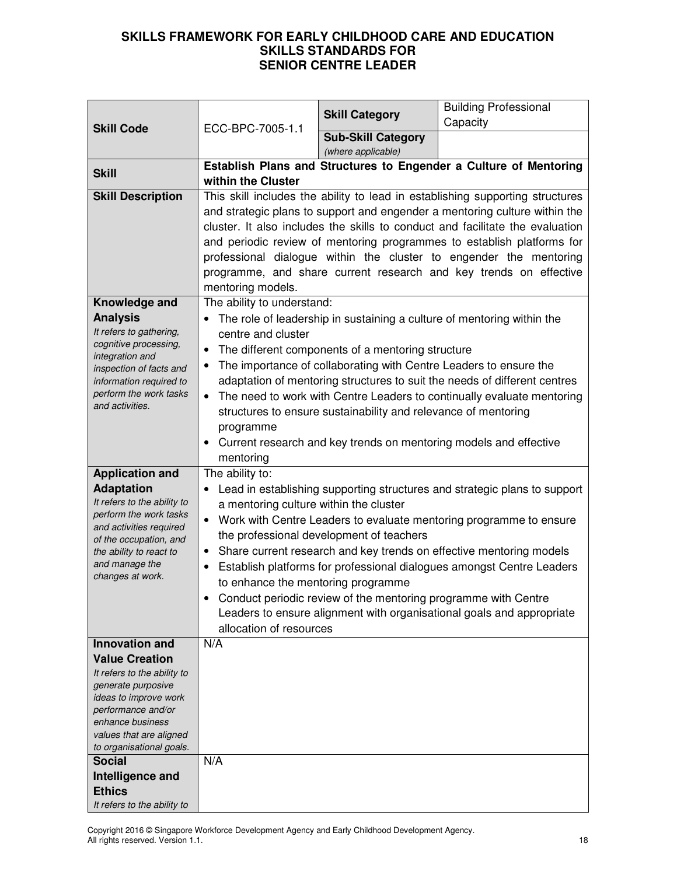| <b>Skill Code</b>                                     | ECC-BPC-7005-1.1                                                                                            | <b>Skill Category</b>                                                  | <b>Building Professional</b>                                                  |
|-------------------------------------------------------|-------------------------------------------------------------------------------------------------------------|------------------------------------------------------------------------|-------------------------------------------------------------------------------|
|                                                       |                                                                                                             |                                                                        | Capacity                                                                      |
|                                                       |                                                                                                             | <b>Sub-Skill Category</b><br>(where applicable)                        |                                                                               |
| <b>Skill</b>                                          | Establish Plans and Structures to Engender a Culture of Mentoring<br>within the Cluster                     |                                                                        |                                                                               |
| <b>Skill Description</b>                              |                                                                                                             |                                                                        | This skill includes the ability to lead in establishing supporting structures |
|                                                       | and strategic plans to support and engender a mentoring culture within the                                  |                                                                        |                                                                               |
|                                                       | cluster. It also includes the skills to conduct and facilitate the evaluation                               |                                                                        |                                                                               |
|                                                       |                                                                                                             | and periodic review of mentoring programmes to establish platforms for |                                                                               |
|                                                       |                                                                                                             |                                                                        | professional dialogue within the cluster to engender the mentoring            |
|                                                       |                                                                                                             |                                                                        | programme, and share current research and key trends on effective             |
|                                                       | mentoring models.                                                                                           |                                                                        |                                                                               |
| Knowledge and                                         | The ability to understand:                                                                                  |                                                                        |                                                                               |
| <b>Analysis</b>                                       |                                                                                                             |                                                                        | The role of leadership in sustaining a culture of mentoring within the        |
| It refers to gathering,                               | centre and cluster                                                                                          |                                                                        |                                                                               |
| cognitive processing,<br>integration and              | $\bullet$                                                                                                   | The different components of a mentoring structure                      |                                                                               |
| inspection of facts and                               |                                                                                                             | The importance of collaborating with Centre Leaders to ensure the      |                                                                               |
| information required to                               |                                                                                                             |                                                                        | adaptation of mentoring structures to suit the needs of different centres     |
| perform the work tasks<br>and activities.             |                                                                                                             |                                                                        | The need to work with Centre Leaders to continually evaluate mentoring        |
|                                                       | structures to ensure sustainability and relevance of mentoring                                              |                                                                        |                                                                               |
|                                                       | programme                                                                                                   |                                                                        |                                                                               |
|                                                       | Current research and key trends on mentoring models and effective<br>$\bullet$                              |                                                                        |                                                                               |
|                                                       | mentoring                                                                                                   |                                                                        |                                                                               |
| <b>Application and</b>                                | The ability to:                                                                                             |                                                                        |                                                                               |
| <b>Adaptation</b>                                     |                                                                                                             |                                                                        | Lead in establishing supporting structures and strategic plans to support     |
| It refers to the ability to<br>perform the work tasks | a mentoring culture within the cluster                                                                      |                                                                        |                                                                               |
| and activities required                               | $\bullet$                                                                                                   |                                                                        | Work with Centre Leaders to evaluate mentoring programme to ensure            |
| of the occupation, and                                |                                                                                                             | the professional development of teachers                               |                                                                               |
| the ability to react to<br>and manage the             | $\bullet$<br>$\bullet$                                                                                      |                                                                        | Share current research and key trends on effective mentoring models           |
| changes at work.                                      | Establish platforms for professional dialogues amongst Centre Leaders<br>to enhance the mentoring programme |                                                                        |                                                                               |
|                                                       | Conduct periodic review of the mentoring programme with Centre                                              |                                                                        |                                                                               |
|                                                       | Leaders to ensure alignment with organisational goals and appropriate                                       |                                                                        |                                                                               |
|                                                       | allocation of resources                                                                                     |                                                                        |                                                                               |
| <b>Innovation and</b>                                 | N/A                                                                                                         |                                                                        |                                                                               |
| <b>Value Creation</b>                                 |                                                                                                             |                                                                        |                                                                               |
| It refers to the ability to                           |                                                                                                             |                                                                        |                                                                               |
| generate purposive                                    |                                                                                                             |                                                                        |                                                                               |
| ideas to improve work<br>performance and/or           |                                                                                                             |                                                                        |                                                                               |
| enhance business                                      |                                                                                                             |                                                                        |                                                                               |
| values that are aligned                               |                                                                                                             |                                                                        |                                                                               |
| to organisational goals.                              |                                                                                                             |                                                                        |                                                                               |
| <b>Social</b>                                         | N/A                                                                                                         |                                                                        |                                                                               |
| Intelligence and                                      |                                                                                                             |                                                                        |                                                                               |
| <b>Ethics</b><br>It refers to the ability to          |                                                                                                             |                                                                        |                                                                               |

Copyright 2016 © Singapore Workforce Development Agency and Early Childhood Development Agency. All rights reserved. Version 1.1. 18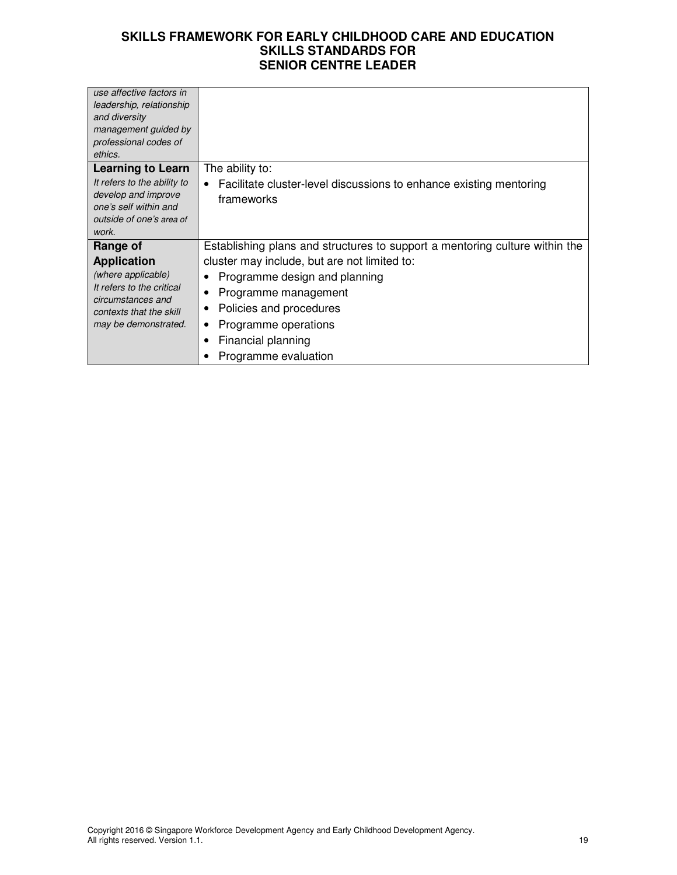| use affective factors in                                                                                                |                                                                             |
|-------------------------------------------------------------------------------------------------------------------------|-----------------------------------------------------------------------------|
| leadership, relationship                                                                                                |                                                                             |
| and diversity                                                                                                           |                                                                             |
| management guided by                                                                                                    |                                                                             |
| professional codes of                                                                                                   |                                                                             |
| ethics.                                                                                                                 |                                                                             |
|                                                                                                                         |                                                                             |
| <b>Learning to Learn</b>                                                                                                | The ability to:                                                             |
| It refers to the ability to                                                                                             | Facilitate cluster-level discussions to enhance existing mentoring          |
| develop and improve                                                                                                     | frameworks                                                                  |
| one's self within and                                                                                                   |                                                                             |
| outside of one's area of                                                                                                |                                                                             |
| work.                                                                                                                   |                                                                             |
| Range of                                                                                                                | Establishing plans and structures to support a mentoring culture within the |
| <b>Application</b>                                                                                                      | cluster may include, but are not limited to:                                |
| (where applicable)<br>It refers to the critical<br>circumstances and<br>contexts that the skill<br>may be demonstrated. | Programme design and planning                                               |
|                                                                                                                         | Programme management                                                        |
|                                                                                                                         | Policies and procedures                                                     |
|                                                                                                                         | Programme operations                                                        |
|                                                                                                                         | Financial planning                                                          |
|                                                                                                                         | Programme evaluation                                                        |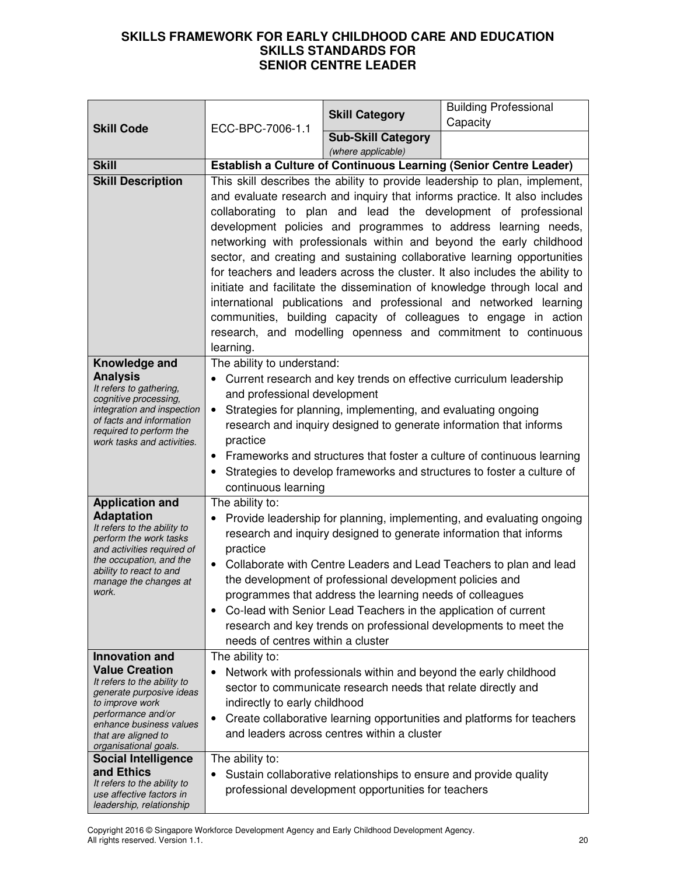|                                                                                                                                                                                                               |                                                                                                                                                          |                                                                     | <b>Building Professional</b>                                             |  |
|---------------------------------------------------------------------------------------------------------------------------------------------------------------------------------------------------------------|----------------------------------------------------------------------------------------------------------------------------------------------------------|---------------------------------------------------------------------|--------------------------------------------------------------------------|--|
| <b>Skill Code</b>                                                                                                                                                                                             | ECC-BPC-7006-1.1                                                                                                                                         | <b>Skill Category</b>                                               | Capacity                                                                 |  |
|                                                                                                                                                                                                               |                                                                                                                                                          | <b>Sub-Skill Category</b>                                           |                                                                          |  |
|                                                                                                                                                                                                               |                                                                                                                                                          | (where applicable)                                                  |                                                                          |  |
| <b>Skill</b>                                                                                                                                                                                                  | <b>Establish a Culture of Continuous Learning (Senior Centre Leader)</b>                                                                                 |                                                                     |                                                                          |  |
| <b>Skill Description</b>                                                                                                                                                                                      | This skill describes the ability to provide leadership to plan, implement,                                                                               |                                                                     |                                                                          |  |
|                                                                                                                                                                                                               | and evaluate research and inquiry that informs practice. It also includes                                                                                |                                                                     |                                                                          |  |
|                                                                                                                                                                                                               | collaborating to plan and lead the development of professional                                                                                           |                                                                     |                                                                          |  |
|                                                                                                                                                                                                               | development policies and programmes to address learning needs,                                                                                           |                                                                     |                                                                          |  |
|                                                                                                                                                                                                               |                                                                                                                                                          | networking with professionals within and beyond the early childhood |                                                                          |  |
|                                                                                                                                                                                                               | sector, and creating and sustaining collaborative learning opportunities<br>for teachers and leaders across the cluster. It also includes the ability to |                                                                     |                                                                          |  |
|                                                                                                                                                                                                               |                                                                                                                                                          |                                                                     |                                                                          |  |
|                                                                                                                                                                                                               |                                                                                                                                                          |                                                                     | initiate and facilitate the dissemination of knowledge through local and |  |
|                                                                                                                                                                                                               |                                                                                                                                                          |                                                                     | international publications and professional and networked learning       |  |
|                                                                                                                                                                                                               |                                                                                                                                                          |                                                                     | communities, building capacity of colleagues to engage in action         |  |
|                                                                                                                                                                                                               | learning.                                                                                                                                                |                                                                     | research, and modelling openness and commitment to continuous            |  |
| Knowledge and                                                                                                                                                                                                 | The ability to understand:                                                                                                                               |                                                                     |                                                                          |  |
| <b>Analysis</b>                                                                                                                                                                                               |                                                                                                                                                          |                                                                     | Current research and key trends on effective curriculum leadership       |  |
| It refers to gathering,                                                                                                                                                                                       | and professional development                                                                                                                             |                                                                     |                                                                          |  |
| cognitive processing,<br>integration and inspection                                                                                                                                                           |                                                                                                                                                          |                                                                     |                                                                          |  |
| of facts and information                                                                                                                                                                                      | Strategies for planning, implementing, and evaluating ongoing<br>$\bullet$<br>research and inquiry designed to generate information that informs         |                                                                     |                                                                          |  |
| required to perform the<br>work tasks and activities.                                                                                                                                                         | practice<br>• Frameworks and structures that foster a culture of continuous learning                                                                     |                                                                     |                                                                          |  |
|                                                                                                                                                                                                               |                                                                                                                                                          |                                                                     |                                                                          |  |
|                                                                                                                                                                                                               | Strategies to develop frameworks and structures to foster a culture of                                                                                   |                                                                     |                                                                          |  |
|                                                                                                                                                                                                               | continuous learning                                                                                                                                      |                                                                     |                                                                          |  |
| <b>Application and</b>                                                                                                                                                                                        | The ability to:                                                                                                                                          |                                                                     |                                                                          |  |
| <b>Adaptation</b>                                                                                                                                                                                             | Provide leadership for planning, implementing, and evaluating ongoing                                                                                    |                                                                     |                                                                          |  |
| It refers to the ability to<br>perform the work tasks                                                                                                                                                         | research and inquiry designed to generate information that informs                                                                                       |                                                                     |                                                                          |  |
| and activities required of                                                                                                                                                                                    | practice                                                                                                                                                 |                                                                     |                                                                          |  |
| the occupation, and the<br>Collaborate with Centre Leaders and Lead Teachers to plan and lead<br>ability to react to and<br>the development of professional development policies and<br>manage the changes at |                                                                                                                                                          |                                                                     |                                                                          |  |
|                                                                                                                                                                                                               |                                                                                                                                                          |                                                                     |                                                                          |  |
| work.                                                                                                                                                                                                         |                                                                                                                                                          | programmes that address the learning needs of colleagues            |                                                                          |  |
|                                                                                                                                                                                                               |                                                                                                                                                          | Co-lead with Senior Lead Teachers in the application of current     |                                                                          |  |
|                                                                                                                                                                                                               |                                                                                                                                                          |                                                                     | research and key trends on professional developments to meet the         |  |
|                                                                                                                                                                                                               | needs of centres within a cluster                                                                                                                        |                                                                     |                                                                          |  |
| <b>Innovation and</b>                                                                                                                                                                                         | The ability to:                                                                                                                                          |                                                                     |                                                                          |  |
| <b>Value Creation</b><br>It refers to the ability to                                                                                                                                                          |                                                                                                                                                          | Network with professionals within and beyond the early childhood    |                                                                          |  |
| generate purposive ideas                                                                                                                                                                                      |                                                                                                                                                          | sector to communicate research needs that relate directly and       |                                                                          |  |
| to improve work<br>performance and/or                                                                                                                                                                         | indirectly to early childhood                                                                                                                            |                                                                     |                                                                          |  |
| enhance business values                                                                                                                                                                                       | $\bullet$                                                                                                                                                | and leaders across centres within a cluster                         | Create collaborative learning opportunities and platforms for teachers   |  |
| that are aligned to<br>organisational goals.                                                                                                                                                                  |                                                                                                                                                          |                                                                     |                                                                          |  |
| <b>Social Intelligence</b>                                                                                                                                                                                    | The ability to:                                                                                                                                          |                                                                     |                                                                          |  |
| and Ethics                                                                                                                                                                                                    |                                                                                                                                                          | Sustain collaborative relationships to ensure and provide quality   |                                                                          |  |
| It refers to the ability to<br>use affective factors in                                                                                                                                                       |                                                                                                                                                          | professional development opportunities for teachers                 |                                                                          |  |
| leadership, relationship                                                                                                                                                                                      |                                                                                                                                                          |                                                                     |                                                                          |  |

Copyright 2016 © Singapore Workforce Development Agency and Early Childhood Development Agency. All rights reserved. Version 1.1. 20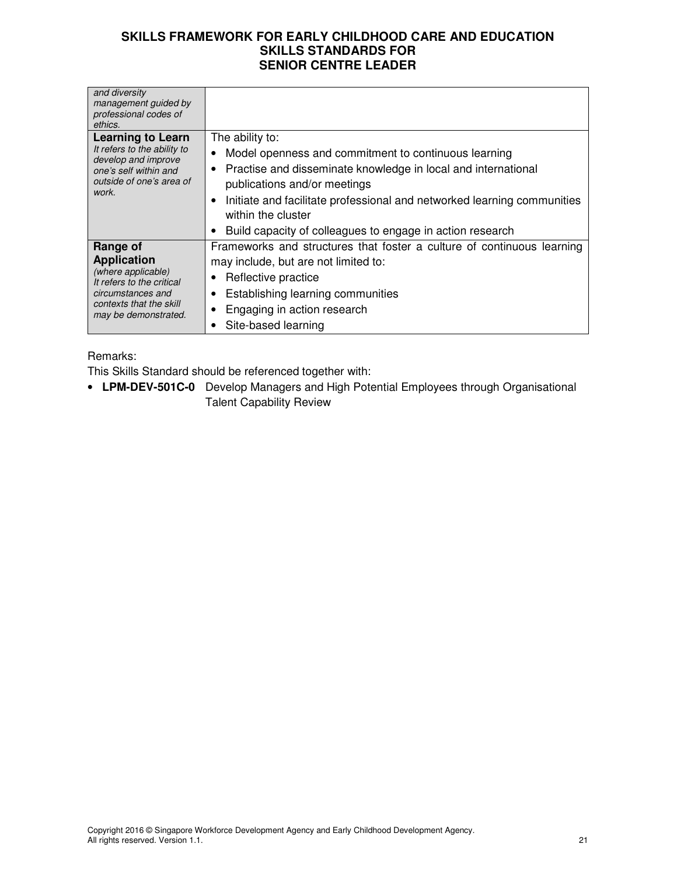| and diversity<br>management guided by                                                                                                         |                                                                              |
|-----------------------------------------------------------------------------------------------------------------------------------------------|------------------------------------------------------------------------------|
| professional codes of                                                                                                                         |                                                                              |
| ethics.                                                                                                                                       |                                                                              |
| <b>Learning to Learn</b>                                                                                                                      | The ability to:                                                              |
| It refers to the ability to<br>develop and improve                                                                                            | Model openness and commitment to continuous learning<br>$\bullet$            |
| one's self within and                                                                                                                         | Practise and disseminate knowledge in local and international<br>٠           |
| outside of one's area of<br>work.                                                                                                             | publications and/or meetings                                                 |
|                                                                                                                                               | Initiate and facilitate professional and networked learning communities<br>٠ |
|                                                                                                                                               | within the cluster                                                           |
|                                                                                                                                               | Build capacity of colleagues to engage in action research                    |
| Range of                                                                                                                                      | Frameworks and structures that foster a culture of continuous learning       |
| <b>Application</b><br>(where applicable)<br>It refers to the critical<br>circumstances and<br>contexts that the skill<br>may be demonstrated. | may include, but are not limited to:                                         |
|                                                                                                                                               | Reflective practice                                                          |
|                                                                                                                                               | Establishing learning communities                                            |
|                                                                                                                                               | Engaging in action research<br>$\bullet$                                     |
|                                                                                                                                               | Site-based learning<br>٠                                                     |

#### Remarks:

This Skills Standard should be referenced together with:

• **LPM-DEV-501C-0** Develop Managers and High Potential Employees through Organisational Talent Capability Review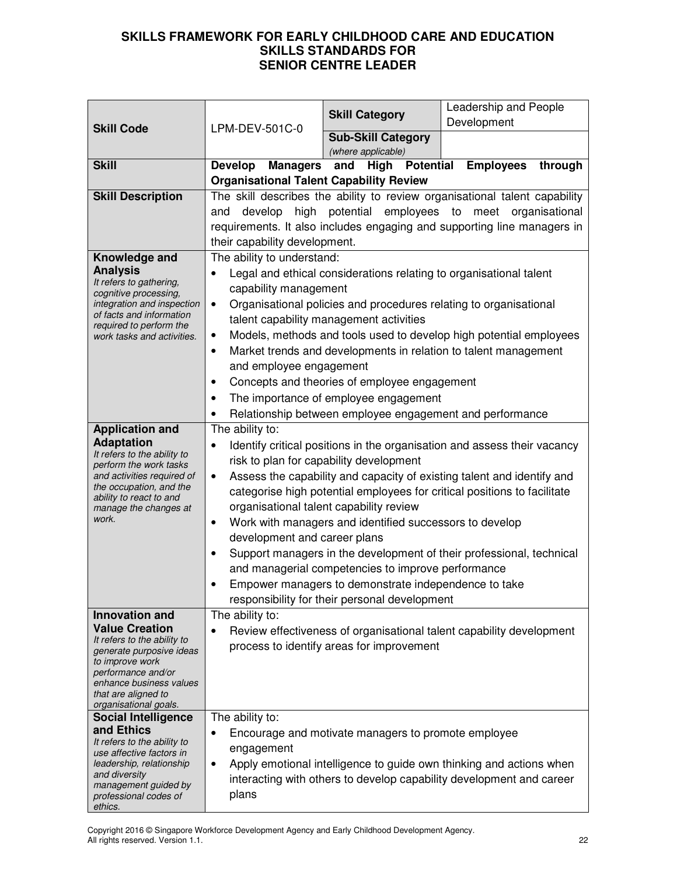|                                                                                                              |                                                                                                                                                                                                            | <b>Skill Category</b>                                             | Leadership and People                                                      |
|--------------------------------------------------------------------------------------------------------------|------------------------------------------------------------------------------------------------------------------------------------------------------------------------------------------------------------|-------------------------------------------------------------------|----------------------------------------------------------------------------|
| <b>Skill Code</b>                                                                                            | LPM-DEV-501C-0                                                                                                                                                                                             |                                                                   | Development                                                                |
|                                                                                                              |                                                                                                                                                                                                            | <b>Sub-Skill Category</b><br>(where applicable)                   |                                                                            |
| <b>Skill</b>                                                                                                 | <b>Develop</b><br><b>Managers</b>                                                                                                                                                                          | <b>High Potential</b><br>and                                      | <b>Employees</b><br>through                                                |
|                                                                                                              |                                                                                                                                                                                                            | <b>Organisational Talent Capability Review</b>                    |                                                                            |
| <b>Skill Description</b>                                                                                     |                                                                                                                                                                                                            |                                                                   | The skill describes the ability to review organisational talent capability |
|                                                                                                              | develop<br>and                                                                                                                                                                                             |                                                                   | high potential employees to meet organisational                            |
|                                                                                                              |                                                                                                                                                                                                            |                                                                   | requirements. It also includes engaging and supporting line managers in    |
|                                                                                                              | their capability development.                                                                                                                                                                              |                                                                   |                                                                            |
| Knowledge and                                                                                                | The ability to understand:                                                                                                                                                                                 |                                                                   |                                                                            |
| <b>Analysis</b><br>It refers to gathering,                                                                   | Legal and ethical considerations relating to organisational talent<br>٠                                                                                                                                    |                                                                   |                                                                            |
| cognitive processing,                                                                                        | capability management                                                                                                                                                                                      |                                                                   |                                                                            |
| integration and inspection<br>of facts and information                                                       | $\bullet$                                                                                                                                                                                                  | Organisational policies and procedures relating to organisational |                                                                            |
| required to perform the                                                                                      |                                                                                                                                                                                                            | talent capability management activities                           |                                                                            |
| work tasks and activities.                                                                                   | $\bullet$                                                                                                                                                                                                  |                                                                   | Models, methods and tools used to develop high potential employees         |
|                                                                                                              | $\bullet$                                                                                                                                                                                                  |                                                                   | Market trends and developments in relation to talent management            |
|                                                                                                              | and employee engagement                                                                                                                                                                                    |                                                                   |                                                                            |
|                                                                                                              | ٠                                                                                                                                                                                                          | Concepts and theories of employee engagement                      |                                                                            |
|                                                                                                              |                                                                                                                                                                                                            | The importance of employee engagement                             |                                                                            |
| <b>Application and</b>                                                                                       | The ability to:                                                                                                                                                                                            | Relationship between employee engagement and performance          |                                                                            |
| <b>Adaptation</b>                                                                                            |                                                                                                                                                                                                            |                                                                   |                                                                            |
| Identify critical positions in the organisation and assess their vacancy<br>٠<br>It refers to the ability to |                                                                                                                                                                                                            |                                                                   |                                                                            |
| perform the work tasks<br>and activities required of                                                         | risk to plan for capability development<br>Assess the capability and capacity of existing talent and identify and<br>$\bullet$<br>categorise high potential employees for critical positions to facilitate |                                                                   |                                                                            |
| the occupation, and the                                                                                      |                                                                                                                                                                                                            |                                                                   |                                                                            |
| ability to react to and<br>manage the changes at                                                             | organisational talent capability review                                                                                                                                                                    |                                                                   |                                                                            |
| work.                                                                                                        | Work with managers and identified successors to develop<br>$\bullet$                                                                                                                                       |                                                                   |                                                                            |
|                                                                                                              | development and career plans                                                                                                                                                                               |                                                                   |                                                                            |
|                                                                                                              | Support managers in the development of their professional, technical<br>٠                                                                                                                                  |                                                                   |                                                                            |
|                                                                                                              | and managerial competencies to improve performance                                                                                                                                                         |                                                                   |                                                                            |
|                                                                                                              |                                                                                                                                                                                                            | Empower managers to demonstrate independence to take              |                                                                            |
|                                                                                                              |                                                                                                                                                                                                            | responsibility for their personal development                     |                                                                            |
| <b>Innovation and</b>                                                                                        | The ability to:                                                                                                                                                                                            |                                                                   |                                                                            |
| <b>Value Creation</b>                                                                                        |                                                                                                                                                                                                            |                                                                   | Review effectiveness of organisational talent capability development       |
| It refers to the ability to<br>generate purposive ideas                                                      |                                                                                                                                                                                                            | process to identify areas for improvement                         |                                                                            |
| to improve work                                                                                              |                                                                                                                                                                                                            |                                                                   |                                                                            |
| performance and/or<br>enhance business values                                                                |                                                                                                                                                                                                            |                                                                   |                                                                            |
| that are aligned to                                                                                          |                                                                                                                                                                                                            |                                                                   |                                                                            |
| organisational goals.<br><b>Social Intelligence</b>                                                          | The ability to:                                                                                                                                                                                            |                                                                   |                                                                            |
| and Ethics                                                                                                   | Encourage and motivate managers to promote employee<br>٠                                                                                                                                                   |                                                                   |                                                                            |
| It refers to the ability to                                                                                  | engagement                                                                                                                                                                                                 |                                                                   |                                                                            |
| use affective factors in<br>leadership, relationship                                                         | ٠                                                                                                                                                                                                          |                                                                   | Apply emotional intelligence to guide own thinking and actions when        |
| and diversity                                                                                                |                                                                                                                                                                                                            |                                                                   | interacting with others to develop capability development and career       |
| management guided by<br>professional codes of                                                                | plans                                                                                                                                                                                                      |                                                                   |                                                                            |
| ethics.                                                                                                      |                                                                                                                                                                                                            |                                                                   |                                                                            |

Copyright 2016 © Singapore Workforce Development Agency and Early Childhood Development Agency. All rights reserved. Version 1.1. 22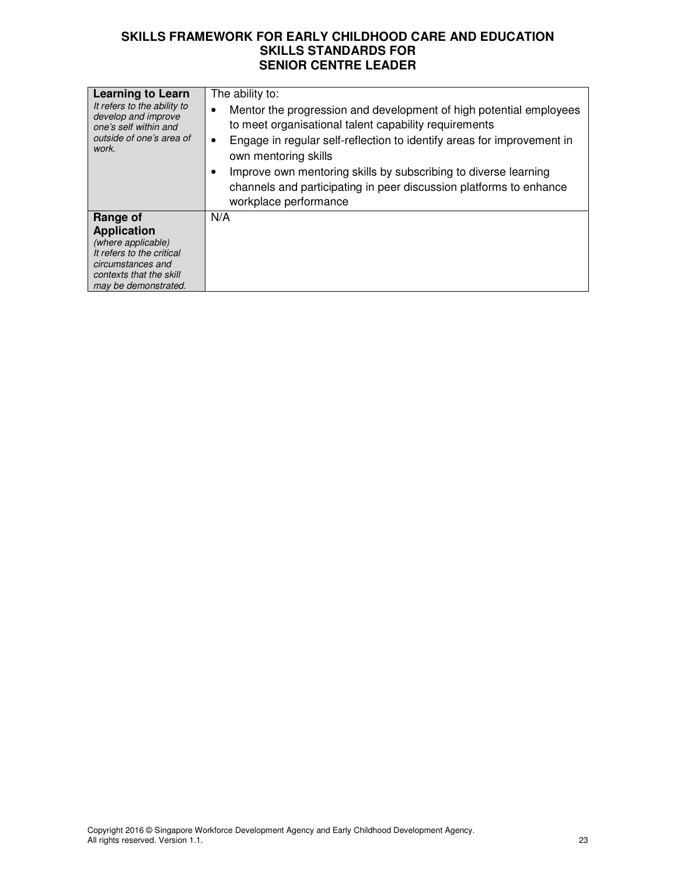| <b>Learning to Learn</b><br>It refers to the ability to<br>develop and improve<br>one's self within and<br>outside of one's area of<br>work.              | The ability to:<br>Mentor the progression and development of high potential employees<br>to meet organisational talent capability requirements<br>Engage in regular self-reflection to identify areas for improvement in<br>٠<br>own mentoring skills<br>Improve own mentoring skills by subscribing to diverse learning<br>channels and participating in peer discussion platforms to enhance<br>workplace performance |
|-----------------------------------------------------------------------------------------------------------------------------------------------------------|-------------------------------------------------------------------------------------------------------------------------------------------------------------------------------------------------------------------------------------------------------------------------------------------------------------------------------------------------------------------------------------------------------------------------|
| Range of<br><b>Application</b><br>(where applicable)<br>It refers to the critical<br>circumstances and<br>contexts that the skill<br>may be demonstrated. | N/A                                                                                                                                                                                                                                                                                                                                                                                                                     |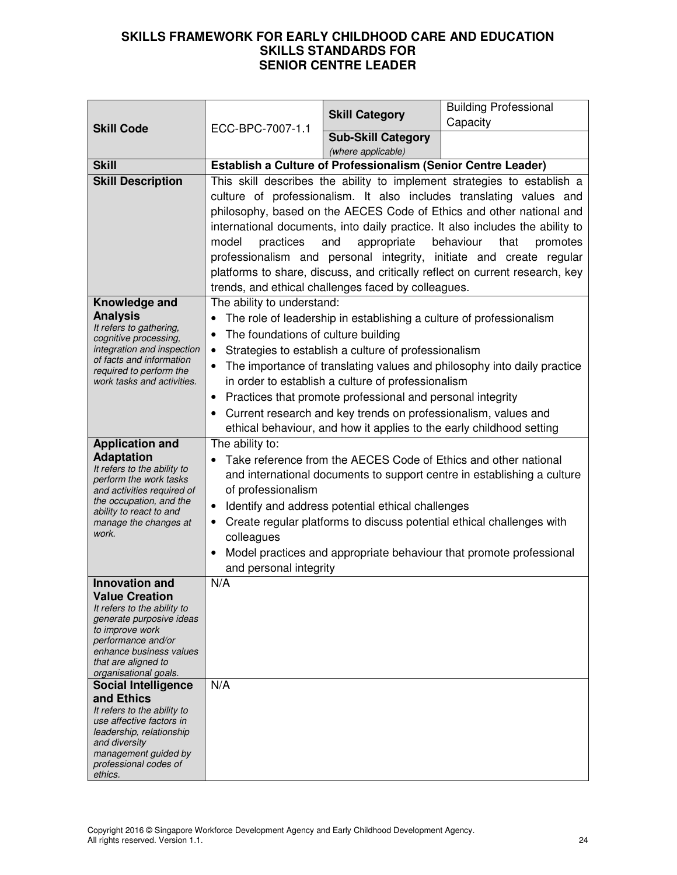|                                                                                                                                                                                                                                                                                                                                                                                                                                               | ECC-BPC-7007-1.1                                                                                                                                                                                                                                                                                                                                                                                                                                                                                                                                                                                           | <b>Skill Category</b>                                         | <b>Building Professional</b><br>Capacity                                                                                                                                                                                                                                                   |
|-----------------------------------------------------------------------------------------------------------------------------------------------------------------------------------------------------------------------------------------------------------------------------------------------------------------------------------------------------------------------------------------------------------------------------------------------|------------------------------------------------------------------------------------------------------------------------------------------------------------------------------------------------------------------------------------------------------------------------------------------------------------------------------------------------------------------------------------------------------------------------------------------------------------------------------------------------------------------------------------------------------------------------------------------------------------|---------------------------------------------------------------|--------------------------------------------------------------------------------------------------------------------------------------------------------------------------------------------------------------------------------------------------------------------------------------------|
| <b>Skill Code</b>                                                                                                                                                                                                                                                                                                                                                                                                                             |                                                                                                                                                                                                                                                                                                                                                                                                                                                                                                                                                                                                            | <b>Sub-Skill Category</b>                                     |                                                                                                                                                                                                                                                                                            |
|                                                                                                                                                                                                                                                                                                                                                                                                                                               | (where applicable)                                                                                                                                                                                                                                                                                                                                                                                                                                                                                                                                                                                         |                                                               |                                                                                                                                                                                                                                                                                            |
| <b>Skill</b>                                                                                                                                                                                                                                                                                                                                                                                                                                  |                                                                                                                                                                                                                                                                                                                                                                                                                                                                                                                                                                                                            | Establish a Culture of Professionalism (Senior Centre Leader) |                                                                                                                                                                                                                                                                                            |
| <b>Skill Description</b>                                                                                                                                                                                                                                                                                                                                                                                                                      | This skill describes the ability to implement strategies to establish a<br>culture of professionalism. It also includes translating values and<br>philosophy, based on the AECES Code of Ethics and other national and<br>international documents, into daily practice. It also includes the ability to<br>practices<br>and<br>appropriate<br>behaviour<br>that<br>model<br>promotes<br>professionalism and personal integrity, initiate and create regular<br>platforms to share, discuss, and critically reflect on current research, key<br>trends, and ethical challenges faced by colleagues.         |                                                               |                                                                                                                                                                                                                                                                                            |
| Knowledge and<br><b>Analysis</b><br>It refers to gathering,<br>cognitive processing,<br>integration and inspection<br>of facts and information<br>required to perform the<br>work tasks and activities.                                                                                                                                                                                                                                       | The ability to understand:<br>The role of leadership in establishing a culture of professionalism<br>$\bullet$<br>The foundations of culture building<br>$\bullet$<br>Strategies to establish a culture of professionalism<br>$\bullet$<br>The importance of translating values and philosophy into daily practice<br>$\bullet$<br>in order to establish a culture of professionalism<br>Practices that promote professional and personal integrity<br>$\bullet$<br>Current research and key trends on professionalism, values and<br>ethical behaviour, and how it applies to the early childhood setting |                                                               |                                                                                                                                                                                                                                                                                            |
| <b>Application and</b><br><b>Adaptation</b><br>It refers to the ability to<br>perform the work tasks<br>and activities required of<br>the occupation, and the<br>ability to react to and<br>manage the changes at<br>work.                                                                                                                                                                                                                    | The ability to:<br>of professionalism<br>$\bullet$<br>colleagues<br>$\bullet$<br>and personal integrity                                                                                                                                                                                                                                                                                                                                                                                                                                                                                                    | Identify and address potential ethical challenges             | Take reference from the AECES Code of Ethics and other national<br>and international documents to support centre in establishing a culture<br>Create regular platforms to discuss potential ethical challenges with<br>Model practices and appropriate behaviour that promote professional |
| <b>Innovation and</b><br><b>Value Creation</b><br>It refers to the ability to<br>generate purposive ideas<br>to improve work<br>performance and/or<br>enhance business values<br>that are aligned to<br>organisational goals.<br><b>Social Intelligence</b><br>and Ethics<br>It refers to the ability to<br>use affective factors in<br>leadership, relationship<br>and diversity<br>management guided by<br>professional codes of<br>ethics. | N/A<br>N/A                                                                                                                                                                                                                                                                                                                                                                                                                                                                                                                                                                                                 |                                                               |                                                                                                                                                                                                                                                                                            |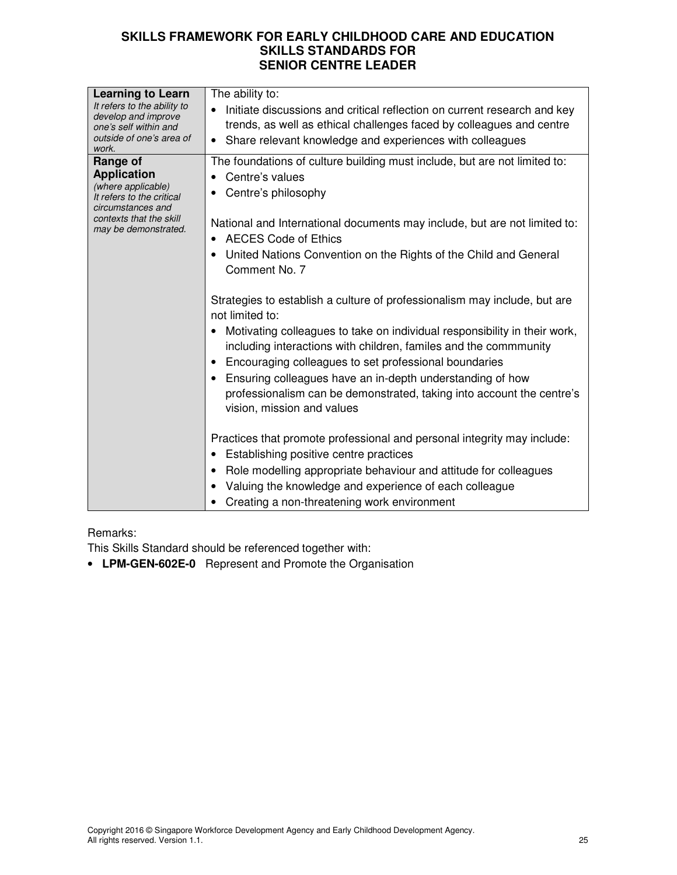| <b>Learning to Learn</b><br>It refers to the ability to<br>develop and improve<br>one's self within and<br>outside of one's area of<br>work.              | The ability to:<br>Initiate discussions and critical reflection on current research and key<br>$\bullet$<br>trends, as well as ethical challenges faced by colleagues and centre<br>Share relevant knowledge and experiences with colleagues<br>$\bullet$                                                                                                                                                                                                                                   |
|-----------------------------------------------------------------------------------------------------------------------------------------------------------|---------------------------------------------------------------------------------------------------------------------------------------------------------------------------------------------------------------------------------------------------------------------------------------------------------------------------------------------------------------------------------------------------------------------------------------------------------------------------------------------|
| Range of<br><b>Application</b><br>(where applicable)<br>It refers to the critical<br>circumstances and<br>contexts that the skill<br>may be demonstrated. | The foundations of culture building must include, but are not limited to:<br>Centre's values<br>$\bullet$<br>Centre's philosophy<br>National and International documents may include, but are not limited to:<br><b>AECES Code of Ethics</b><br>United Nations Convention on the Rights of the Child and General                                                                                                                                                                            |
|                                                                                                                                                           | Comment No. 7<br>Strategies to establish a culture of professionalism may include, but are<br>not limited to:<br>Motivating colleagues to take on individual responsibility in their work,<br>including interactions with children, familes and the commmunity<br>Encouraging colleagues to set professional boundaries<br>Ensuring colleagues have an in-depth understanding of how<br>professionalism can be demonstrated, taking into account the centre's<br>vision, mission and values |
|                                                                                                                                                           | Practices that promote professional and personal integrity may include:<br>Establishing positive centre practices<br>Role modelling appropriate behaviour and attitude for colleagues<br>Valuing the knowledge and experience of each colleague<br>Creating a non-threatening work environment                                                                                                                                                                                              |

### Remarks:

This Skills Standard should be referenced together with:

• **LPM-GEN-602E-0** Represent and Promote the Organisation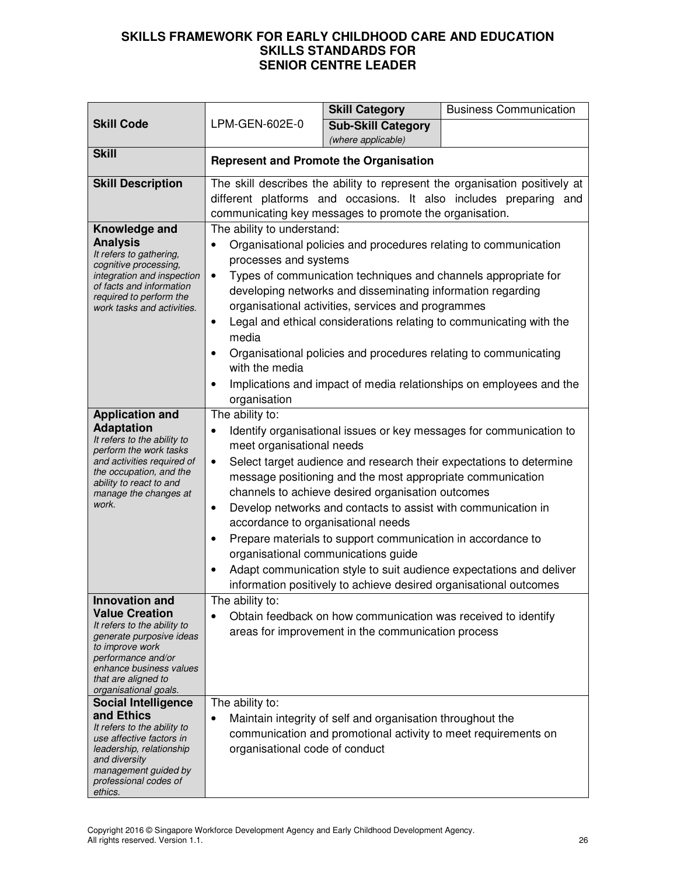|                                                                                                                                                                                                         |                                                                                                  | <b>Skill Category</b>                                                                                                                                                                                                                                                                  | <b>Business Communication</b>                                                                                                                                                                                                                                                          |  |
|---------------------------------------------------------------------------------------------------------------------------------------------------------------------------------------------------------|--------------------------------------------------------------------------------------------------|----------------------------------------------------------------------------------------------------------------------------------------------------------------------------------------------------------------------------------------------------------------------------------------|----------------------------------------------------------------------------------------------------------------------------------------------------------------------------------------------------------------------------------------------------------------------------------------|--|
| <b>Skill Code</b>                                                                                                                                                                                       | LPM-GEN-602E-0                                                                                   | <b>Sub-Skill Category</b>                                                                                                                                                                                                                                                              |                                                                                                                                                                                                                                                                                        |  |
|                                                                                                                                                                                                         |                                                                                                  | (where applicable)                                                                                                                                                                                                                                                                     |                                                                                                                                                                                                                                                                                        |  |
| <b>Skill</b>                                                                                                                                                                                            | <b>Represent and Promote the Organisation</b>                                                    |                                                                                                                                                                                                                                                                                        |                                                                                                                                                                                                                                                                                        |  |
| <b>Skill Description</b>                                                                                                                                                                                |                                                                                                  |                                                                                                                                                                                                                                                                                        | The skill describes the ability to represent the organisation positively at                                                                                                                                                                                                            |  |
|                                                                                                                                                                                                         |                                                                                                  |                                                                                                                                                                                                                                                                                        | different platforms and occasions. It also includes preparing and                                                                                                                                                                                                                      |  |
|                                                                                                                                                                                                         |                                                                                                  | communicating key messages to promote the organisation.                                                                                                                                                                                                                                |                                                                                                                                                                                                                                                                                        |  |
| Knowledge and<br><b>Analysis</b><br>It refers to gathering,<br>cognitive processing,<br>integration and inspection<br>of facts and information<br>required to perform the<br>work tasks and activities. | The ability to understand:<br>processes and systems<br>٠<br>$\bullet$<br>media<br>with the media | developing networks and disseminating information regarding<br>organisational activities, services and programmes                                                                                                                                                                      | Organisational policies and procedures relating to communication<br>Types of communication techniques and channels appropriate for<br>Legal and ethical considerations relating to communicating with the<br>Organisational policies and procedures relating to communicating          |  |
|                                                                                                                                                                                                         | Implications and impact of media relationships on employees and the<br>organisation              |                                                                                                                                                                                                                                                                                        |                                                                                                                                                                                                                                                                                        |  |
| <b>Application and</b>                                                                                                                                                                                  | The ability to:                                                                                  |                                                                                                                                                                                                                                                                                        |                                                                                                                                                                                                                                                                                        |  |
| <b>Adaptation</b><br>It refers to the ability to<br>perform the work tasks<br>and activities required of<br>the occupation, and the<br>ability to react to and<br>manage the changes at<br>work.        | ٠<br>meet organisational needs<br>٠<br>$\bullet$<br>accordance to organisational needs           | message positioning and the most appropriate communication<br>channels to achieve desired organisation outcomes<br>Develop networks and contacts to assist with communication in<br>Prepare materials to support communication in accordance to<br>organisational communications guide | Identify organisational issues or key messages for communication to<br>Select target audience and research their expectations to determine<br>Adapt communication style to suit audience expectations and deliver<br>information positively to achieve desired organisational outcomes |  |
| <b>Innovation and</b>                                                                                                                                                                                   | The ability to:                                                                                  |                                                                                                                                                                                                                                                                                        |                                                                                                                                                                                                                                                                                        |  |
| <b>Value Creation</b><br>It refers to the ability to<br>generate purposive ideas<br>to improve work<br>performance and/or<br>enhance business values<br>that are aligned to<br>organisational goals.    |                                                                                                  | Obtain feedback on how communication was received to identify<br>areas for improvement in the communication process                                                                                                                                                                    |                                                                                                                                                                                                                                                                                        |  |
| <b>Social Intelligence</b>                                                                                                                                                                              | The ability to:                                                                                  |                                                                                                                                                                                                                                                                                        |                                                                                                                                                                                                                                                                                        |  |
| and Ethics<br>It refers to the ability to<br>use affective factors in<br>leadership, relationship<br>and diversity<br>management guided by<br>professional codes of<br>ethics.                          | $\bullet$<br>organisational code of conduct                                                      | Maintain integrity of self and organisation throughout the                                                                                                                                                                                                                             | communication and promotional activity to meet requirements on                                                                                                                                                                                                                         |  |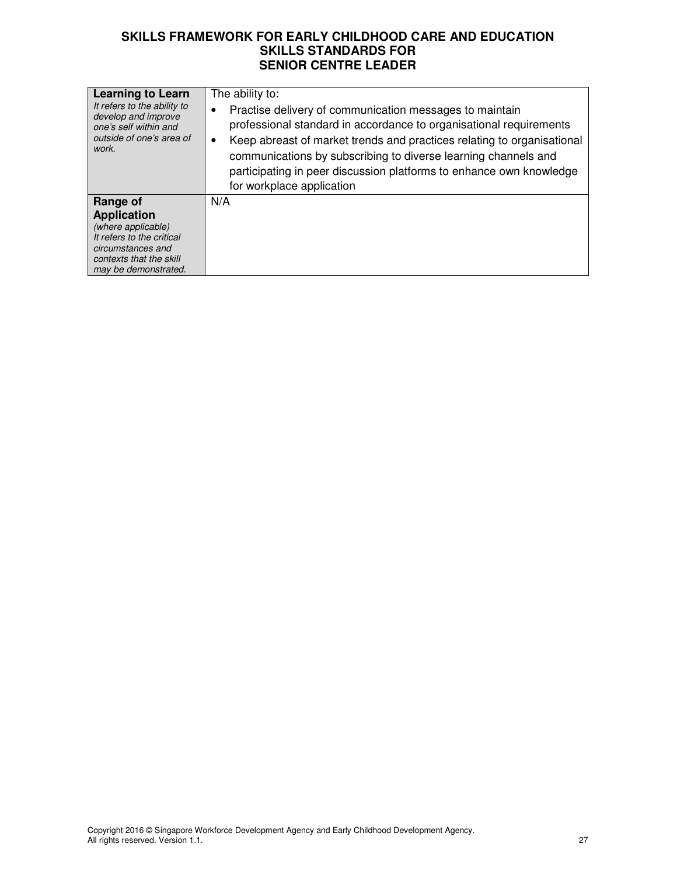| professional standard in accordance to organisational requirements<br>Keep abreast of market trends and practices relating to organisational<br>communications by subscribing to diverse learning channels and<br>participating in peer discussion platforms to enhance own knowledge<br>for workplace application |
|--------------------------------------------------------------------------------------------------------------------------------------------------------------------------------------------------------------------------------------------------------------------------------------------------------------------|
| N/A                                                                                                                                                                                                                                                                                                                |
|                                                                                                                                                                                                                                                                                                                    |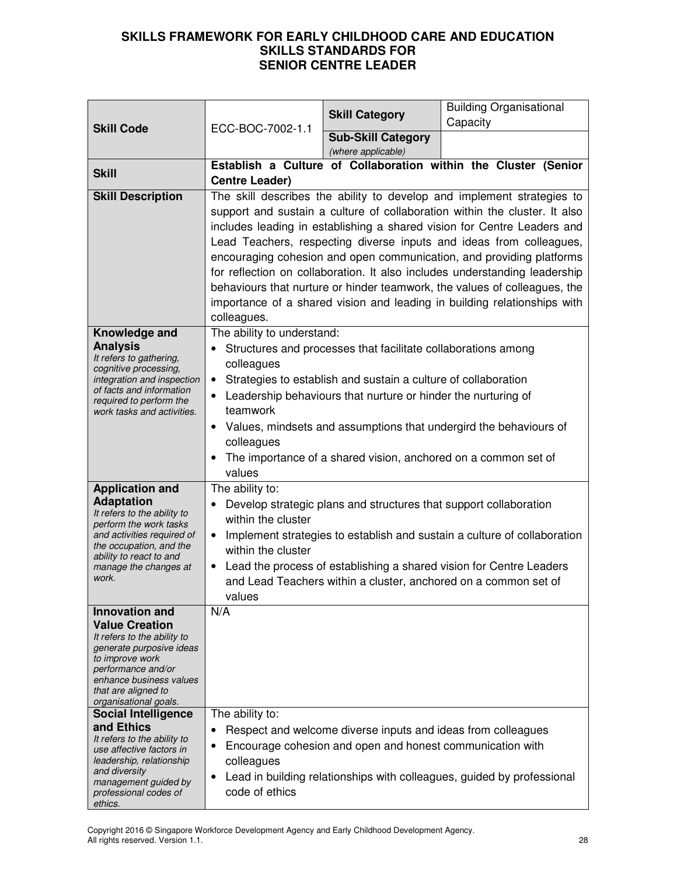|                                                                                                                                                                                                                                                                                                                                                                                                                                               |                                                                                                        | <b>Skill Category</b>                                                                                                                                                                            | <b>Building Organisational</b><br>Capacity                                                                                                                                                                                                                                                                                                                                                                                                                                                                                                                                                                            |
|-----------------------------------------------------------------------------------------------------------------------------------------------------------------------------------------------------------------------------------------------------------------------------------------------------------------------------------------------------------------------------------------------------------------------------------------------|--------------------------------------------------------------------------------------------------------|--------------------------------------------------------------------------------------------------------------------------------------------------------------------------------------------------|-----------------------------------------------------------------------------------------------------------------------------------------------------------------------------------------------------------------------------------------------------------------------------------------------------------------------------------------------------------------------------------------------------------------------------------------------------------------------------------------------------------------------------------------------------------------------------------------------------------------------|
| <b>Skill Code</b>                                                                                                                                                                                                                                                                                                                                                                                                                             | ECC-BOC-7002-1.1                                                                                       | <b>Sub-Skill Category</b><br>(where applicable)                                                                                                                                                  |                                                                                                                                                                                                                                                                                                                                                                                                                                                                                                                                                                                                                       |
| <b>Skill</b>                                                                                                                                                                                                                                                                                                                                                                                                                                  | <b>Centre Leader)</b>                                                                                  |                                                                                                                                                                                                  | Establish a Culture of Collaboration within the Cluster (Senior                                                                                                                                                                                                                                                                                                                                                                                                                                                                                                                                                       |
| <b>Skill Description</b>                                                                                                                                                                                                                                                                                                                                                                                                                      | colleagues.                                                                                            |                                                                                                                                                                                                  | The skill describes the ability to develop and implement strategies to<br>support and sustain a culture of collaboration within the cluster. It also<br>includes leading in establishing a shared vision for Centre Leaders and<br>Lead Teachers, respecting diverse inputs and ideas from colleagues,<br>encouraging cohesion and open communication, and providing platforms<br>for reflection on collaboration. It also includes understanding leadership<br>behaviours that nurture or hinder teamwork, the values of colleagues, the<br>importance of a shared vision and leading in building relationships with |
| Knowledge and<br><b>Analysis</b><br>It refers to gathering,<br>cognitive processing,<br>integration and inspection<br>of facts and information<br>required to perform the<br>work tasks and activities.                                                                                                                                                                                                                                       | The ability to understand:<br>colleagues<br>$\bullet$<br>teamwork<br>$\bullet$<br>colleagues<br>values | Structures and processes that facilitate collaborations among<br>Strategies to establish and sustain a culture of collaboration<br>Leadership behaviours that nurture or hinder the nurturing of | Values, mindsets and assumptions that undergird the behaviours of<br>The importance of a shared vision, anchored on a common set of                                                                                                                                                                                                                                                                                                                                                                                                                                                                                   |
| <b>Application and</b><br><b>Adaptation</b><br>It refers to the ability to<br>perform the work tasks<br>and activities required of<br>the occupation, and the<br>ability to react to and<br>manage the changes at<br>work.                                                                                                                                                                                                                    | The ability to:<br>within the cluster<br>$\bullet$<br>within the cluster<br>$\bullet$<br>values        | Develop strategic plans and structures that support collaboration                                                                                                                                | Implement strategies to establish and sustain a culture of collaboration<br>Lead the process of establishing a shared vision for Centre Leaders<br>and Lead Teachers within a cluster, anchored on a common set of                                                                                                                                                                                                                                                                                                                                                                                                    |
| <b>Innovation and</b><br><b>Value Creation</b><br>It refers to the ability to<br>generate purposive ideas<br>to improve work<br>performance and/or<br>enhance business values<br>that are aligned to<br>organisational goals.<br><b>Social Intelligence</b><br>and Ethics<br>It refers to the ability to<br>use affective factors in<br>leadership, relationship<br>and diversity<br>management guided by<br>professional codes of<br>ethics. | N/A<br>The ability to:<br>٠<br>٠<br>colleagues<br>$\bullet$<br>code of ethics                          | Respect and welcome diverse inputs and ideas from colleagues<br>Encourage cohesion and open and honest communication with                                                                        | Lead in building relationships with colleagues, guided by professional                                                                                                                                                                                                                                                                                                                                                                                                                                                                                                                                                |

Copyright 2016 © Singapore Workforce Development Agency and Early Childhood Development Agency. All rights reserved. Version 1.1. 28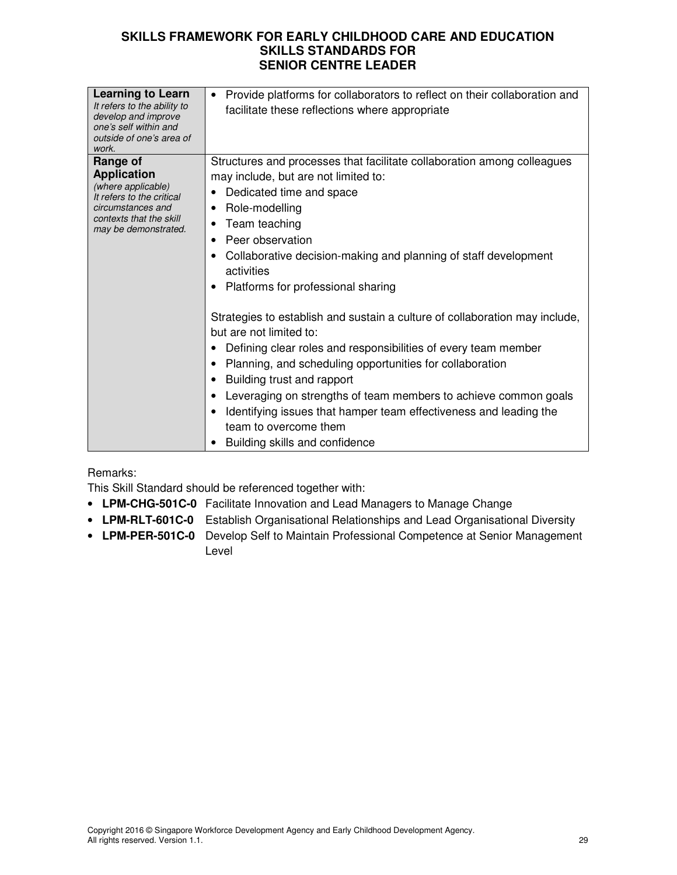| <b>Learning to Learn</b><br>It refers to the ability to<br>develop and improve<br>one's self within and<br>outside of one's area of<br>work. | Provide platforms for collaborators to reflect on their collaboration and<br>$\bullet$<br>facilitate these reflections where appropriate |
|----------------------------------------------------------------------------------------------------------------------------------------------|------------------------------------------------------------------------------------------------------------------------------------------|
| Range of                                                                                                                                     | Structures and processes that facilitate collaboration among colleagues                                                                  |
| <b>Application</b>                                                                                                                           | may include, but are not limited to:                                                                                                     |
| (where applicable)                                                                                                                           | Dedicated time and space                                                                                                                 |
| It refers to the critical<br>circumstances and                                                                                               | Role-modelling                                                                                                                           |
| contexts that the skill                                                                                                                      | Team teaching                                                                                                                            |
| may be demonstrated.                                                                                                                         | Peer observation                                                                                                                         |
|                                                                                                                                              | Collaborative decision-making and planning of staff development                                                                          |
|                                                                                                                                              | activities                                                                                                                               |
|                                                                                                                                              |                                                                                                                                          |
|                                                                                                                                              | Platforms for professional sharing                                                                                                       |
|                                                                                                                                              | Strategies to establish and sustain a culture of collaboration may include,<br>but are not limited to:                                   |
|                                                                                                                                              | Defining clear roles and responsibilities of every team member                                                                           |
|                                                                                                                                              | Planning, and scheduling opportunities for collaboration                                                                                 |
|                                                                                                                                              | Building trust and rapport                                                                                                               |
|                                                                                                                                              | Leveraging on strengths of team members to achieve common goals                                                                          |
|                                                                                                                                              | Identifying issues that hamper team effectiveness and leading the                                                                        |
|                                                                                                                                              | team to overcome them                                                                                                                    |
|                                                                                                                                              | Building skills and confidence                                                                                                           |
|                                                                                                                                              |                                                                                                                                          |

### Remarks:

This Skill Standard should be referenced together with:

- **LPM-CHG-501C-0** Facilitate Innovation and Lead Managers to Manage Change
- **LPM-RLT-601C-0** Establish Organisational Relationships and Lead Organisational Diversity
- **LPM-PER-501C-0** Develop Self to Maintain Professional Competence at Senior Management Level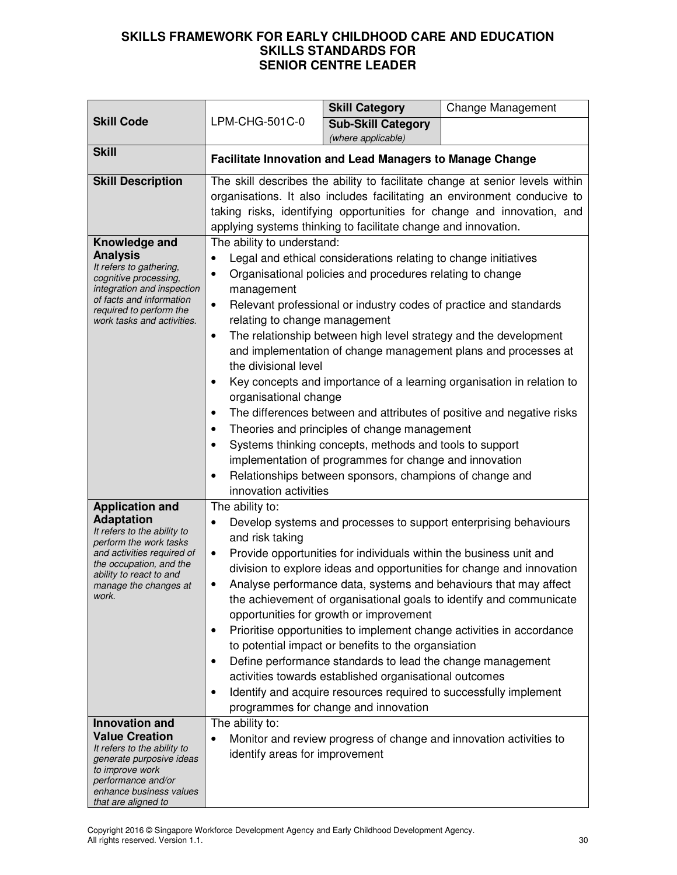| <b>Skill Code</b>                                                                                                                                                                                                          | LPM-CHG-501C-0                                                                                                                                                                                                                                                                                                                                                                                                                                                                                                                                                                                                                                                                                                                                                                                                                                                                                             | <b>Skill Category</b><br><b>Sub-Skill Category</b><br>(where applicable)                                                                                                                                                                                                                                                             | Change Management                                                                                                                                                                                                                                                                                                                                                                                                                  |
|----------------------------------------------------------------------------------------------------------------------------------------------------------------------------------------------------------------------------|------------------------------------------------------------------------------------------------------------------------------------------------------------------------------------------------------------------------------------------------------------------------------------------------------------------------------------------------------------------------------------------------------------------------------------------------------------------------------------------------------------------------------------------------------------------------------------------------------------------------------------------------------------------------------------------------------------------------------------------------------------------------------------------------------------------------------------------------------------------------------------------------------------|--------------------------------------------------------------------------------------------------------------------------------------------------------------------------------------------------------------------------------------------------------------------------------------------------------------------------------------|------------------------------------------------------------------------------------------------------------------------------------------------------------------------------------------------------------------------------------------------------------------------------------------------------------------------------------------------------------------------------------------------------------------------------------|
| <b>Skill</b>                                                                                                                                                                                                               | Facilitate Innovation and Lead Managers to Manage Change                                                                                                                                                                                                                                                                                                                                                                                                                                                                                                                                                                                                                                                                                                                                                                                                                                                   |                                                                                                                                                                                                                                                                                                                                      |                                                                                                                                                                                                                                                                                                                                                                                                                                    |
| <b>Skill Description</b>                                                                                                                                                                                                   |                                                                                                                                                                                                                                                                                                                                                                                                                                                                                                                                                                                                                                                                                                                                                                                                                                                                                                            | applying systems thinking to facilitate change and innovation.                                                                                                                                                                                                                                                                       | The skill describes the ability to facilitate change at senior levels within<br>organisations. It also includes facilitating an environment conducive to<br>taking risks, identifying opportunities for change and innovation, and                                                                                                                                                                                                 |
| Knowledge and<br><b>Analysis</b><br>It refers to gathering,<br>cognitive processing,<br>integration and inspection<br>of facts and information<br>required to perform the<br>work tasks and activities.                    | The ability to understand:<br>Legal and ethical considerations relating to change initiatives<br>Organisational policies and procedures relating to change<br>management<br>Relevant professional or industry codes of practice and standards<br>$\bullet$<br>relating to change management<br>The relationship between high level strategy and the development<br>$\bullet$<br>and implementation of change management plans and processes at<br>the divisional level<br>Key concepts and importance of a learning organisation in relation to<br>organisational change<br>The differences between and attributes of positive and negative risks<br>Theories and principles of change management<br>Systems thinking concepts, methods and tools to support<br>implementation of programmes for change and innovation<br>Relationships between sponsors, champions of change and<br>innovation activities |                                                                                                                                                                                                                                                                                                                                      |                                                                                                                                                                                                                                                                                                                                                                                                                                    |
| <b>Application and</b><br><b>Adaptation</b><br>It refers to the ability to<br>perform the work tasks<br>and activities required of<br>the occupation, and the<br>ability to react to and<br>manage the changes at<br>work. | The ability to:<br>$\bullet$<br>and risk taking<br>$\bullet$<br>$\bullet$<br>٠<br>٠                                                                                                                                                                                                                                                                                                                                                                                                                                                                                                                                                                                                                                                                                                                                                                                                                        | Provide opportunities for individuals within the business unit and<br>opportunities for growth or improvement<br>to potential impact or benefits to the organsiation<br>Define performance standards to lead the change management<br>activities towards established organisational outcomes<br>programmes for change and innovation | Develop systems and processes to support enterprising behaviours<br>division to explore ideas and opportunities for change and innovation<br>Analyse performance data, systems and behaviours that may affect<br>the achievement of organisational goals to identify and communicate<br>Prioritise opportunities to implement change activities in accordance<br>Identify and acquire resources required to successfully implement |
| <b>Innovation and</b><br><b>Value Creation</b><br>It refers to the ability to<br>generate purposive ideas<br>to improve work<br>performance and/or<br>enhance business values<br>that are aligned to                       | The ability to:<br>identify areas for improvement                                                                                                                                                                                                                                                                                                                                                                                                                                                                                                                                                                                                                                                                                                                                                                                                                                                          |                                                                                                                                                                                                                                                                                                                                      | Monitor and review progress of change and innovation activities to                                                                                                                                                                                                                                                                                                                                                                 |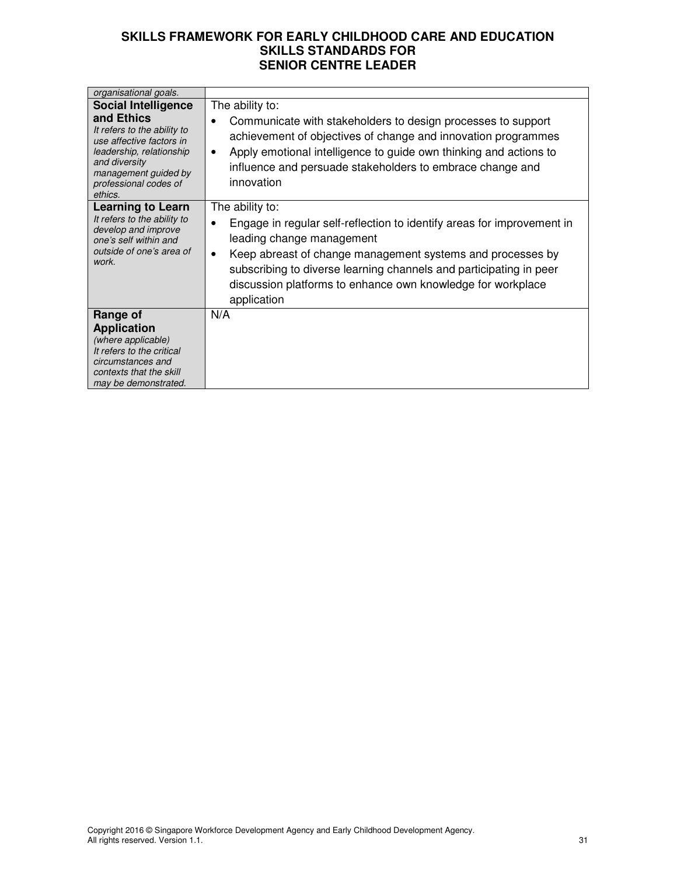| organisational goals.                                                                                                                                                                                        |                                                                                                                                                                                                                                                                                                                                                                    |
|--------------------------------------------------------------------------------------------------------------------------------------------------------------------------------------------------------------|--------------------------------------------------------------------------------------------------------------------------------------------------------------------------------------------------------------------------------------------------------------------------------------------------------------------------------------------------------------------|
| <b>Social Intelligence</b><br>and Ethics<br>It refers to the ability to<br>use affective factors in<br>leadership, relationship<br>and diversity<br>management guided by<br>professional codes of<br>ethics. | The ability to:<br>Communicate with stakeholders to design processes to support<br>achievement of objectives of change and innovation programmes<br>Apply emotional intelligence to guide own thinking and actions to<br>$\bullet$<br>influence and persuade stakeholders to embrace change and<br>innovation                                                      |
| <b>Learning to Learn</b><br>It refers to the ability to<br>develop and improve<br>one's self within and<br>outside of one's area of<br>work.                                                                 | The ability to:<br>Engage in regular self-reflection to identify areas for improvement in<br>$\bullet$<br>leading change management<br>Keep abreast of change management systems and processes by<br>$\bullet$<br>subscribing to diverse learning channels and participating in peer<br>discussion platforms to enhance own knowledge for workplace<br>application |
| Range of<br><b>Application</b><br>(where applicable)<br>It refers to the critical<br>circumstances and<br>contexts that the skill<br>may be demonstrated.                                                    | N/A                                                                                                                                                                                                                                                                                                                                                                |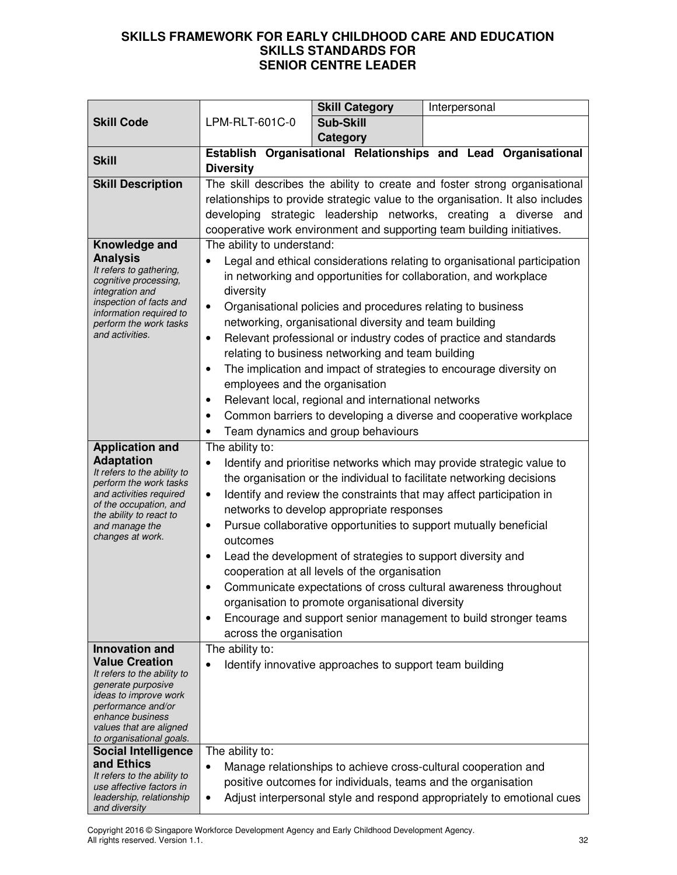|                                                                                                                                                                                                                                                     |                                                                                                                                                         | <b>Skill Category</b>                                                                                                                                                                                                                                                                                                                                                                                                                                                                                                                                                                                                                              |  | Interpersonal |  |
|-----------------------------------------------------------------------------------------------------------------------------------------------------------------------------------------------------------------------------------------------------|---------------------------------------------------------------------------------------------------------------------------------------------------------|----------------------------------------------------------------------------------------------------------------------------------------------------------------------------------------------------------------------------------------------------------------------------------------------------------------------------------------------------------------------------------------------------------------------------------------------------------------------------------------------------------------------------------------------------------------------------------------------------------------------------------------------------|--|---------------|--|
| <b>Skill Code</b>                                                                                                                                                                                                                                   | LPM-RLT-601C-0                                                                                                                                          | Sub-Skill                                                                                                                                                                                                                                                                                                                                                                                                                                                                                                                                                                                                                                          |  |               |  |
|                                                                                                                                                                                                                                                     |                                                                                                                                                         | <b>Category</b>                                                                                                                                                                                                                                                                                                                                                                                                                                                                                                                                                                                                                                    |  |               |  |
| <b>Skill</b>                                                                                                                                                                                                                                        | <b>Diversity</b>                                                                                                                                        | Establish Organisational Relationships and Lead Organisational                                                                                                                                                                                                                                                                                                                                                                                                                                                                                                                                                                                     |  |               |  |
| <b>Skill Description</b>                                                                                                                                                                                                                            |                                                                                                                                                         | The skill describes the ability to create and foster strong organisational<br>relationships to provide strategic value to the organisation. It also includes                                                                                                                                                                                                                                                                                                                                                                                                                                                                                       |  |               |  |
|                                                                                                                                                                                                                                                     |                                                                                                                                                         | developing strategic leadership networks, creating a diverse and                                                                                                                                                                                                                                                                                                                                                                                                                                                                                                                                                                                   |  |               |  |
|                                                                                                                                                                                                                                                     | cooperative work environment and supporting team building initiatives.                                                                                  |                                                                                                                                                                                                                                                                                                                                                                                                                                                                                                                                                                                                                                                    |  |               |  |
| Knowledge and<br><b>Analysis</b><br>It refers to gathering,<br>cognitive processing,<br>integration and<br>inspection of facts and<br>information required to<br>perform the work tasks<br>and activities.                                          | The ability to understand:<br>$\bullet$<br>diversity<br>$\bullet$<br>$\bullet$<br>$\bullet$<br>employees and the organisation<br>$\bullet$<br>$\bullet$ | Legal and ethical considerations relating to organisational participation<br>in networking and opportunities for collaboration, and workplace<br>Organisational policies and procedures relating to business<br>networking, organisational diversity and team building<br>Relevant professional or industry codes of practice and standards<br>relating to business networking and team building<br>The implication and impact of strategies to encourage diversity on<br>Relevant local, regional and international networks<br>Common barriers to developing a diverse and cooperative workplace                                                 |  |               |  |
|                                                                                                                                                                                                                                                     | $\bullet$                                                                                                                                               | Team dynamics and group behaviours                                                                                                                                                                                                                                                                                                                                                                                                                                                                                                                                                                                                                 |  |               |  |
| <b>Application and</b><br><b>Adaptation</b><br>It refers to the ability to<br>perform the work tasks<br>and activities required<br>of the occupation, and<br>the ability to react to<br>and manage the<br>changes at work.<br><b>Innovation and</b> | The ability to:<br>$\bullet$<br>$\bullet$<br>$\bullet$<br>outcomes<br>$\bullet$<br>$\bullet$<br>across the organisation<br>The ability to:              | Identify and prioritise networks which may provide strategic value to<br>the organisation or the individual to facilitate networking decisions<br>Identify and review the constraints that may affect participation in<br>networks to develop appropriate responses<br>Pursue collaborative opportunities to support mutually beneficial<br>Lead the development of strategies to support diversity and<br>cooperation at all levels of the organisation<br>Communicate expectations of cross cultural awareness throughout<br>organisation to promote organisational diversity<br>Encourage and support senior management to build stronger teams |  |               |  |
| <b>Value Creation</b><br>It refers to the ability to<br>generate purposive<br>ideas to improve work<br>performance and/or<br>enhance business<br>values that are aligned<br>to organisational goals.<br><b>Social Intelligence</b><br>and Ethics    | $\bullet$<br>The ability to:<br>$\bullet$                                                                                                               | Identify innovative approaches to support team building<br>Manage relationships to achieve cross-cultural cooperation and                                                                                                                                                                                                                                                                                                                                                                                                                                                                                                                          |  |               |  |
| It refers to the ability to<br>use affective factors in<br>leadership, relationship<br>and diversity                                                                                                                                                | $\bullet$                                                                                                                                               | positive outcomes for individuals, teams and the organisation<br>Adjust interpersonal style and respond appropriately to emotional cues                                                                                                                                                                                                                                                                                                                                                                                                                                                                                                            |  |               |  |

Copyright 2016 © Singapore Workforce Development Agency and Early Childhood Development Agency. All rights reserved. Version 1.1. 32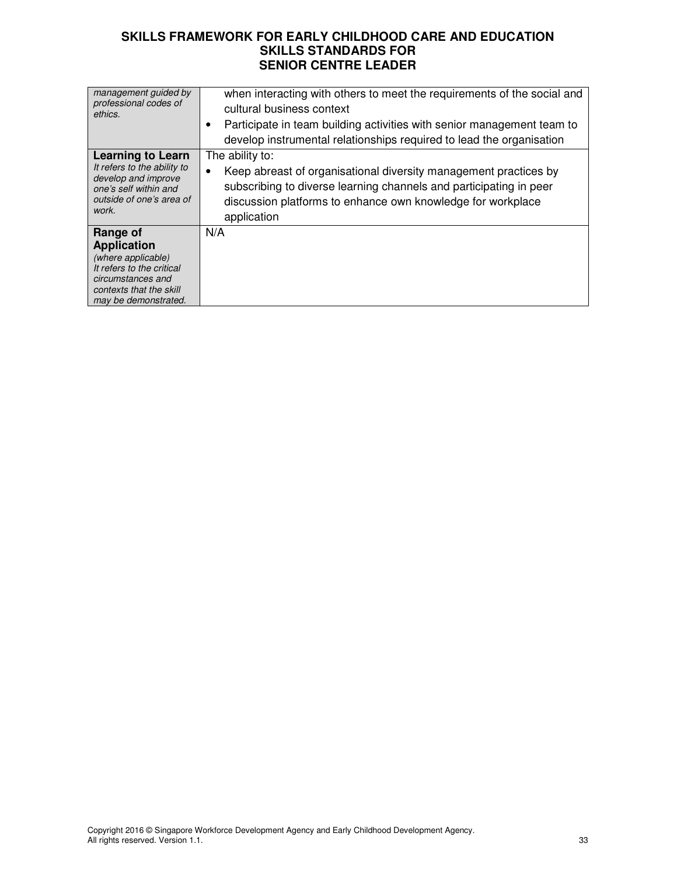| management guided by<br>professional codes of<br>ethics.                                                                                                  | when interacting with others to meet the requirements of the social and<br>cultural business context<br>Participate in team building activities with senior management team to<br>$\bullet$<br>develop instrumental relationships required to lead the organisation |
|-----------------------------------------------------------------------------------------------------------------------------------------------------------|---------------------------------------------------------------------------------------------------------------------------------------------------------------------------------------------------------------------------------------------------------------------|
| <b>Learning to Learn</b><br>It refers to the ability to<br>develop and improve<br>one's self within and<br>outside of one's area of<br>work.              | The ability to:<br>Keep abreast of organisational diversity management practices by<br>$\bullet$<br>subscribing to diverse learning channels and participating in peer<br>discussion platforms to enhance own knowledge for workplace<br>application                |
| Range of<br><b>Application</b><br>(where applicable)<br>It refers to the critical<br>circumstances and<br>contexts that the skill<br>may be demonstrated. | N/A                                                                                                                                                                                                                                                                 |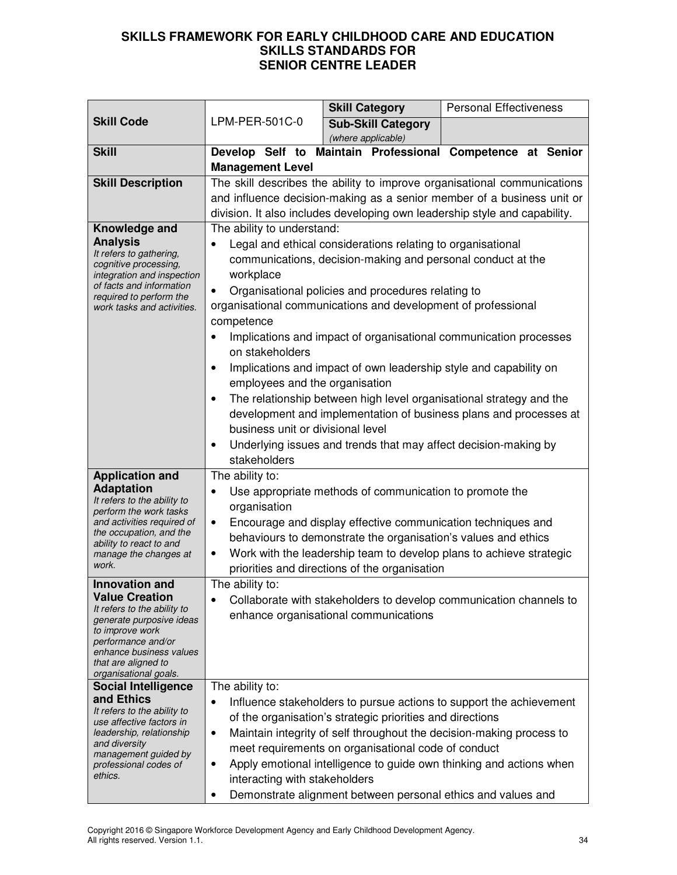|                                                                                                                                                                                                                               |                                                                                                                                                                                                                                                                                                                                                                                                                                                                                                                                                                                                                                                                                                                                                                                         | <b>Skill Category</b>                                                                                                                                                                                                                      | <b>Personal Effectiveness</b>                                                                                                                                                                                      |
|-------------------------------------------------------------------------------------------------------------------------------------------------------------------------------------------------------------------------------|-----------------------------------------------------------------------------------------------------------------------------------------------------------------------------------------------------------------------------------------------------------------------------------------------------------------------------------------------------------------------------------------------------------------------------------------------------------------------------------------------------------------------------------------------------------------------------------------------------------------------------------------------------------------------------------------------------------------------------------------------------------------------------------------|--------------------------------------------------------------------------------------------------------------------------------------------------------------------------------------------------------------------------------------------|--------------------------------------------------------------------------------------------------------------------------------------------------------------------------------------------------------------------|
| <b>Skill Code</b>                                                                                                                                                                                                             | LPM-PER-501C-0                                                                                                                                                                                                                                                                                                                                                                                                                                                                                                                                                                                                                                                                                                                                                                          | <b>Sub-Skill Category</b>                                                                                                                                                                                                                  |                                                                                                                                                                                                                    |
|                                                                                                                                                                                                                               |                                                                                                                                                                                                                                                                                                                                                                                                                                                                                                                                                                                                                                                                                                                                                                                         | (where applicable)                                                                                                                                                                                                                         |                                                                                                                                                                                                                    |
| <b>Skill</b>                                                                                                                                                                                                                  |                                                                                                                                                                                                                                                                                                                                                                                                                                                                                                                                                                                                                                                                                                                                                                                         | Develop Self to Maintain Professional                                                                                                                                                                                                      | <b>Competence at Senior</b>                                                                                                                                                                                        |
|                                                                                                                                                                                                                               | <b>Management Level</b>                                                                                                                                                                                                                                                                                                                                                                                                                                                                                                                                                                                                                                                                                                                                                                 |                                                                                                                                                                                                                                            |                                                                                                                                                                                                                    |
| <b>Skill Description</b>                                                                                                                                                                                                      |                                                                                                                                                                                                                                                                                                                                                                                                                                                                                                                                                                                                                                                                                                                                                                                         |                                                                                                                                                                                                                                            | The skill describes the ability to improve organisational communications                                                                                                                                           |
|                                                                                                                                                                                                                               |                                                                                                                                                                                                                                                                                                                                                                                                                                                                                                                                                                                                                                                                                                                                                                                         |                                                                                                                                                                                                                                            | and influence decision-making as a senior member of a business unit or                                                                                                                                             |
|                                                                                                                                                                                                                               |                                                                                                                                                                                                                                                                                                                                                                                                                                                                                                                                                                                                                                                                                                                                                                                         |                                                                                                                                                                                                                                            | division. It also includes developing own leadership style and capability.                                                                                                                                         |
| Knowledge and<br><b>Analysis</b><br>It refers to gathering,<br>cognitive processing,<br>integration and inspection<br>of facts and information<br>required to perform the<br>work tasks and activities.                       | The ability to understand:<br>Legal and ethical considerations relating to organisational<br>communications, decision-making and personal conduct at the<br>workplace<br>Organisational policies and procedures relating to<br>organisational communications and development of professional<br>competence<br>Implications and impact of organisational communication processes<br>on stakeholders<br>Implications and impact of own leadership style and capability on<br>$\bullet$<br>employees and the organisation<br>The relationship between high level organisational strategy and the<br>development and implementation of business plans and processes at<br>business unit or divisional level<br>Underlying issues and trends that may affect decision-making by<br>$\bullet$ |                                                                                                                                                                                                                                            |                                                                                                                                                                                                                    |
|                                                                                                                                                                                                                               | stakeholders                                                                                                                                                                                                                                                                                                                                                                                                                                                                                                                                                                                                                                                                                                                                                                            |                                                                                                                                                                                                                                            |                                                                                                                                                                                                                    |
| <b>Application and</b><br><b>Adaptation</b><br>It refers to the ability to<br>perform the work tasks<br>and activities required of<br>the occupation, and the<br>ability to react to and<br>manage the changes at<br>work.    | The ability to:<br>$\bullet$<br>organisation<br>٠<br>٠                                                                                                                                                                                                                                                                                                                                                                                                                                                                                                                                                                                                                                                                                                                                  | Use appropriate methods of communication to promote the<br>Encourage and display effective communication techniques and<br>behaviours to demonstrate the organisation's values and ethics<br>priorities and directions of the organisation | Work with the leadership team to develop plans to achieve strategic                                                                                                                                                |
| <b>Innovation and</b><br><b>Value Creation</b><br>It refers to the ability to<br>generate purposive ideas<br>to improve work<br>performance and/or<br>enhance business values<br>that are aligned to<br>organisational goals. | The ability to:                                                                                                                                                                                                                                                                                                                                                                                                                                                                                                                                                                                                                                                                                                                                                                         | enhance organisational communications                                                                                                                                                                                                      | Collaborate with stakeholders to develop communication channels to                                                                                                                                                 |
| <b>Social Intelligence</b><br>and Ethics<br>It refers to the ability to<br>use affective factors in<br>leadership, relationship<br>and diversity<br>management guided by<br>professional codes of<br>ethics.                  | The ability to:<br>$\bullet$<br>$\bullet$<br>$\bullet$<br>interacting with stakeholders<br>$\bullet$                                                                                                                                                                                                                                                                                                                                                                                                                                                                                                                                                                                                                                                                                    | of the organisation's strategic priorities and directions<br>meet requirements on organisational code of conduct<br>Demonstrate alignment between personal ethics and values and                                                           | Influence stakeholders to pursue actions to support the achievement<br>Maintain integrity of self throughout the decision-making process to<br>Apply emotional intelligence to guide own thinking and actions when |

Copyright 2016 © Singapore Workforce Development Agency and Early Childhood Development Agency. All rights reserved. Version 1.1. 34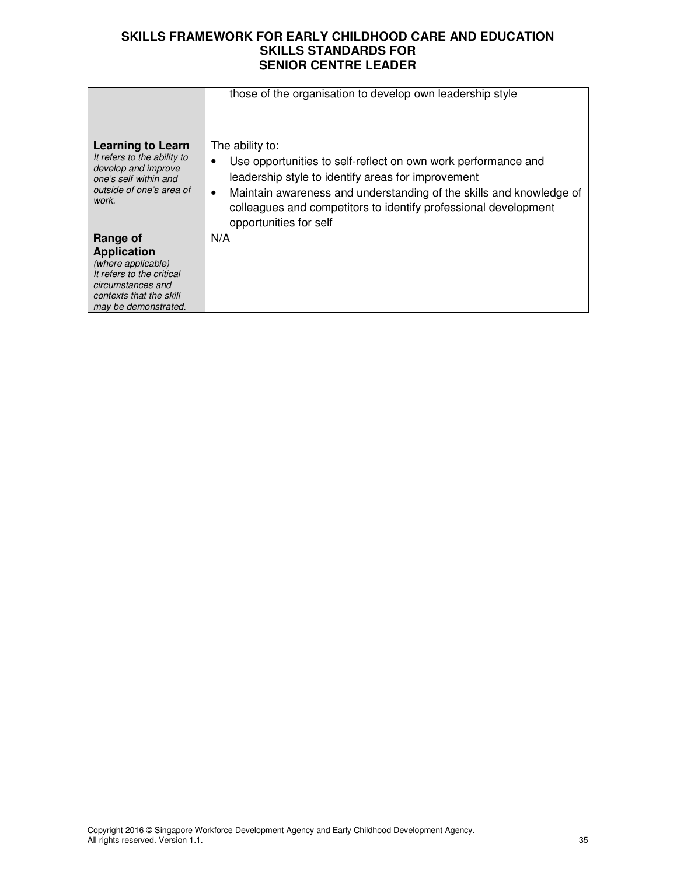|                                                                                                                                                           | those of the organisation to develop own leadership style                                                                                                                                                                                                                                                               |
|-----------------------------------------------------------------------------------------------------------------------------------------------------------|-------------------------------------------------------------------------------------------------------------------------------------------------------------------------------------------------------------------------------------------------------------------------------------------------------------------------|
|                                                                                                                                                           |                                                                                                                                                                                                                                                                                                                         |
| <b>Learning to Learn</b><br>It refers to the ability to<br>develop and improve<br>one's self within and<br>outside of one's area of<br>work.              | The ability to:<br>Use opportunities to self-reflect on own work performance and<br>leadership style to identify areas for improvement<br>Maintain awareness and understanding of the skills and knowledge of<br>$\bullet$<br>colleagues and competitors to identify professional development<br>opportunities for self |
| Range of<br><b>Application</b><br>(where applicable)<br>It refers to the critical<br>circumstances and<br>contexts that the skill<br>may be demonstrated. | N/A                                                                                                                                                                                                                                                                                                                     |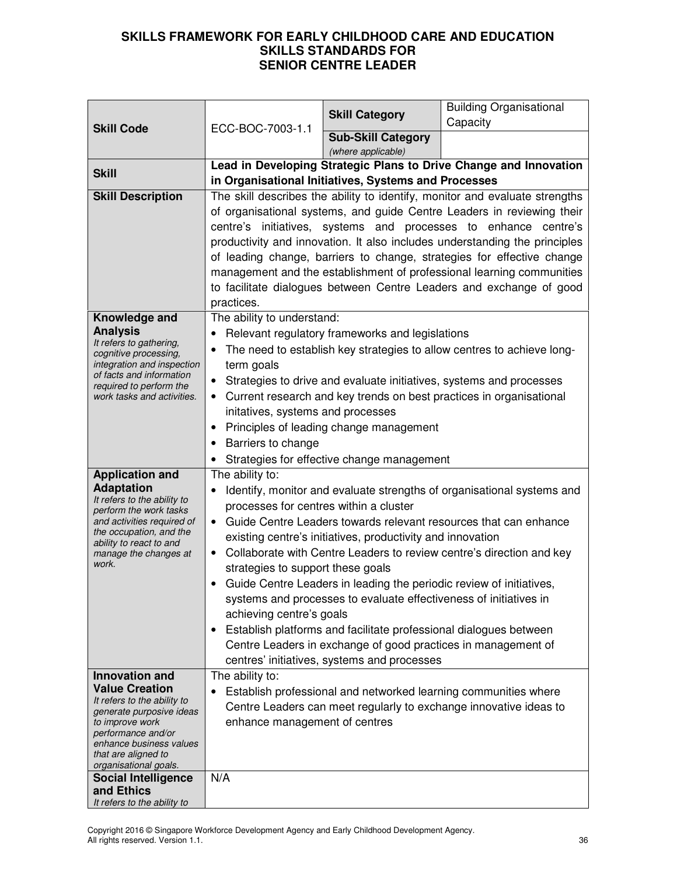| Capacity<br><b>Skill Code</b><br>ECC-BOC-7003-1.1<br><b>Sub-Skill Category</b><br>(where applicable)<br>Lead in Developing Strategic Plans to Drive Change and Innovation<br><b>Skill</b><br>in Organisational Initiatives, Systems and Processes<br>The skill describes the ability to identify, monitor and evaluate strengths<br><b>Skill Description</b><br>of organisational systems, and guide Centre Leaders in reviewing their<br>centre's initiatives, systems and processes to enhance centre's<br>productivity and innovation. It also includes understanding the principles<br>of leading change, barriers to change, strategies for effective change<br>management and the establishment of professional learning communities<br>to facilitate dialogues between Centre Leaders and exchange of good<br>practices.<br>Knowledge and<br>The ability to understand:<br><b>Analysis</b><br>Relevant regulatory frameworks and legislations<br>It refers to gathering,<br>The need to establish key strategies to allow centres to achieve long-<br>cognitive processing,<br>integration and inspection<br>term goals<br>of facts and information<br>Strategies to drive and evaluate initiatives, systems and processes<br>$\bullet$<br>required to perform the<br>Current research and key trends on best practices in organisational<br>work tasks and activities.<br>initatives, systems and processes<br>Principles of leading change management<br>Barriers to change<br>Strategies for effective change management<br>The ability to:<br><b>Application and</b><br><b>Adaptation</b><br>Identify, monitor and evaluate strengths of organisational systems and<br>It refers to the ability to<br>processes for centres within a cluster<br>perform the work tasks<br>and activities required of<br>Guide Centre Leaders towards relevant resources that can enhance<br>the occupation, and the<br>existing centre's initiatives, productivity and innovation<br>ability to react to and<br>Collaborate with Centre Leaders to review centre's direction and key<br>manage the changes at<br>work.<br>strategies to support these goals<br>Guide Centre Leaders in leading the periodic review of initiatives,<br>systems and processes to evaluate effectiveness of initiatives in<br>achieving centre's goals<br>Establish platforms and facilitate professional dialogues between<br>Centre Leaders in exchange of good practices in management of<br>centres' initiatives, systems and processes<br><b>Innovation and</b><br>The ability to:<br><b>Value Creation</b><br>Establish professional and networked learning communities where<br>$\bullet$<br>It refers to the ability to<br>Centre Leaders can meet regularly to exchange innovative ideas to<br>generate purposive ideas<br>enhance management of centres<br>to improve work<br>performance and/or<br>enhance business values<br>that are aligned to<br>organisational goals.<br>N/A<br><b>Social Intelligence</b><br>and Ethics |                             |  | <b>Skill Category</b> | <b>Building Organisational</b> |
|------------------------------------------------------------------------------------------------------------------------------------------------------------------------------------------------------------------------------------------------------------------------------------------------------------------------------------------------------------------------------------------------------------------------------------------------------------------------------------------------------------------------------------------------------------------------------------------------------------------------------------------------------------------------------------------------------------------------------------------------------------------------------------------------------------------------------------------------------------------------------------------------------------------------------------------------------------------------------------------------------------------------------------------------------------------------------------------------------------------------------------------------------------------------------------------------------------------------------------------------------------------------------------------------------------------------------------------------------------------------------------------------------------------------------------------------------------------------------------------------------------------------------------------------------------------------------------------------------------------------------------------------------------------------------------------------------------------------------------------------------------------------------------------------------------------------------------------------------------------------------------------------------------------------------------------------------------------------------------------------------------------------------------------------------------------------------------------------------------------------------------------------------------------------------------------------------------------------------------------------------------------------------------------------------------------------------------------------------------------------------------------------------------------------------------------------------------------------------------------------------------------------------------------------------------------------------------------------------------------------------------------------------------------------------------------------------------------------------------------------------------------------------------------------------------------------------------------------------------------------------------------------------------------------------------------------------------------------------------------------------------------|-----------------------------|--|-----------------------|--------------------------------|
|                                                                                                                                                                                                                                                                                                                                                                                                                                                                                                                                                                                                                                                                                                                                                                                                                                                                                                                                                                                                                                                                                                                                                                                                                                                                                                                                                                                                                                                                                                                                                                                                                                                                                                                                                                                                                                                                                                                                                                                                                                                                                                                                                                                                                                                                                                                                                                                                                                                                                                                                                                                                                                                                                                                                                                                                                                                                                                                                                                                                                  |                             |  |                       |                                |
|                                                                                                                                                                                                                                                                                                                                                                                                                                                                                                                                                                                                                                                                                                                                                                                                                                                                                                                                                                                                                                                                                                                                                                                                                                                                                                                                                                                                                                                                                                                                                                                                                                                                                                                                                                                                                                                                                                                                                                                                                                                                                                                                                                                                                                                                                                                                                                                                                                                                                                                                                                                                                                                                                                                                                                                                                                                                                                                                                                                                                  |                             |  |                       |                                |
|                                                                                                                                                                                                                                                                                                                                                                                                                                                                                                                                                                                                                                                                                                                                                                                                                                                                                                                                                                                                                                                                                                                                                                                                                                                                                                                                                                                                                                                                                                                                                                                                                                                                                                                                                                                                                                                                                                                                                                                                                                                                                                                                                                                                                                                                                                                                                                                                                                                                                                                                                                                                                                                                                                                                                                                                                                                                                                                                                                                                                  |                             |  |                       |                                |
|                                                                                                                                                                                                                                                                                                                                                                                                                                                                                                                                                                                                                                                                                                                                                                                                                                                                                                                                                                                                                                                                                                                                                                                                                                                                                                                                                                                                                                                                                                                                                                                                                                                                                                                                                                                                                                                                                                                                                                                                                                                                                                                                                                                                                                                                                                                                                                                                                                                                                                                                                                                                                                                                                                                                                                                                                                                                                                                                                                                                                  |                             |  |                       |                                |
|                                                                                                                                                                                                                                                                                                                                                                                                                                                                                                                                                                                                                                                                                                                                                                                                                                                                                                                                                                                                                                                                                                                                                                                                                                                                                                                                                                                                                                                                                                                                                                                                                                                                                                                                                                                                                                                                                                                                                                                                                                                                                                                                                                                                                                                                                                                                                                                                                                                                                                                                                                                                                                                                                                                                                                                                                                                                                                                                                                                                                  |                             |  |                       |                                |
|                                                                                                                                                                                                                                                                                                                                                                                                                                                                                                                                                                                                                                                                                                                                                                                                                                                                                                                                                                                                                                                                                                                                                                                                                                                                                                                                                                                                                                                                                                                                                                                                                                                                                                                                                                                                                                                                                                                                                                                                                                                                                                                                                                                                                                                                                                                                                                                                                                                                                                                                                                                                                                                                                                                                                                                                                                                                                                                                                                                                                  |                             |  |                       |                                |
|                                                                                                                                                                                                                                                                                                                                                                                                                                                                                                                                                                                                                                                                                                                                                                                                                                                                                                                                                                                                                                                                                                                                                                                                                                                                                                                                                                                                                                                                                                                                                                                                                                                                                                                                                                                                                                                                                                                                                                                                                                                                                                                                                                                                                                                                                                                                                                                                                                                                                                                                                                                                                                                                                                                                                                                                                                                                                                                                                                                                                  |                             |  |                       |                                |
|                                                                                                                                                                                                                                                                                                                                                                                                                                                                                                                                                                                                                                                                                                                                                                                                                                                                                                                                                                                                                                                                                                                                                                                                                                                                                                                                                                                                                                                                                                                                                                                                                                                                                                                                                                                                                                                                                                                                                                                                                                                                                                                                                                                                                                                                                                                                                                                                                                                                                                                                                                                                                                                                                                                                                                                                                                                                                                                                                                                                                  |                             |  |                       |                                |
|                                                                                                                                                                                                                                                                                                                                                                                                                                                                                                                                                                                                                                                                                                                                                                                                                                                                                                                                                                                                                                                                                                                                                                                                                                                                                                                                                                                                                                                                                                                                                                                                                                                                                                                                                                                                                                                                                                                                                                                                                                                                                                                                                                                                                                                                                                                                                                                                                                                                                                                                                                                                                                                                                                                                                                                                                                                                                                                                                                                                                  |                             |  |                       |                                |
|                                                                                                                                                                                                                                                                                                                                                                                                                                                                                                                                                                                                                                                                                                                                                                                                                                                                                                                                                                                                                                                                                                                                                                                                                                                                                                                                                                                                                                                                                                                                                                                                                                                                                                                                                                                                                                                                                                                                                                                                                                                                                                                                                                                                                                                                                                                                                                                                                                                                                                                                                                                                                                                                                                                                                                                                                                                                                                                                                                                                                  |                             |  |                       |                                |
|                                                                                                                                                                                                                                                                                                                                                                                                                                                                                                                                                                                                                                                                                                                                                                                                                                                                                                                                                                                                                                                                                                                                                                                                                                                                                                                                                                                                                                                                                                                                                                                                                                                                                                                                                                                                                                                                                                                                                                                                                                                                                                                                                                                                                                                                                                                                                                                                                                                                                                                                                                                                                                                                                                                                                                                                                                                                                                                                                                                                                  |                             |  |                       |                                |
|                                                                                                                                                                                                                                                                                                                                                                                                                                                                                                                                                                                                                                                                                                                                                                                                                                                                                                                                                                                                                                                                                                                                                                                                                                                                                                                                                                                                                                                                                                                                                                                                                                                                                                                                                                                                                                                                                                                                                                                                                                                                                                                                                                                                                                                                                                                                                                                                                                                                                                                                                                                                                                                                                                                                                                                                                                                                                                                                                                                                                  |                             |  |                       |                                |
|                                                                                                                                                                                                                                                                                                                                                                                                                                                                                                                                                                                                                                                                                                                                                                                                                                                                                                                                                                                                                                                                                                                                                                                                                                                                                                                                                                                                                                                                                                                                                                                                                                                                                                                                                                                                                                                                                                                                                                                                                                                                                                                                                                                                                                                                                                                                                                                                                                                                                                                                                                                                                                                                                                                                                                                                                                                                                                                                                                                                                  |                             |  |                       |                                |
|                                                                                                                                                                                                                                                                                                                                                                                                                                                                                                                                                                                                                                                                                                                                                                                                                                                                                                                                                                                                                                                                                                                                                                                                                                                                                                                                                                                                                                                                                                                                                                                                                                                                                                                                                                                                                                                                                                                                                                                                                                                                                                                                                                                                                                                                                                                                                                                                                                                                                                                                                                                                                                                                                                                                                                                                                                                                                                                                                                                                                  |                             |  |                       |                                |
|                                                                                                                                                                                                                                                                                                                                                                                                                                                                                                                                                                                                                                                                                                                                                                                                                                                                                                                                                                                                                                                                                                                                                                                                                                                                                                                                                                                                                                                                                                                                                                                                                                                                                                                                                                                                                                                                                                                                                                                                                                                                                                                                                                                                                                                                                                                                                                                                                                                                                                                                                                                                                                                                                                                                                                                                                                                                                                                                                                                                                  |                             |  |                       |                                |
|                                                                                                                                                                                                                                                                                                                                                                                                                                                                                                                                                                                                                                                                                                                                                                                                                                                                                                                                                                                                                                                                                                                                                                                                                                                                                                                                                                                                                                                                                                                                                                                                                                                                                                                                                                                                                                                                                                                                                                                                                                                                                                                                                                                                                                                                                                                                                                                                                                                                                                                                                                                                                                                                                                                                                                                                                                                                                                                                                                                                                  |                             |  |                       |                                |
|                                                                                                                                                                                                                                                                                                                                                                                                                                                                                                                                                                                                                                                                                                                                                                                                                                                                                                                                                                                                                                                                                                                                                                                                                                                                                                                                                                                                                                                                                                                                                                                                                                                                                                                                                                                                                                                                                                                                                                                                                                                                                                                                                                                                                                                                                                                                                                                                                                                                                                                                                                                                                                                                                                                                                                                                                                                                                                                                                                                                                  |                             |  |                       |                                |
|                                                                                                                                                                                                                                                                                                                                                                                                                                                                                                                                                                                                                                                                                                                                                                                                                                                                                                                                                                                                                                                                                                                                                                                                                                                                                                                                                                                                                                                                                                                                                                                                                                                                                                                                                                                                                                                                                                                                                                                                                                                                                                                                                                                                                                                                                                                                                                                                                                                                                                                                                                                                                                                                                                                                                                                                                                                                                                                                                                                                                  |                             |  |                       |                                |
|                                                                                                                                                                                                                                                                                                                                                                                                                                                                                                                                                                                                                                                                                                                                                                                                                                                                                                                                                                                                                                                                                                                                                                                                                                                                                                                                                                                                                                                                                                                                                                                                                                                                                                                                                                                                                                                                                                                                                                                                                                                                                                                                                                                                                                                                                                                                                                                                                                                                                                                                                                                                                                                                                                                                                                                                                                                                                                                                                                                                                  |                             |  |                       |                                |
|                                                                                                                                                                                                                                                                                                                                                                                                                                                                                                                                                                                                                                                                                                                                                                                                                                                                                                                                                                                                                                                                                                                                                                                                                                                                                                                                                                                                                                                                                                                                                                                                                                                                                                                                                                                                                                                                                                                                                                                                                                                                                                                                                                                                                                                                                                                                                                                                                                                                                                                                                                                                                                                                                                                                                                                                                                                                                                                                                                                                                  |                             |  |                       |                                |
|                                                                                                                                                                                                                                                                                                                                                                                                                                                                                                                                                                                                                                                                                                                                                                                                                                                                                                                                                                                                                                                                                                                                                                                                                                                                                                                                                                                                                                                                                                                                                                                                                                                                                                                                                                                                                                                                                                                                                                                                                                                                                                                                                                                                                                                                                                                                                                                                                                                                                                                                                                                                                                                                                                                                                                                                                                                                                                                                                                                                                  |                             |  |                       |                                |
|                                                                                                                                                                                                                                                                                                                                                                                                                                                                                                                                                                                                                                                                                                                                                                                                                                                                                                                                                                                                                                                                                                                                                                                                                                                                                                                                                                                                                                                                                                                                                                                                                                                                                                                                                                                                                                                                                                                                                                                                                                                                                                                                                                                                                                                                                                                                                                                                                                                                                                                                                                                                                                                                                                                                                                                                                                                                                                                                                                                                                  |                             |  |                       |                                |
|                                                                                                                                                                                                                                                                                                                                                                                                                                                                                                                                                                                                                                                                                                                                                                                                                                                                                                                                                                                                                                                                                                                                                                                                                                                                                                                                                                                                                                                                                                                                                                                                                                                                                                                                                                                                                                                                                                                                                                                                                                                                                                                                                                                                                                                                                                                                                                                                                                                                                                                                                                                                                                                                                                                                                                                                                                                                                                                                                                                                                  |                             |  |                       |                                |
|                                                                                                                                                                                                                                                                                                                                                                                                                                                                                                                                                                                                                                                                                                                                                                                                                                                                                                                                                                                                                                                                                                                                                                                                                                                                                                                                                                                                                                                                                                                                                                                                                                                                                                                                                                                                                                                                                                                                                                                                                                                                                                                                                                                                                                                                                                                                                                                                                                                                                                                                                                                                                                                                                                                                                                                                                                                                                                                                                                                                                  |                             |  |                       |                                |
|                                                                                                                                                                                                                                                                                                                                                                                                                                                                                                                                                                                                                                                                                                                                                                                                                                                                                                                                                                                                                                                                                                                                                                                                                                                                                                                                                                                                                                                                                                                                                                                                                                                                                                                                                                                                                                                                                                                                                                                                                                                                                                                                                                                                                                                                                                                                                                                                                                                                                                                                                                                                                                                                                                                                                                                                                                                                                                                                                                                                                  |                             |  |                       |                                |
|                                                                                                                                                                                                                                                                                                                                                                                                                                                                                                                                                                                                                                                                                                                                                                                                                                                                                                                                                                                                                                                                                                                                                                                                                                                                                                                                                                                                                                                                                                                                                                                                                                                                                                                                                                                                                                                                                                                                                                                                                                                                                                                                                                                                                                                                                                                                                                                                                                                                                                                                                                                                                                                                                                                                                                                                                                                                                                                                                                                                                  |                             |  |                       |                                |
|                                                                                                                                                                                                                                                                                                                                                                                                                                                                                                                                                                                                                                                                                                                                                                                                                                                                                                                                                                                                                                                                                                                                                                                                                                                                                                                                                                                                                                                                                                                                                                                                                                                                                                                                                                                                                                                                                                                                                                                                                                                                                                                                                                                                                                                                                                                                                                                                                                                                                                                                                                                                                                                                                                                                                                                                                                                                                                                                                                                                                  |                             |  |                       |                                |
|                                                                                                                                                                                                                                                                                                                                                                                                                                                                                                                                                                                                                                                                                                                                                                                                                                                                                                                                                                                                                                                                                                                                                                                                                                                                                                                                                                                                                                                                                                                                                                                                                                                                                                                                                                                                                                                                                                                                                                                                                                                                                                                                                                                                                                                                                                                                                                                                                                                                                                                                                                                                                                                                                                                                                                                                                                                                                                                                                                                                                  |                             |  |                       |                                |
|                                                                                                                                                                                                                                                                                                                                                                                                                                                                                                                                                                                                                                                                                                                                                                                                                                                                                                                                                                                                                                                                                                                                                                                                                                                                                                                                                                                                                                                                                                                                                                                                                                                                                                                                                                                                                                                                                                                                                                                                                                                                                                                                                                                                                                                                                                                                                                                                                                                                                                                                                                                                                                                                                                                                                                                                                                                                                                                                                                                                                  |                             |  |                       |                                |
|                                                                                                                                                                                                                                                                                                                                                                                                                                                                                                                                                                                                                                                                                                                                                                                                                                                                                                                                                                                                                                                                                                                                                                                                                                                                                                                                                                                                                                                                                                                                                                                                                                                                                                                                                                                                                                                                                                                                                                                                                                                                                                                                                                                                                                                                                                                                                                                                                                                                                                                                                                                                                                                                                                                                                                                                                                                                                                                                                                                                                  |                             |  |                       |                                |
|                                                                                                                                                                                                                                                                                                                                                                                                                                                                                                                                                                                                                                                                                                                                                                                                                                                                                                                                                                                                                                                                                                                                                                                                                                                                                                                                                                                                                                                                                                                                                                                                                                                                                                                                                                                                                                                                                                                                                                                                                                                                                                                                                                                                                                                                                                                                                                                                                                                                                                                                                                                                                                                                                                                                                                                                                                                                                                                                                                                                                  |                             |  |                       |                                |
|                                                                                                                                                                                                                                                                                                                                                                                                                                                                                                                                                                                                                                                                                                                                                                                                                                                                                                                                                                                                                                                                                                                                                                                                                                                                                                                                                                                                                                                                                                                                                                                                                                                                                                                                                                                                                                                                                                                                                                                                                                                                                                                                                                                                                                                                                                                                                                                                                                                                                                                                                                                                                                                                                                                                                                                                                                                                                                                                                                                                                  |                             |  |                       |                                |
|                                                                                                                                                                                                                                                                                                                                                                                                                                                                                                                                                                                                                                                                                                                                                                                                                                                                                                                                                                                                                                                                                                                                                                                                                                                                                                                                                                                                                                                                                                                                                                                                                                                                                                                                                                                                                                                                                                                                                                                                                                                                                                                                                                                                                                                                                                                                                                                                                                                                                                                                                                                                                                                                                                                                                                                                                                                                                                                                                                                                                  |                             |  |                       |                                |
|                                                                                                                                                                                                                                                                                                                                                                                                                                                                                                                                                                                                                                                                                                                                                                                                                                                                                                                                                                                                                                                                                                                                                                                                                                                                                                                                                                                                                                                                                                                                                                                                                                                                                                                                                                                                                                                                                                                                                                                                                                                                                                                                                                                                                                                                                                                                                                                                                                                                                                                                                                                                                                                                                                                                                                                                                                                                                                                                                                                                                  |                             |  |                       |                                |
|                                                                                                                                                                                                                                                                                                                                                                                                                                                                                                                                                                                                                                                                                                                                                                                                                                                                                                                                                                                                                                                                                                                                                                                                                                                                                                                                                                                                                                                                                                                                                                                                                                                                                                                                                                                                                                                                                                                                                                                                                                                                                                                                                                                                                                                                                                                                                                                                                                                                                                                                                                                                                                                                                                                                                                                                                                                                                                                                                                                                                  |                             |  |                       |                                |
|                                                                                                                                                                                                                                                                                                                                                                                                                                                                                                                                                                                                                                                                                                                                                                                                                                                                                                                                                                                                                                                                                                                                                                                                                                                                                                                                                                                                                                                                                                                                                                                                                                                                                                                                                                                                                                                                                                                                                                                                                                                                                                                                                                                                                                                                                                                                                                                                                                                                                                                                                                                                                                                                                                                                                                                                                                                                                                                                                                                                                  |                             |  |                       |                                |
|                                                                                                                                                                                                                                                                                                                                                                                                                                                                                                                                                                                                                                                                                                                                                                                                                                                                                                                                                                                                                                                                                                                                                                                                                                                                                                                                                                                                                                                                                                                                                                                                                                                                                                                                                                                                                                                                                                                                                                                                                                                                                                                                                                                                                                                                                                                                                                                                                                                                                                                                                                                                                                                                                                                                                                                                                                                                                                                                                                                                                  | It refers to the ability to |  |                       |                                |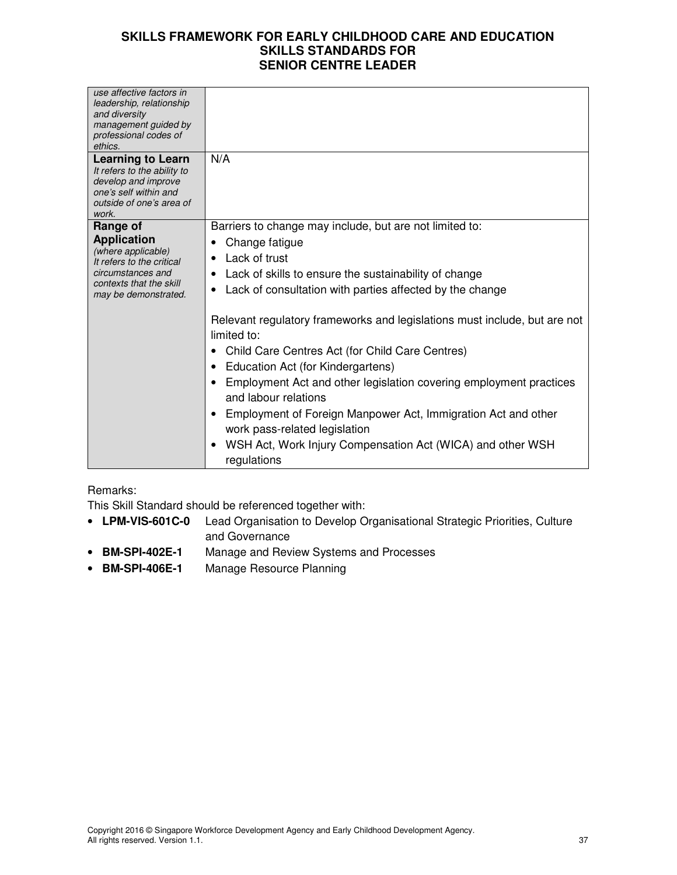| use affective factors in<br>leadership, relationship<br>and diversity<br>management guided by<br>professional codes of<br>ethics.<br><b>Learning to Learn</b> | N/A                                                                                                                                                                                                                                                                                                                                                                                                                                                                                  |
|---------------------------------------------------------------------------------------------------------------------------------------------------------------|--------------------------------------------------------------------------------------------------------------------------------------------------------------------------------------------------------------------------------------------------------------------------------------------------------------------------------------------------------------------------------------------------------------------------------------------------------------------------------------|
| It refers to the ability to<br>develop and improve<br>one's self within and<br>outside of one's area of<br>work.                                              |                                                                                                                                                                                                                                                                                                                                                                                                                                                                                      |
| Range of<br><b>Application</b><br>(where applicable)<br>It refers to the critical<br>circumstances and<br>contexts that the skill<br>may be demonstrated.     | Barriers to change may include, but are not limited to:<br>Change fatigue<br>Lack of trust<br>• Lack of skills to ensure the sustainability of change<br>• Lack of consultation with parties affected by the change                                                                                                                                                                                                                                                                  |
|                                                                                                                                                               | Relevant regulatory frameworks and legislations must include, but are not<br>limited to:<br>Child Care Centres Act (for Child Care Centres)<br>Education Act (for Kindergartens)<br>$\bullet$<br>Employment Act and other legislation covering employment practices<br>and labour relations<br>Employment of Foreign Manpower Act, Immigration Act and other<br>٠<br>work pass-related legislation<br>WSH Act, Work Injury Compensation Act (WICA) and other WSH<br>٠<br>regulations |

### Remarks:

This Skill Standard should be referenced together with:

- **LPM-VIS-601C-0** Lead Organisation to Develop Organisational Strategic Priorities, Culture and Governance
- **BM-SPI-402E-1** Manage and Review Systems and Processes
- **BM-SPI-406E-1** Manage Resource Planning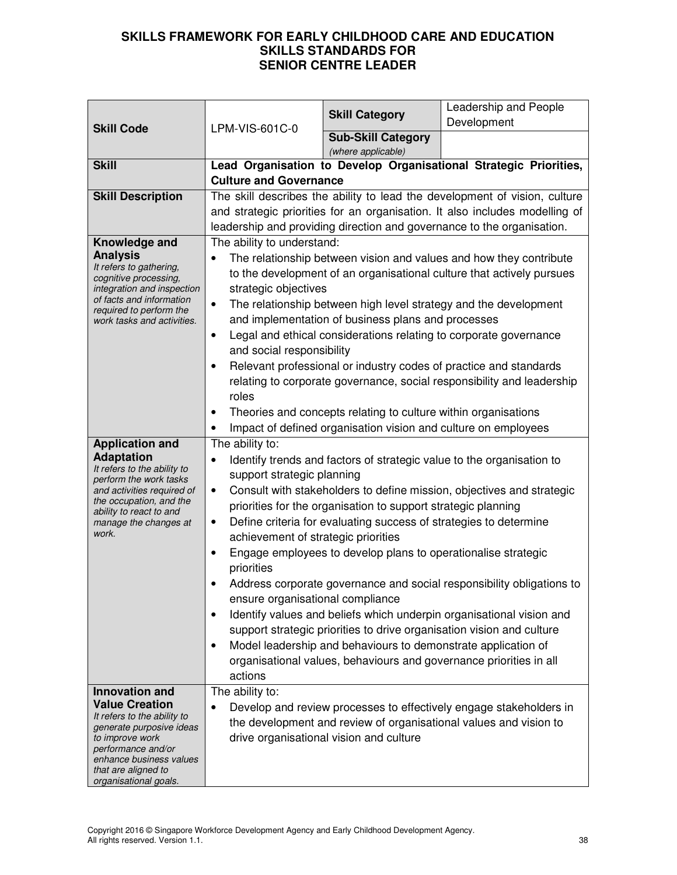| <b>Skill Code</b>                                                                                                                                                                                                             | LPM-VIS-601C-0                                                                                                                                                                                                                                                                                                                                                                                                                                                                                                                                                                                                                                                                                                                                                                                                                                                                                                               | <b>Skill Category</b>                                          | Leadership and People<br>Development                              |
|-------------------------------------------------------------------------------------------------------------------------------------------------------------------------------------------------------------------------------|------------------------------------------------------------------------------------------------------------------------------------------------------------------------------------------------------------------------------------------------------------------------------------------------------------------------------------------------------------------------------------------------------------------------------------------------------------------------------------------------------------------------------------------------------------------------------------------------------------------------------------------------------------------------------------------------------------------------------------------------------------------------------------------------------------------------------------------------------------------------------------------------------------------------------|----------------------------------------------------------------|-------------------------------------------------------------------|
|                                                                                                                                                                                                                               |                                                                                                                                                                                                                                                                                                                                                                                                                                                                                                                                                                                                                                                                                                                                                                                                                                                                                                                              | <b>Sub-Skill Category</b>                                      |                                                                   |
|                                                                                                                                                                                                                               |                                                                                                                                                                                                                                                                                                                                                                                                                                                                                                                                                                                                                                                                                                                                                                                                                                                                                                                              | (where applicable)                                             |                                                                   |
| <b>Skill</b>                                                                                                                                                                                                                  |                                                                                                                                                                                                                                                                                                                                                                                                                                                                                                                                                                                                                                                                                                                                                                                                                                                                                                                              |                                                                | Lead Organisation to Develop Organisational Strategic Priorities, |
|                                                                                                                                                                                                                               | <b>Culture and Governance</b>                                                                                                                                                                                                                                                                                                                                                                                                                                                                                                                                                                                                                                                                                                                                                                                                                                                                                                |                                                                |                                                                   |
| <b>Skill Description</b>                                                                                                                                                                                                      | The skill describes the ability to lead the development of vision, culture                                                                                                                                                                                                                                                                                                                                                                                                                                                                                                                                                                                                                                                                                                                                                                                                                                                   |                                                                |                                                                   |
|                                                                                                                                                                                                                               | and strategic priorities for an organisation. It also includes modelling of<br>leadership and providing direction and governance to the organisation.                                                                                                                                                                                                                                                                                                                                                                                                                                                                                                                                                                                                                                                                                                                                                                        |                                                                |                                                                   |
| Knowledge and                                                                                                                                                                                                                 | The ability to understand:                                                                                                                                                                                                                                                                                                                                                                                                                                                                                                                                                                                                                                                                                                                                                                                                                                                                                                   |                                                                |                                                                   |
| <b>Analysis</b><br>It refers to gathering,<br>cognitive processing,<br>integration and inspection<br>of facts and information<br>required to perform the<br>work tasks and activities.                                        | The relationship between vision and values and how they contribute<br>to the development of an organisational culture that actively pursues<br>strategic objectives<br>The relationship between high level strategy and the development<br>$\bullet$<br>and implementation of business plans and processes<br>Legal and ethical considerations relating to corporate governance<br>$\bullet$<br>and social responsibility<br>Relevant professional or industry codes of practice and standards<br>relating to corporate governance, social responsibility and leadership                                                                                                                                                                                                                                                                                                                                                     |                                                                |                                                                   |
|                                                                                                                                                                                                                               | roles                                                                                                                                                                                                                                                                                                                                                                                                                                                                                                                                                                                                                                                                                                                                                                                                                                                                                                                        |                                                                |                                                                   |
|                                                                                                                                                                                                                               |                                                                                                                                                                                                                                                                                                                                                                                                                                                                                                                                                                                                                                                                                                                                                                                                                                                                                                                              | Theories and concepts relating to culture within organisations |                                                                   |
|                                                                                                                                                                                                                               |                                                                                                                                                                                                                                                                                                                                                                                                                                                                                                                                                                                                                                                                                                                                                                                                                                                                                                                              | Impact of defined organisation vision and culture on employees |                                                                   |
| <b>Application and</b><br><b>Adaptation</b><br>It refers to the ability to<br>perform the work tasks<br>and activities required of<br>the occupation, and the<br>ability to react to and<br>manage the changes at<br>work.    | The ability to:<br>Identify trends and factors of strategic value to the organisation to<br>$\bullet$<br>support strategic planning<br>Consult with stakeholders to define mission, objectives and strategic<br>٠<br>priorities for the organisation to support strategic planning<br>Define criteria for evaluating success of strategies to determine<br>٠<br>achievement of strategic priorities<br>Engage employees to develop plans to operationalise strategic<br>priorities<br>Address corporate governance and social responsibility obligations to<br>ensure organisational compliance<br>Identify values and beliefs which underpin organisational vision and<br>$\bullet$<br>support strategic priorities to drive organisation vision and culture<br>Model leadership and behaviours to demonstrate application of<br>$\bullet$<br>organisational values, behaviours and governance priorities in all<br>actions |                                                                |                                                                   |
| <b>Innovation and</b><br><b>Value Creation</b><br>It refers to the ability to<br>generate purposive ideas<br>to improve work<br>performance and/or<br>enhance business values<br>that are aligned to<br>organisational goals. | The ability to:<br>Develop and review processes to effectively engage stakeholders in<br>$\bullet$<br>the development and review of organisational values and vision to<br>drive organisational vision and culture                                                                                                                                                                                                                                                                                                                                                                                                                                                                                                                                                                                                                                                                                                           |                                                                |                                                                   |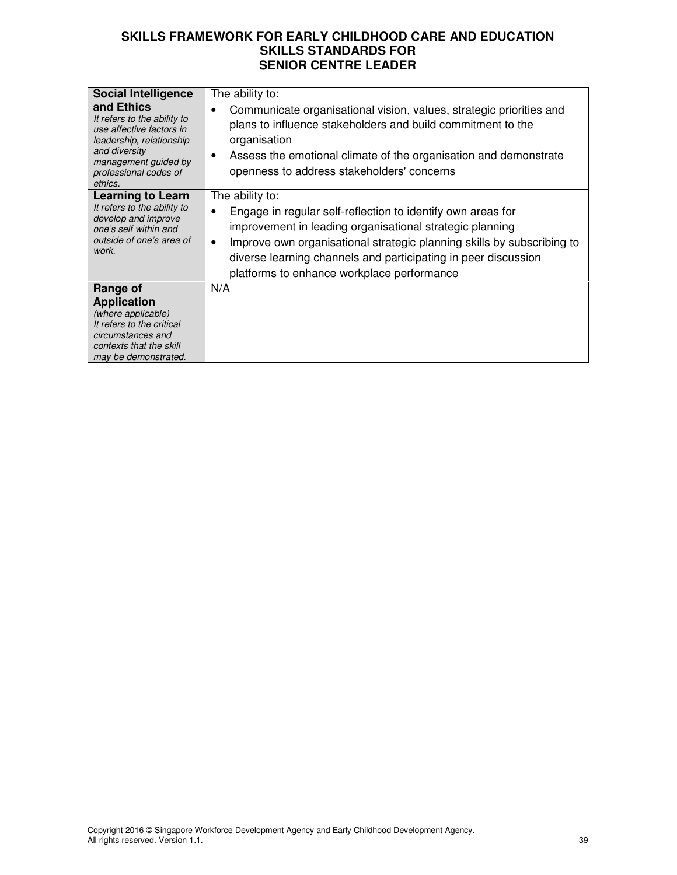| <b>Social Intelligence</b><br>and Ethics<br>It refers to the ability to<br>use affective factors in<br>leadership, relationship<br>and diversity<br>management guided by<br>professional codes of<br>ethics. | The ability to:<br>Communicate organisational vision, values, strategic priorities and<br>plans to influence stakeholders and build commitment to the<br>organisation<br>Assess the emotional climate of the organisation and demonstrate<br>$\bullet$<br>openness to address stakeholders' concerns                                              |
|--------------------------------------------------------------------------------------------------------------------------------------------------------------------------------------------------------------|---------------------------------------------------------------------------------------------------------------------------------------------------------------------------------------------------------------------------------------------------------------------------------------------------------------------------------------------------|
| <b>Learning to Learn</b><br>It refers to the ability to<br>develop and improve<br>one's self within and<br>outside of one's area of<br>work.                                                                 | The ability to:<br>Engage in regular self-reflection to identify own areas for<br>improvement in leading organisational strategic planning<br>Improve own organisational strategic planning skills by subscribing to<br>$\bullet$<br>diverse learning channels and participating in peer discussion<br>platforms to enhance workplace performance |
| Range of<br><b>Application</b><br>(where applicable)<br>It refers to the critical<br>circumstances and<br>contexts that the skill<br>may be demonstrated.                                                    | N/A                                                                                                                                                                                                                                                                                                                                               |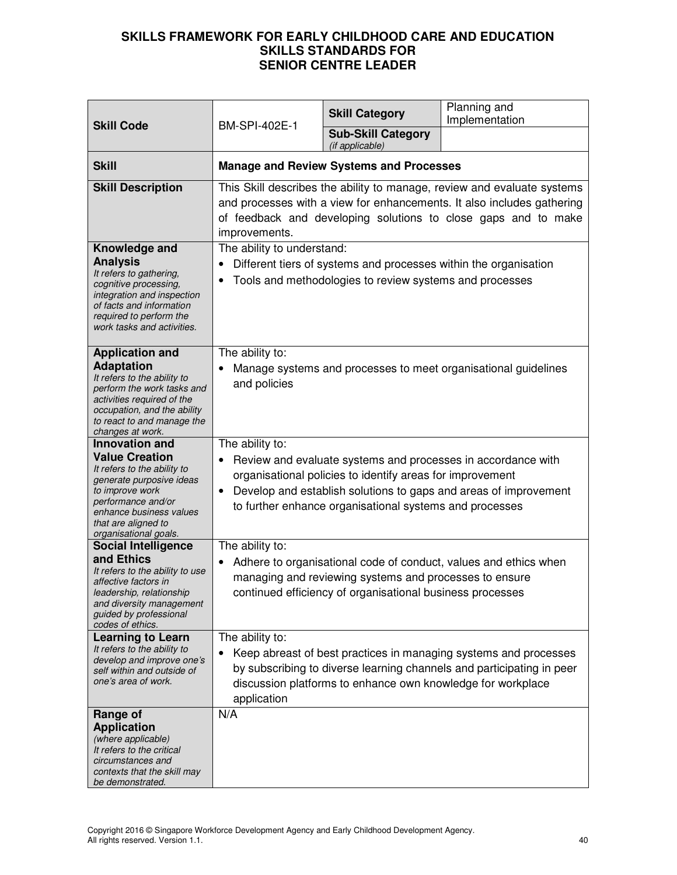| <b>Skill Code</b>                                                                                                                                                                                                             | BM-SPI-402E-1                                                                                                                                                                                                                                                                            | <b>Skill Category</b>                                                                                                       | Planning and<br>Implementation                                   |
|-------------------------------------------------------------------------------------------------------------------------------------------------------------------------------------------------------------------------------|------------------------------------------------------------------------------------------------------------------------------------------------------------------------------------------------------------------------------------------------------------------------------------------|-----------------------------------------------------------------------------------------------------------------------------|------------------------------------------------------------------|
|                                                                                                                                                                                                                               |                                                                                                                                                                                                                                                                                          | <b>Sub-Skill Category</b><br>(if applicable)                                                                                |                                                                  |
| <b>Skill</b>                                                                                                                                                                                                                  | <b>Manage and Review Systems and Processes</b>                                                                                                                                                                                                                                           |                                                                                                                             |                                                                  |
| <b>Skill Description</b>                                                                                                                                                                                                      | This Skill describes the ability to manage, review and evaluate systems<br>and processes with a view for enhancements. It also includes gathering<br>of feedback and developing solutions to close gaps and to make<br>improvements.                                                     |                                                                                                                             |                                                                  |
| Knowledge and<br><b>Analysis</b><br>It refers to gathering,<br>cognitive processing,<br>integration and inspection<br>of facts and information<br>required to perform the<br>work tasks and activities.                       | The ability to understand:                                                                                                                                                                                                                                                               | Different tiers of systems and processes within the organisation<br>Tools and methodologies to review systems and processes |                                                                  |
| <b>Application and</b><br><b>Adaptation</b><br>It refers to the ability to<br>perform the work tasks and<br>activities required of the<br>occupation, and the ability<br>to react to and manage the<br>changes at work.       | The ability to:<br>Manage systems and processes to meet organisational guidelines<br>and policies                                                                                                                                                                                        |                                                                                                                             |                                                                  |
| <b>Innovation and</b><br><b>Value Creation</b><br>It refers to the ability to<br>generate purposive ideas<br>to improve work<br>performance and/or<br>enhance business values<br>that are aligned to<br>organisational goals. | The ability to:<br>Review and evaluate systems and processes in accordance with<br>organisational policies to identify areas for improvement<br>Develop and establish solutions to gaps and areas of improvement<br>$\bullet$<br>to further enhance organisational systems and processes |                                                                                                                             |                                                                  |
| <b>Social Intelligence</b><br>and Ethics<br>It refers to the ability to use<br>affective factors in<br>leadership, relationship<br>and diversity management<br>guided by professional<br>codes of ethics.                     | The ability to:<br>$\bullet$                                                                                                                                                                                                                                                             | managing and reviewing systems and processes to ensure<br>continued efficiency of organisational business processes         | Adhere to organisational code of conduct, values and ethics when |
| <b>Learning to Learn</b><br>It refers to the ability to<br>develop and improve one's<br>self within and outside of<br>one's area of work.                                                                                     | The ability to:<br>Keep abreast of best practices in managing systems and processes<br>by subscribing to diverse learning channels and participating in peer<br>discussion platforms to enhance own knowledge for workplace<br>application                                               |                                                                                                                             |                                                                  |
| Range of<br><b>Application</b><br>(where applicable)<br>It refers to the critical<br>circumstances and<br>contexts that the skill may<br>be demonstrated.                                                                     | N/A                                                                                                                                                                                                                                                                                      |                                                                                                                             |                                                                  |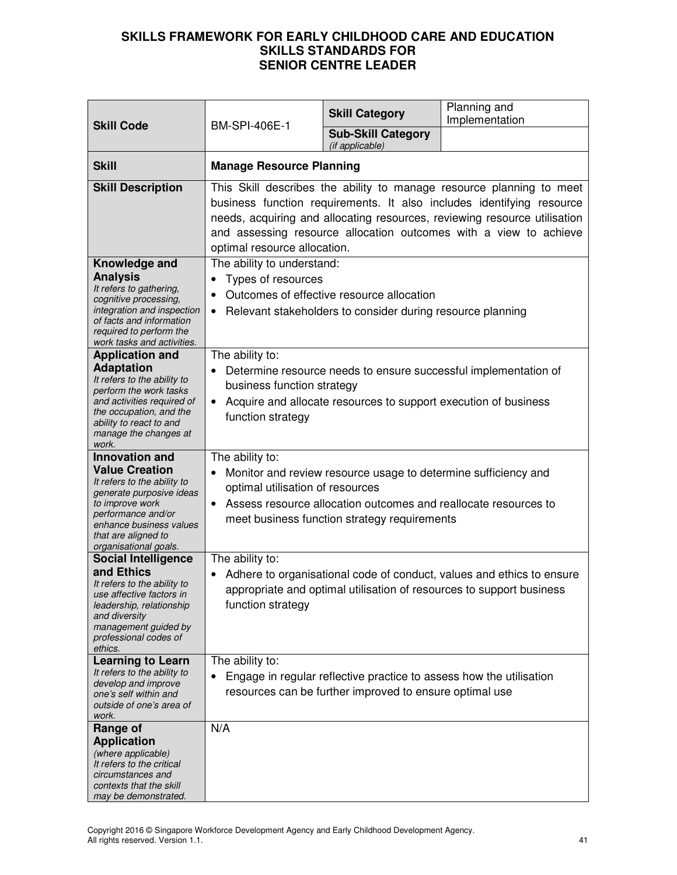|                                                                                                                                                                                                                               |                                                                                                                                                                                                                                                                                                                                 | <b>Skill Category</b>                                                                                                          | Planning and<br>Implementation                                                                                                                |
|-------------------------------------------------------------------------------------------------------------------------------------------------------------------------------------------------------------------------------|---------------------------------------------------------------------------------------------------------------------------------------------------------------------------------------------------------------------------------------------------------------------------------------------------------------------------------|--------------------------------------------------------------------------------------------------------------------------------|-----------------------------------------------------------------------------------------------------------------------------------------------|
| <b>Skill Code</b>                                                                                                                                                                                                             | <b>BM-SPI-406E-1</b>                                                                                                                                                                                                                                                                                                            | <b>Sub-Skill Category</b><br>(if applicable)                                                                                   |                                                                                                                                               |
| <b>Skill</b>                                                                                                                                                                                                                  | <b>Manage Resource Planning</b>                                                                                                                                                                                                                                                                                                 |                                                                                                                                |                                                                                                                                               |
| <b>Skill Description</b>                                                                                                                                                                                                      | This Skill describes the ability to manage resource planning to meet<br>business function requirements. It also includes identifying resource<br>needs, acquiring and allocating resources, reviewing resource utilisation<br>and assessing resource allocation outcomes with a view to achieve<br>optimal resource allocation. |                                                                                                                                |                                                                                                                                               |
| Knowledge and<br><b>Analysis</b><br>It refers to gathering,<br>cognitive processing,<br>integration and inspection<br>of facts and information<br>required to perform the<br>work tasks and activities.                       | The ability to understand:<br>Types of resources<br>$\bullet$<br>$\bullet$<br>$\bullet$                                                                                                                                                                                                                                         | Outcomes of effective resource allocation<br>Relevant stakeholders to consider during resource planning                        |                                                                                                                                               |
| <b>Application and</b><br><b>Adaptation</b><br>It refers to the ability to<br>perform the work tasks<br>and activities required of<br>the occupation, and the<br>ability to react to and<br>manage the changes at<br>work.    | The ability to:<br>Determine resource needs to ensure successful implementation of<br>business function strategy<br>Acquire and allocate resources to support execution of business<br>$\bullet$<br>function strategy                                                                                                           |                                                                                                                                |                                                                                                                                               |
| <b>Innovation and</b><br><b>Value Creation</b><br>It refers to the ability to<br>generate purposive ideas<br>to improve work<br>performance and/or<br>enhance business values<br>that are aligned to<br>organisational goals. | The ability to:<br>Monitor and review resource usage to determine sufficiency and<br>$\bullet$<br>optimal utilisation of resources<br>Assess resource allocation outcomes and reallocate resources to<br>$\bullet$<br>meet business function strategy requirements                                                              |                                                                                                                                |                                                                                                                                               |
| <b>Social Intelligence</b><br>and Ethics<br>It refers to the ability to<br>use affective factors in<br>leadership, relationship<br>and diversity<br>management guided by<br>professional codes of<br>ethics.                  | The ability to:<br>function strategy                                                                                                                                                                                                                                                                                            |                                                                                                                                | Adhere to organisational code of conduct, values and ethics to ensure<br>appropriate and optimal utilisation of resources to support business |
| <b>Learning to Learn</b><br>It refers to the ability to<br>develop and improve<br>one's self within and<br>outside of one's area of<br>work.                                                                                  | The ability to:<br>$\bullet$                                                                                                                                                                                                                                                                                                    | Engage in regular reflective practice to assess how the utilisation<br>resources can be further improved to ensure optimal use |                                                                                                                                               |
| Range of<br><b>Application</b><br>(where applicable)<br>It refers to the critical<br>circumstances and<br>contexts that the skill<br>may be demonstrated.                                                                     | N/A                                                                                                                                                                                                                                                                                                                             |                                                                                                                                |                                                                                                                                               |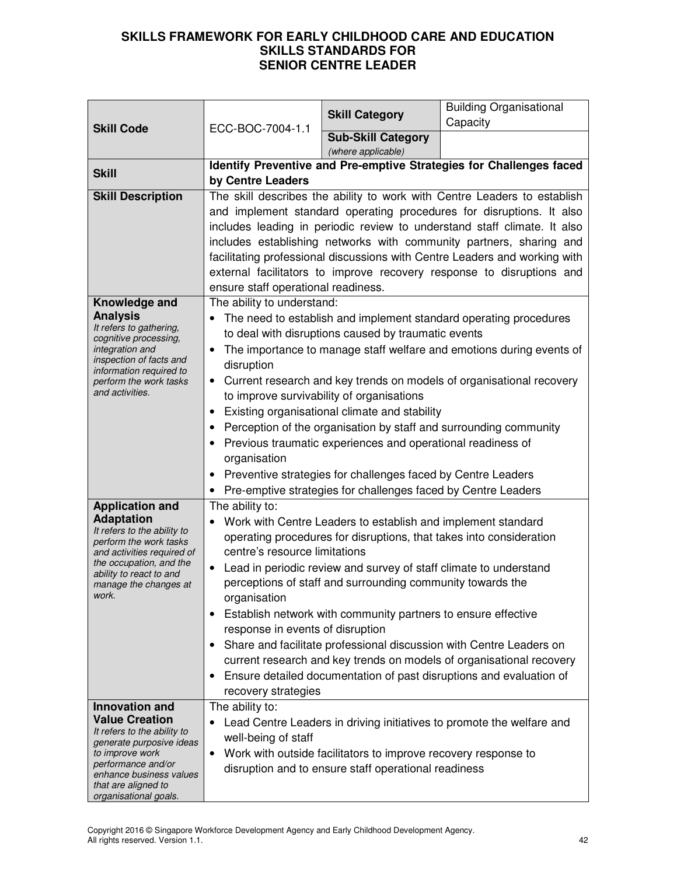| <b>Skill Code</b>                                                                                                                                                                                                             | ECC-BOC-7004-1.1                                                                                                                                                                                                                                                                                                                                                                                                                                                                                                                                                                                                                                                                                                                                            | <b>Skill Category</b>                                                                                                  | <b>Building Organisational</b><br>Capacity                            |
|-------------------------------------------------------------------------------------------------------------------------------------------------------------------------------------------------------------------------------|-------------------------------------------------------------------------------------------------------------------------------------------------------------------------------------------------------------------------------------------------------------------------------------------------------------------------------------------------------------------------------------------------------------------------------------------------------------------------------------------------------------------------------------------------------------------------------------------------------------------------------------------------------------------------------------------------------------------------------------------------------------|------------------------------------------------------------------------------------------------------------------------|-----------------------------------------------------------------------|
|                                                                                                                                                                                                                               |                                                                                                                                                                                                                                                                                                                                                                                                                                                                                                                                                                                                                                                                                                                                                             | <b>Sub-Skill Category</b><br>(where applicable)                                                                        |                                                                       |
| <b>Skill</b>                                                                                                                                                                                                                  | Identify Preventive and Pre-emptive Strategies for Challenges faced<br>by Centre Leaders                                                                                                                                                                                                                                                                                                                                                                                                                                                                                                                                                                                                                                                                    |                                                                                                                        |                                                                       |
| <b>Skill Description</b>                                                                                                                                                                                                      | The skill describes the ability to work with Centre Leaders to establish<br>and implement standard operating procedures for disruptions. It also<br>includes leading in periodic review to understand staff climate. It also<br>includes establishing networks with community partners, sharing and<br>facilitating professional discussions with Centre Leaders and working with<br>external facilitators to improve recovery response to disruptions and<br>ensure staff operational readiness.                                                                                                                                                                                                                                                           |                                                                                                                        |                                                                       |
| Knowledge and<br><b>Analysis</b><br>It refers to gathering,<br>cognitive processing,<br>integration and<br>inspection of facts and<br>information required to<br>perform the work tasks<br>and activities.                    | The ability to understand:<br>The need to establish and implement standard operating procedures<br>to deal with disruptions caused by traumatic events<br>The importance to manage staff welfare and emotions during events of<br>$\bullet$<br>disruption<br>Current research and key trends on models of organisational recovery<br>$\bullet$<br>to improve survivability of organisations<br>Existing organisational climate and stability<br>$\bullet$<br>Perception of the organisation by staff and surrounding community<br>$\bullet$<br>Previous traumatic experiences and operational readiness of<br>organisation<br>Preventive strategies for challenges faced by Centre Leaders<br>Pre-emptive strategies for challenges faced by Centre Leaders |                                                                                                                        |                                                                       |
| <b>Application and</b><br><b>Adaptation</b><br>It refers to the ability to<br>perform the work tasks<br>and activities required of<br>the occupation, and the<br>ability to react to and<br>manage the changes at<br>work.    | The ability to:<br>Work with Centre Leaders to establish and implement standard<br>operating procedures for disruptions, that takes into consideration<br>centre's resource limitations<br>Lead in periodic review and survey of staff climate to understand<br>perceptions of staff and surrounding community towards the<br>organisation<br>Establish network with community partners to ensure effective<br>response in events of disruption<br>Share and facilitate professional discussion with Centre Leaders on<br>$\bullet$<br>current research and key trends on models of organisational recovery<br>Ensure detailed documentation of past disruptions and evaluation of<br>recovery strategies                                                   |                                                                                                                        |                                                                       |
| <b>Innovation and</b><br><b>Value Creation</b><br>It refers to the ability to<br>generate purposive ideas<br>to improve work<br>performance and/or<br>enhance business values<br>that are aligned to<br>organisational goals. | The ability to:<br>well-being of staff<br>$\bullet$                                                                                                                                                                                                                                                                                                                                                                                                                                                                                                                                                                                                                                                                                                         | Work with outside facilitators to improve recovery response to<br>disruption and to ensure staff operational readiness | Lead Centre Leaders in driving initiatives to promote the welfare and |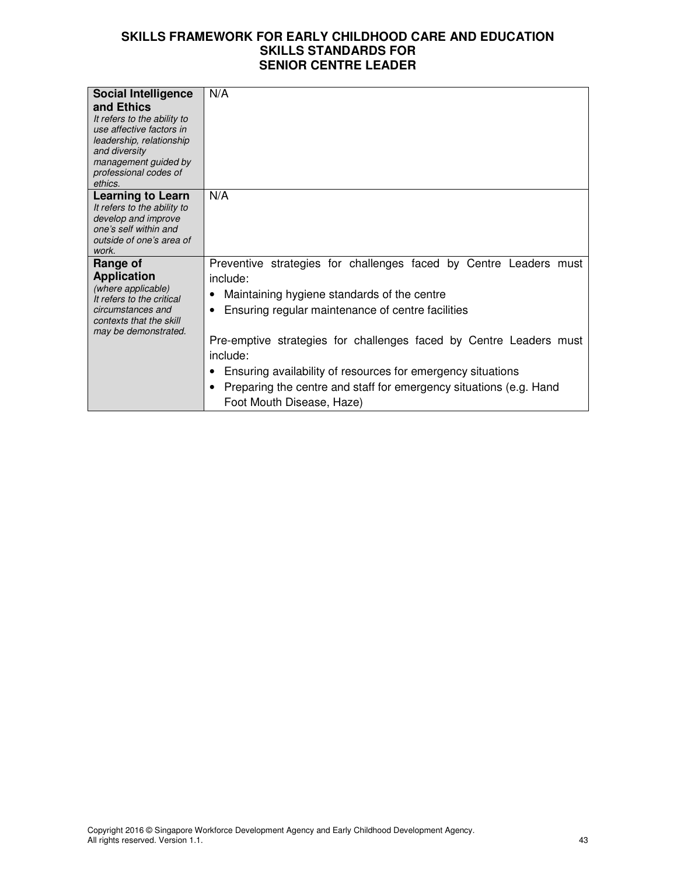| <b>Social Intelligence</b><br>and Ethics<br>It refers to the ability to<br>use affective factors in<br>leadership, relationship<br>and diversity<br>management guided by<br>professional codes of<br>ethics. | N/A                                                                                                                                                                                                                                                                                                                                                                                                                                        |
|--------------------------------------------------------------------------------------------------------------------------------------------------------------------------------------------------------------|--------------------------------------------------------------------------------------------------------------------------------------------------------------------------------------------------------------------------------------------------------------------------------------------------------------------------------------------------------------------------------------------------------------------------------------------|
| <b>Learning to Learn</b><br>It refers to the ability to<br>develop and improve<br>one's self within and<br>outside of one's area of<br>work.                                                                 | N/A                                                                                                                                                                                                                                                                                                                                                                                                                                        |
| Range of<br><b>Application</b><br>(where applicable)<br>It refers to the critical<br>circumstances and<br>contexts that the skill<br>may be demonstrated.                                                    | Preventive strategies for challenges faced by Centre Leaders must<br>include:<br>Maintaining hygiene standards of the centre<br>Ensuring regular maintenance of centre facilities<br>Pre-emptive strategies for challenges faced by Centre Leaders must<br>include:<br>Ensuring availability of resources for emergency situations<br>Preparing the centre and staff for emergency situations (e.g. Hand<br>٠<br>Foot Mouth Disease, Haze) |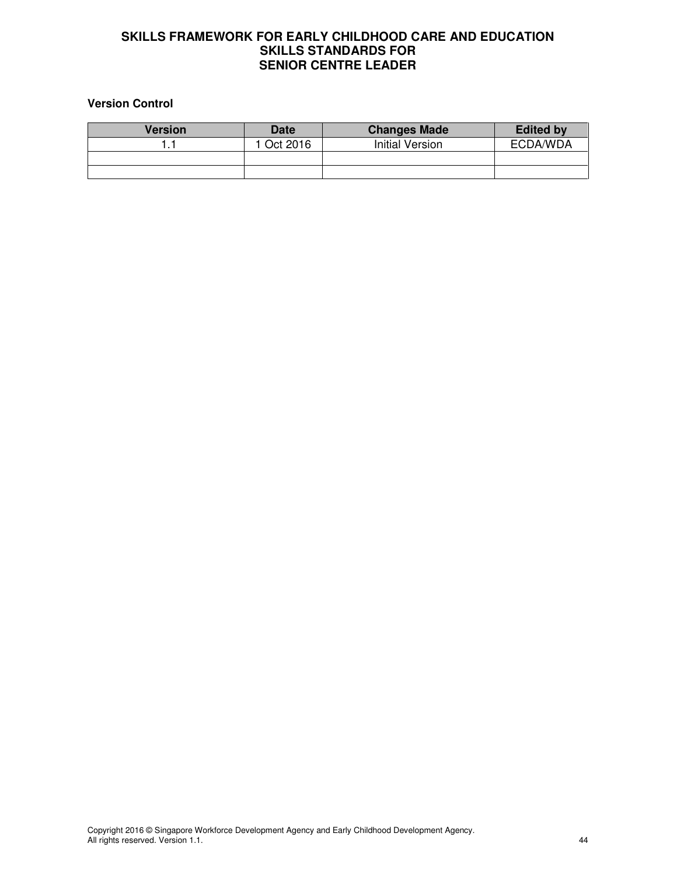#### **Version Control**

| <b>Version</b> | <b>Date</b> | <b>Changes Made</b> | <b>Edited by</b> |
|----------------|-------------|---------------------|------------------|
|                | Oct 2016    | Initial Version     | ECDA/WDA         |
|                |             |                     |                  |
|                |             |                     |                  |